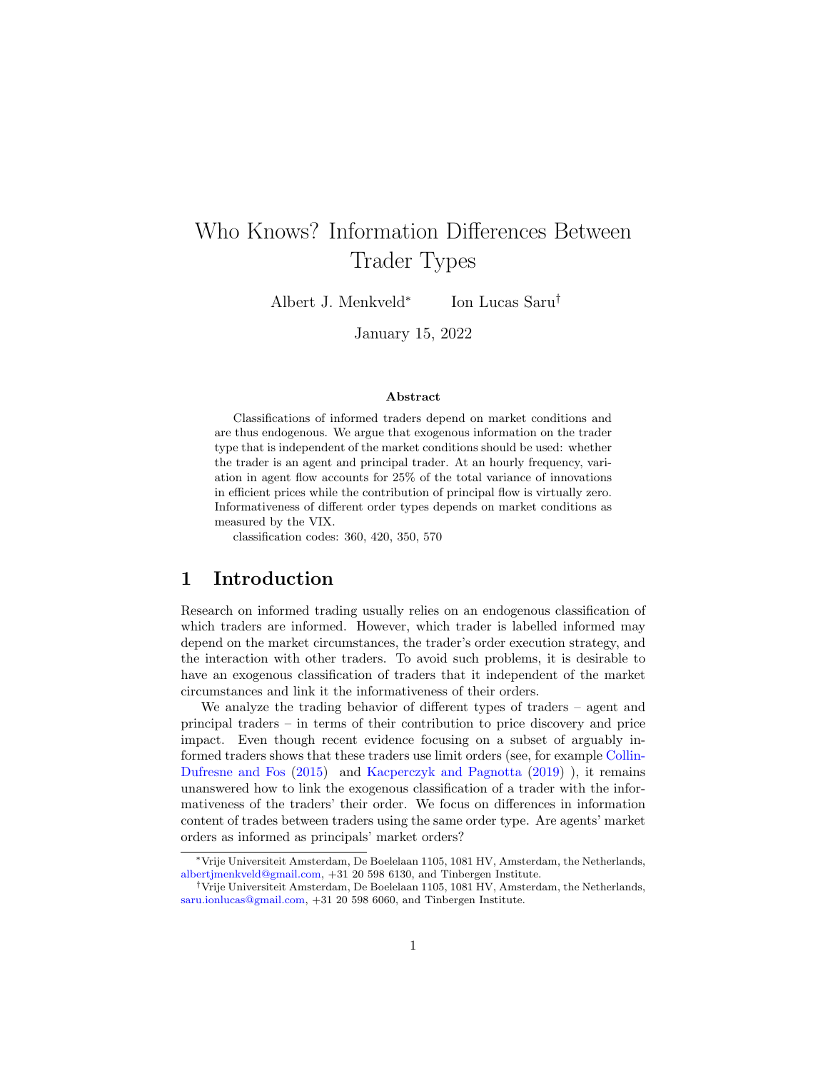# Who Knows? Information Differences Between Trader Types

Albert J. Menkveld<sup>∗</sup> Ion Lucas Saru†

January 15, 2022

#### Abstract

Classifications of informed traders depend on market conditions and are thus endogenous. We argue that exogenous information on the trader type that is independent of the market conditions should be used: whether the trader is an agent and principal trader. At an hourly frequency, variation in agent flow accounts for 25% of the total variance of innovations in efficient prices while the contribution of principal flow is virtually zero. Informativeness of different order types depends on market conditions as measured by the VIX.

classification codes: 360, 420, 350, 570

### 1 Introduction

Research on informed trading usually relies on an endogenous classification of which traders are informed. However, which trader is labelled informed may depend on the market circumstances, the trader's order execution strategy, and the interaction with other traders. To avoid such problems, it is desirable to have an exogenous classification of traders that it independent of the market circumstances and link it the informativeness of their orders.

We analyze the trading behavior of different types of traders – agent and principal traders – in terms of their contribution to price discovery and price impact. Even though recent evidence focusing on a subset of arguably informed traders shows that these traders use limit orders (see, for example [Collin-](#page-33-0)[Dufresne and Fos](#page-33-0) [\(2015\)](#page-33-0) and [Kacperczyk and Pagnotta](#page-34-0) [\(2019\)](#page-34-0) ), it remains unanswered how to link the exogenous classification of a trader with the informativeness of the traders' their order. We focus on differences in information content of trades between traders using the same order type. Are agents' market orders as informed as principals' market orders?

<sup>∗</sup>Vrije Universiteit Amsterdam, De Boelelaan 1105, 1081 HV, Amsterdam, the Netherlands, [albertjmenkveld@gmail.com,](mailto:albertjmenkveld@gmail.com) +31 20 598 6130, and Tinbergen Institute.

<sup>†</sup>Vrije Universiteit Amsterdam, De Boelelaan 1105, 1081 HV, Amsterdam, the Netherlands, [saru.ionlucas@gmail.com,](mailto:saru.ionlucas@gmail.com) +31 20 598 6060, and Tinbergen Institute.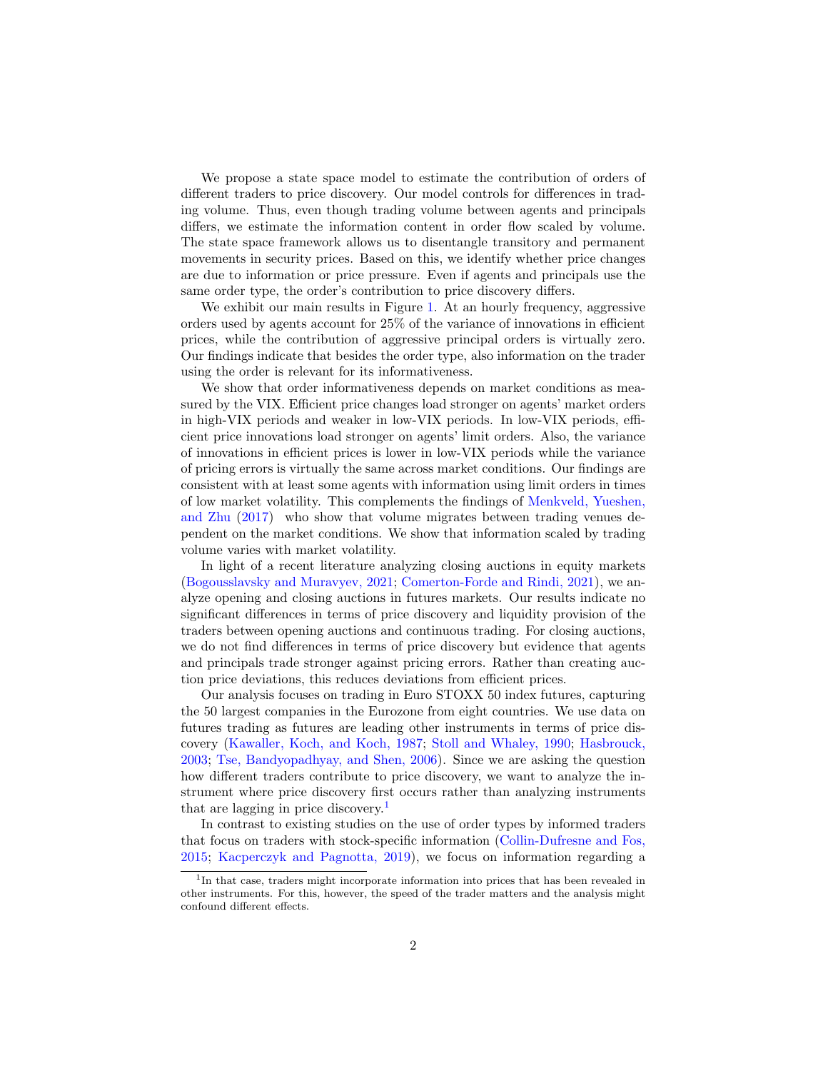We propose a state space model to estimate the contribution of orders of different traders to price discovery. Our model controls for differences in trading volume. Thus, even though trading volume between agents and principals differs, we estimate the information content in order flow scaled by volume. The state space framework allows us to disentangle transitory and permanent movements in security prices. Based on this, we identify whether price changes are due to information or price pressure. Even if agents and principals use the same order type, the order's contribution to price discovery differs.

We exhibit our main results in Figure [1.](#page-2-0) At an hourly frequency, aggressive orders used by agents account for 25% of the variance of innovations in efficient prices, while the contribution of aggressive principal orders is virtually zero. Our findings indicate that besides the order type, also information on the trader using the order is relevant for its informativeness.

We show that order informativeness depends on market conditions as measured by the VIX. Efficient price changes load stronger on agents' market orders in high-VIX periods and weaker in low-VIX periods. In low-VIX periods, efficient price innovations load stronger on agents' limit orders. Also, the variance of innovations in efficient prices is lower in low-VIX periods while the variance of pricing errors is virtually the same across market conditions. Our findings are consistent with at least some agents with information using limit orders in times of low market volatility. This complements the findings of [Menkveld, Yueshen,](#page-35-0) [and Zhu](#page-35-0) [\(2017\)](#page-35-0) who show that volume migrates between trading venues dependent on the market conditions. We show that information scaled by trading volume varies with market volatility.

In light of a recent literature analyzing closing auctions in equity markets [\(Bogousslavsky and Muravyev,](#page-32-0) [2021;](#page-32-0) [Comerton-Forde and Rindi,](#page-33-1) [2021\)](#page-33-1), we analyze opening and closing auctions in futures markets. Our results indicate no significant differences in terms of price discovery and liquidity provision of the traders between opening auctions and continuous trading. For closing auctions, we do not find differences in terms of price discovery but evidence that agents and principals trade stronger against pricing errors. Rather than creating auction price deviations, this reduces deviations from efficient prices.

Our analysis focuses on trading in Euro STOXX 50 index futures, capturing the 50 largest companies in the Eurozone from eight countries. We use data on futures trading as futures are leading other instruments in terms of price discovery [\(Kawaller, Koch, and Koch,](#page-34-1) [1987;](#page-34-1) [Stoll and Whaley,](#page-35-1) [1990;](#page-35-1) [Hasbrouck,](#page-34-2) [2003;](#page-34-2) [Tse, Bandyopadhyay, and Shen,](#page-35-2) [2006\)](#page-35-2). Since we are asking the question how different traders contribute to price discovery, we want to analyze the instrument where price discovery first occurs rather than analyzing instruments that are lagging in price discovery.<sup>[1](#page-1-0)</sup>

In contrast to existing studies on the use of order types by informed traders that focus on traders with stock-specific information [\(Collin-Dufresne and Fos,](#page-33-0) [2015;](#page-33-0) [Kacperczyk and Pagnotta,](#page-34-0) [2019\)](#page-34-0), we focus on information regarding a

<span id="page-1-0"></span><sup>&</sup>lt;sup>1</sup>In that case, traders might incorporate information into prices that has been revealed in other instruments. For this, however, the speed of the trader matters and the analysis might confound different effects.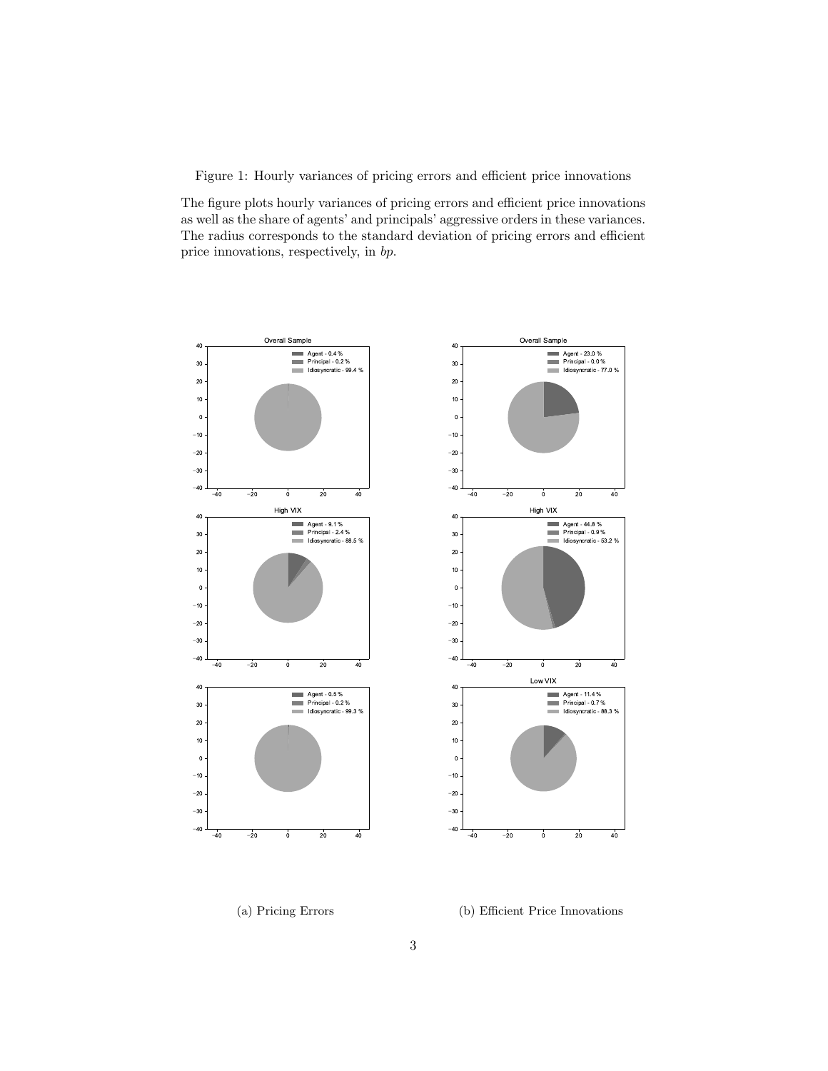<span id="page-2-0"></span>Figure 1: Hourly variances of pricing errors and efficient price innovations

The figure plots hourly variances of pricing errors and efficient price innovations as well as the share of agents' and principals' aggressive orders in these variances. The radius corresponds to the standard deviation of pricing errors and efficient price innovations, respectively, in bp.



(a) Pricing Errors

#### (b) Efficient Price Innovations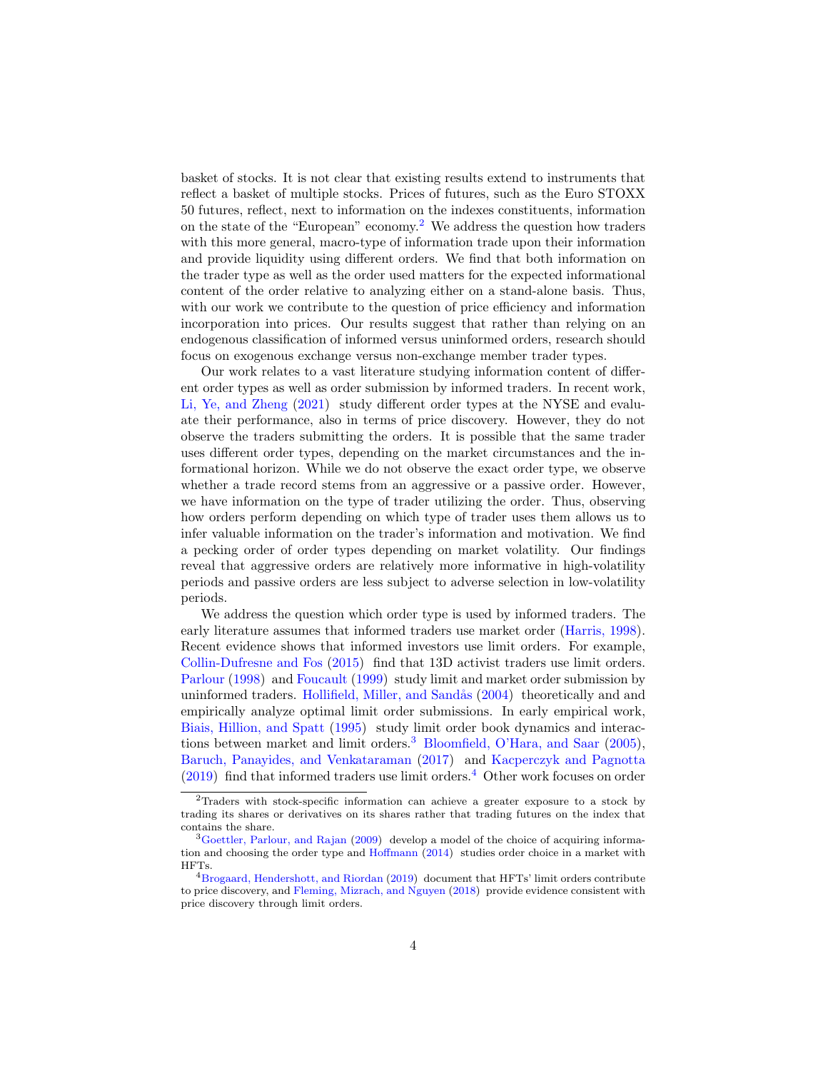basket of stocks. It is not clear that existing results extend to instruments that reflect a basket of multiple stocks. Prices of futures, such as the Euro STOXX 50 futures, reflect, next to information on the indexes constituents, information on the state of the "European" economy.[2](#page-3-0) We address the question how traders with this more general, macro-type of information trade upon their information and provide liquidity using different orders. We find that both information on the trader type as well as the order used matters for the expected informational content of the order relative to analyzing either on a stand-alone basis. Thus, with our work we contribute to the question of price efficiency and information incorporation into prices. Our results suggest that rather than relying on an endogenous classification of informed versus uninformed orders, research should focus on exogenous exchange versus non-exchange member trader types.

Our work relates to a vast literature studying information content of different order types as well as order submission by informed traders. In recent work, [Li, Ye, and Zheng](#page-34-3) [\(2021\)](#page-34-3) study different order types at the NYSE and evaluate their performance, also in terms of price discovery. However, they do not observe the traders submitting the orders. It is possible that the same trader uses different order types, depending on the market circumstances and the informational horizon. While we do not observe the exact order type, we observe whether a trade record stems from an aggressive or a passive order. However, we have information on the type of trader utilizing the order. Thus, observing how orders perform depending on which type of trader uses them allows us to infer valuable information on the trader's information and motivation. We find a pecking order of order types depending on market volatility. Our findings reveal that aggressive orders are relatively more informative in high-volatility periods and passive orders are less subject to adverse selection in low-volatility periods.

We address the question which order type is used by informed traders. The early literature assumes that informed traders use market order [\(Harris,](#page-34-4) [1998\)](#page-34-4). Recent evidence shows that informed investors use limit orders. For example, [Collin-Dufresne and Fos](#page-33-0) [\(2015\)](#page-33-0) find that 13D activist traders use limit orders. [Parlour](#page-35-3) [\(1998\)](#page-35-3) and [Foucault](#page-33-2) [\(1999\)](#page-33-2) study limit and market order submission by uninformed traders. Hollifield, Miller, and Sandås [\(2004\)](#page-34-5) theoretically and and empirically analyze optimal limit order submissions. In early empirical work, [Biais, Hillion, and Spatt](#page-32-1) [\(1995\)](#page-32-1) study limit order book dynamics and interac-tions between market and limit orders.<sup>[3](#page-3-1)</sup> [Bloomfield, O'Hara, and Saar](#page-32-2) [\(2005\)](#page-32-2), [Baruch, Panayides, and Venkataraman](#page-32-3) [\(2017\)](#page-32-3) and [Kacperczyk and Pagnotta](#page-34-0)  $(2019)$  find that informed traders use limit orders.<sup>[4](#page-3-2)</sup> Other work focuses on order

<span id="page-3-0"></span><sup>2</sup>Traders with stock-specific information can achieve a greater exposure to a stock by trading its shares or derivatives on its shares rather that trading futures on the index that contains the share.

<span id="page-3-1"></span><sup>&</sup>lt;sup>3</sup>[Goettler, Parlour, and Rajan](#page-33-3) [\(2009\)](#page-33-3) develop a model of the choice of acquiring information and choosing the order type and [Hoffmann](#page-34-6) [\(2014\)](#page-34-6) studies order choice in a market with HFTs.

<span id="page-3-2"></span> $4Brogaard$ , Hendershott, and Riordan [\(2019\)](#page-32-4) document that HFTs' limit orders contribute to price discovery, and [Fleming, Mizrach, and Nguyen](#page-33-4) [\(2018\)](#page-33-4) provide evidence consistent with price discovery through limit orders.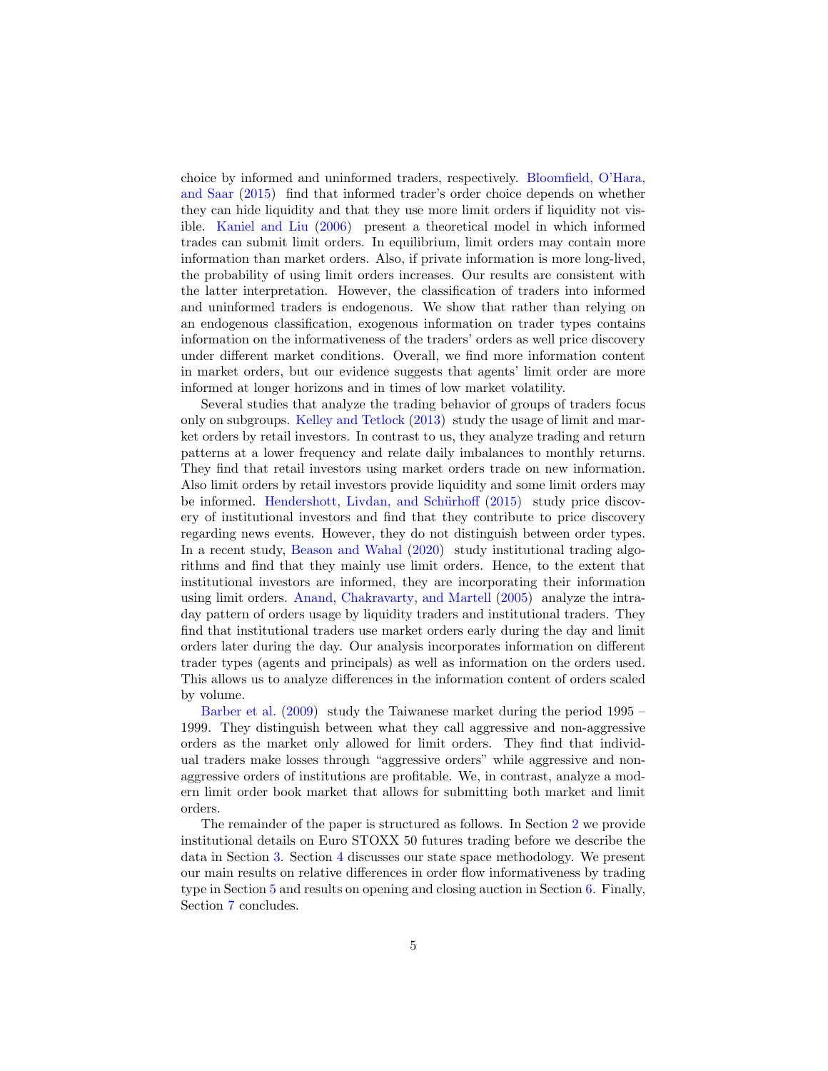choice by informed and uninformed traders, respectively. [Bloomfield, O'Hara,](#page-32-5) [and Saar](#page-32-5) [\(2015\)](#page-32-5) find that informed trader's order choice depends on whether they can hide liquidity and that they use more limit orders if liquidity not visible. [Kaniel and Liu](#page-34-7) [\(2006\)](#page-34-7) present a theoretical model in which informed trades can submit limit orders. In equilibrium, limit orders may contain more information than market orders. Also, if private information is more long-lived, the probability of using limit orders increases. Our results are consistent with the latter interpretation. However, the classification of traders into informed and uninformed traders is endogenous. We show that rather than relying on an endogenous classification, exogenous information on trader types contains information on the informativeness of the traders' orders as well price discovery under different market conditions. Overall, we find more information content in market orders, but our evidence suggests that agents' limit order are more informed at longer horizons and in times of low market volatility.

Several studies that analyze the trading behavior of groups of traders focus only on subgroups. [Kelley and Tetlock](#page-34-8) [\(2013\)](#page-34-8) study the usage of limit and market orders by retail investors. In contrast to us, they analyze trading and return patterns at a lower frequency and relate daily imbalances to monthly returns. They find that retail investors using market orders trade on new information. Also limit orders by retail investors provide liquidity and some limit orders may be informed. Hendershott, Livdan, and Schürhoff [\(2015\)](#page-34-9) study price discovery of institutional investors and find that they contribute to price discovery regarding news events. However, they do not distinguish between order types. In a recent study, [Beason and Wahal](#page-32-6) [\(2020\)](#page-32-6) study institutional trading algorithms and find that they mainly use limit orders. Hence, to the extent that institutional investors are informed, they are incorporating their information using limit orders. [Anand, Chakravarty, and Martell](#page-32-7) [\(2005\)](#page-32-7) analyze the intraday pattern of orders usage by liquidity traders and institutional traders. They find that institutional traders use market orders early during the day and limit orders later during the day. Our analysis incorporates information on different trader types (agents and principals) as well as information on the orders used. This allows us to analyze differences in the information content of orders scaled by volume.

[Barber et al.](#page-32-8) [\(2009\)](#page-32-8) study the Taiwanese market during the period 1995 – 1999. They distinguish between what they call aggressive and non-aggressive orders as the market only allowed for limit orders. They find that individual traders make losses through "aggressive orders" while aggressive and nonaggressive orders of institutions are profitable. We, in contrast, analyze a modern limit order book market that allows for submitting both market and limit orders.

The remainder of the paper is structured as follows. In Section [2](#page-5-0) we provide institutional details on Euro STOXX 50 futures trading before we describe the data in Section [3.](#page-5-1) Section [4](#page-10-0) discusses our state space methodology. We present our main results on relative differences in order flow informativeness by trading type in Section [5](#page-13-0) and results on opening and closing auction in Section [6.](#page-26-0) Finally, Section [7](#page-29-0) concludes.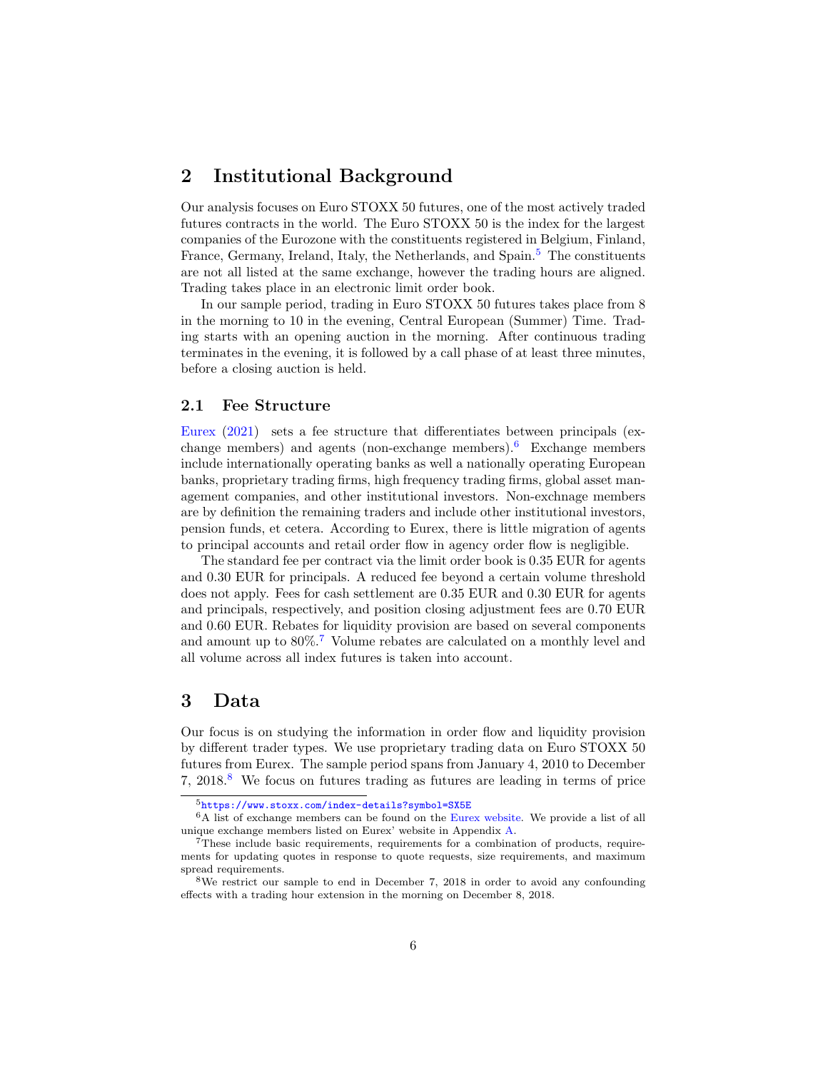### <span id="page-5-0"></span>2 Institutional Background

Our analysis focuses on Euro STOXX 50 futures, one of the most actively traded futures contracts in the world. The Euro STOXX 50 is the index for the largest companies of the Eurozone with the constituents registered in Belgium, Finland, France, Germany, Ireland, Italy, the Netherlands, and Spain.<sup>[5](#page-5-2)</sup> The constituents are not all listed at the same exchange, however the trading hours are aligned. Trading takes place in an electronic limit order book.

In our sample period, trading in Euro STOXX 50 futures takes place from 8 in the morning to 10 in the evening, Central European (Summer) Time. Trading starts with an opening auction in the morning. After continuous trading terminates in the evening, it is followed by a call phase of at least three minutes, before a closing auction is held.

### 2.1 Fee Structure

[Eurex](#page-33-5) [\(2021\)](#page-33-5) sets a fee structure that differentiates between principals (exchange members) and agents (non-exchange members). Exchange members include internationally operating banks as well a nationally operating European banks, proprietary trading firms, high frequency trading firms, global asset management companies, and other institutional investors. Non-exchnage members are by definition the remaining traders and include other institutional investors, pension funds, et cetera. According to Eurex, there is little migration of agents to principal accounts and retail order flow in agency order flow is negligible.

The standard fee per contract via the limit order book is 0.35 EUR for agents and 0.30 EUR for principals. A reduced fee beyond a certain volume threshold does not apply. Fees for cash settlement are 0.35 EUR and 0.30 EUR for agents and principals, respectively, and position closing adjustment fees are 0.70 EUR and 0.60 EUR. Rebates for liquidity provision are based on several components and amount up to 80%.[7](#page-5-4) Volume rebates are calculated on a monthly level and all volume across all index futures is taken into account.

### <span id="page-5-1"></span>3 Data

Our focus is on studying the information in order flow and liquidity provision by different trader types. We use proprietary trading data on Euro STOXX 50 futures from Eurex. The sample period spans from January 4, 2010 to December 7,  $2018<sup>8</sup>$  $2018<sup>8</sup>$  $2018<sup>8</sup>$  We focus on futures trading as futures are leading in terms of price

<span id="page-5-3"></span><span id="page-5-2"></span><sup>5</sup><https://www.stoxx.com/index-details?symbol=SX5E>

<sup>&</sup>lt;sup>6</sup>A list of exchange members can be found on the [Eurex website.](https://www.eurex.com/ex-en/trade/participant-list/exchange-participants/5138!search?state=H4sIAAAAAAAAADWKsQoCMRAFf0W2TqFtPsDKIuBhH5IXDawJ7m6Q47h_9xDSzTCzUY6Gq_Q3-TaY3d-XPq3EBFPy235wFbUbzCAzv6ppgIT4BPnL2VFtiUfGvRp0Tr3xGnIhXyIrHH0GZCVP5Eigg-1R8Z2zdrGj6VKNcYqaaP8BsKzzjqQAAAA&pageNum=33) We provide a list of all unique exchange members listed on Eurex' website in Appendix [A.](#page-36-0)

<span id="page-5-4"></span><sup>&</sup>lt;sup>7</sup>These include basic requirements, requirements for a combination of products, requirements for updating quotes in response to quote requests, size requirements, and maximum spread requirements.

<span id="page-5-5"></span><sup>8</sup>We restrict our sample to end in December 7, 2018 in order to avoid any confounding effects with a trading hour extension in the morning on December 8, 2018.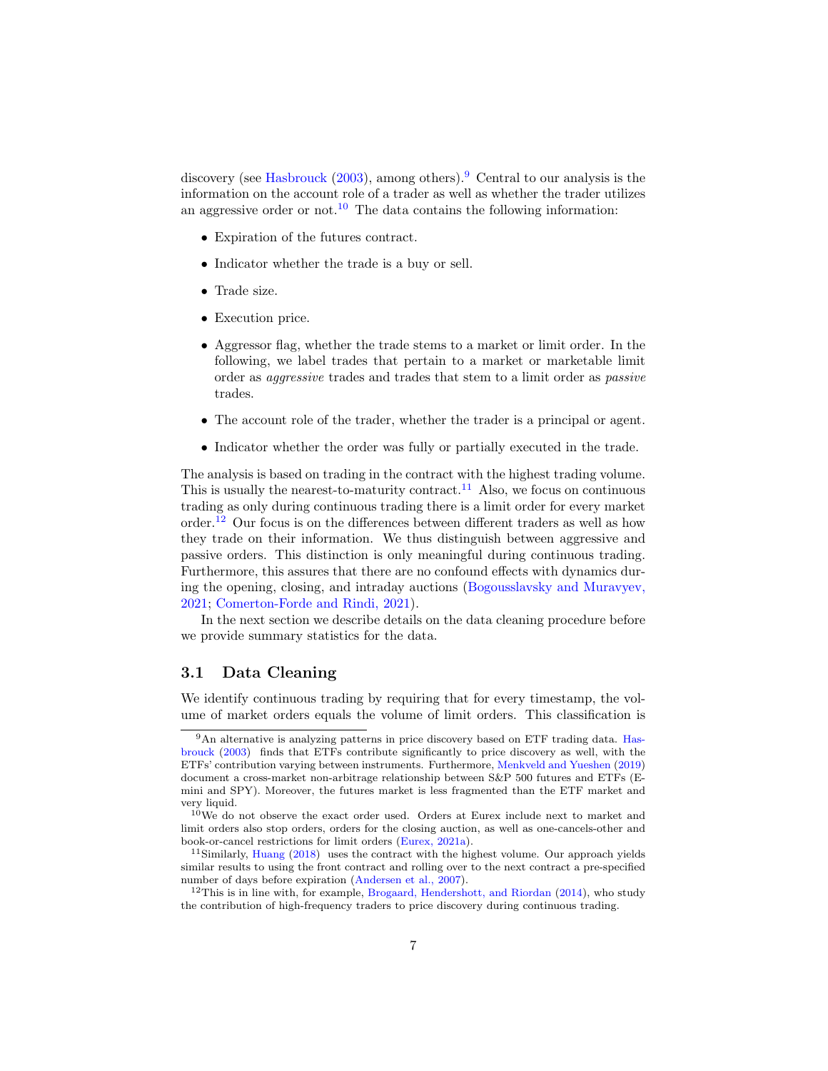discovery (see [Hasbrouck](#page-34-2)  $(2003)$ , among others).<sup>[9](#page-6-0)</sup> Central to our analysis is the information on the account role of a trader as well as whether the trader utilizes an aggressive order or not.<sup>[10](#page-6-1)</sup> The data contains the following information:

- Expiration of the futures contract.
- Indicator whether the trade is a buy or sell.
- Trade size.
- Execution price.
- Aggressor flag, whether the trade stems to a market or limit order. In the following, we label trades that pertain to a market or marketable limit order as aggressive trades and trades that stem to a limit order as passive trades.
- The account role of the trader, whether the trader is a principal or agent.
- Indicator whether the order was fully or partially executed in the trade.

The analysis is based on trading in the contract with the highest trading volume. This is usually the nearest-to-maturity contract.<sup>[11](#page-6-2)</sup> Also, we focus on continuous trading as only during continuous trading there is a limit order for every market order.[12](#page-6-3) Our focus is on the differences between different traders as well as how they trade on their information. We thus distinguish between aggressive and passive orders. This distinction is only meaningful during continuous trading. Furthermore, this assures that there are no confound effects with dynamics during the opening, closing, and intraday auctions [\(Bogousslavsky and Muravyev,](#page-32-0) [2021;](#page-32-0) [Comerton-Forde and Rindi,](#page-33-1) [2021\)](#page-33-1).

In the next section we describe details on the data cleaning procedure before we provide summary statistics for the data.

### 3.1 Data Cleaning

We identify continuous trading by requiring that for every timestamp, the volume of market orders equals the volume of limit orders. This classification is

<span id="page-6-0"></span><sup>&</sup>lt;sup>9</sup>An alternative is analyzing patterns in price discovery based on ETF trading data. [Has](#page-34-2)[brouck](#page-34-2) [\(2003\)](#page-34-2) finds that ETFs contribute significantly to price discovery as well, with the ETFs' contribution varying between instruments. Furthermore, [Menkveld and Yueshen](#page-35-4) [\(2019\)](#page-35-4) document a cross-market non-arbitrage relationship between S&P 500 futures and ETFs (Emini and SPY). Moreover, the futures market is less fragmented than the ETF market and very liquid.

<span id="page-6-1"></span><sup>&</sup>lt;sup>10</sup>We do not observe the exact order used. Orders at Eurex include next to market and limit orders also stop orders, orders for the closing auction, as well as one-cancels-other and book-or-cancel restrictions for limit orders [\(Eurex,](#page-33-6) [2021a\)](#page-33-6).

<span id="page-6-2"></span><sup>&</sup>lt;sup>11</sup>Similarly, [Huang](#page-34-10) [\(2018\)](#page-34-10) uses the contract with the highest volume. Our approach yields similar results to using the front contract and rolling over to the next contract a pre-specified number of days before expiration [\(Andersen et al.,](#page-32-9) [2007\)](#page-32-9).

<span id="page-6-3"></span><sup>&</sup>lt;sup>12</sup>This is in line with, for example, [Brogaard, Hendershott, and Riordan](#page-32-10)  $(2014)$ , who study the contribution of high-frequency traders to price discovery during continuous trading.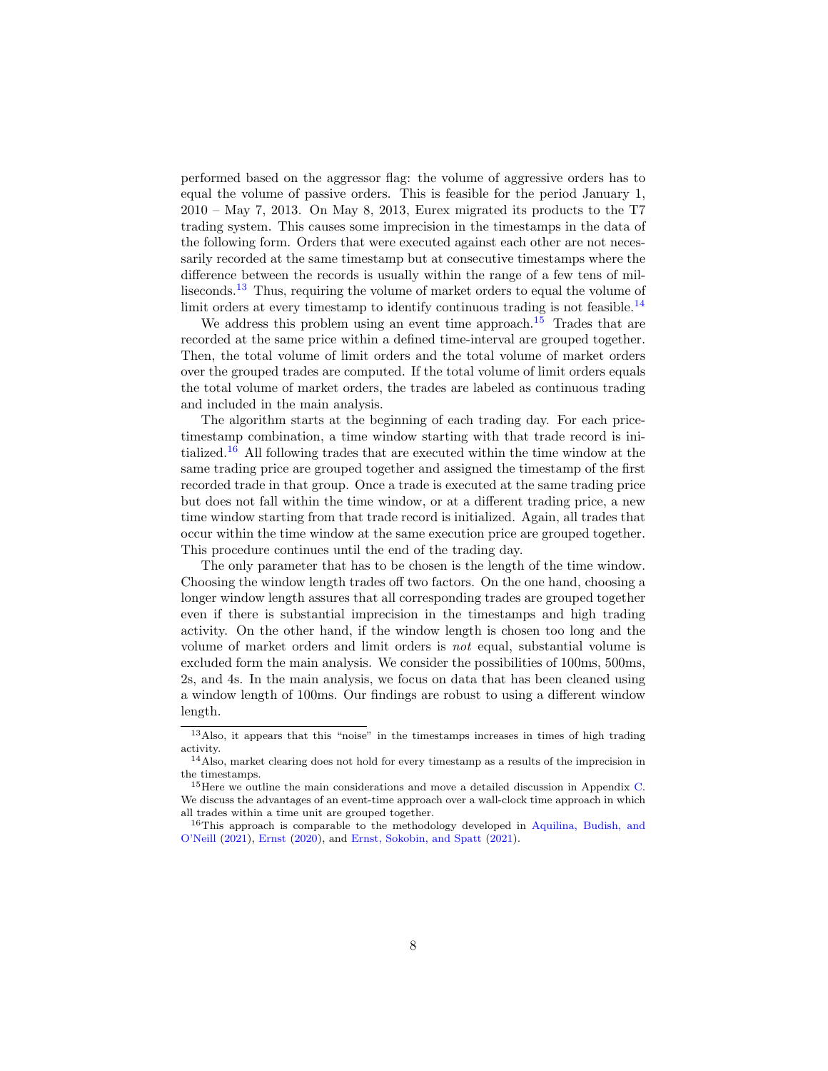performed based on the aggressor flag: the volume of aggressive orders has to equal the volume of passive orders. This is feasible for the period January 1, 2010 – May 7, 2013. On May 8, 2013, Eurex migrated its products to the T7 trading system. This causes some imprecision in the timestamps in the data of the following form. Orders that were executed against each other are not necessarily recorded at the same timestamp but at consecutive timestamps where the difference between the records is usually within the range of a few tens of milliseconds.[13](#page-7-0) Thus, requiring the volume of market orders to equal the volume of limit orders at every timestamp to identify continuous trading is not feasible.<sup>[14](#page-7-1)</sup>

We address this problem using an event time approach.<sup>[15](#page-7-2)</sup> Trades that are recorded at the same price within a defined time-interval are grouped together. Then, the total volume of limit orders and the total volume of market orders over the grouped trades are computed. If the total volume of limit orders equals the total volume of market orders, the trades are labeled as continuous trading and included in the main analysis.

The algorithm starts at the beginning of each trading day. For each pricetimestamp combination, a time window starting with that trade record is ini-tialized.<sup>[16](#page-7-3)</sup> All following trades that are executed within the time window at the same trading price are grouped together and assigned the timestamp of the first recorded trade in that group. Once a trade is executed at the same trading price but does not fall within the time window, or at a different trading price, a new time window starting from that trade record is initialized. Again, all trades that occur within the time window at the same execution price are grouped together. This procedure continues until the end of the trading day.

The only parameter that has to be chosen is the length of the time window. Choosing the window length trades off two factors. On the one hand, choosing a longer window length assures that all corresponding trades are grouped together even if there is substantial imprecision in the timestamps and high trading activity. On the other hand, if the window length is chosen too long and the volume of market orders and limit orders is not equal, substantial volume is excluded form the main analysis. We consider the possibilities of 100ms, 500ms, 2s, and 4s. In the main analysis, we focus on data that has been cleaned using a window length of 100ms. Our findings are robust to using a different window length.

<span id="page-7-0"></span><sup>13</sup>Also, it appears that this "noise" in the timestamps increases in times of high trading activity.

<span id="page-7-1"></span><sup>&</sup>lt;sup>14</sup>Also, market clearing does not hold for every timestamp as a results of the imprecision in the timestamps.

<span id="page-7-2"></span><sup>15</sup>Here we outline the main considerations and move a detailed discussion in Appendix [C.](#page-48-0) We discuss the advantages of an event-time approach over a wall-clock time approach in which all trades within a time unit are grouped together.

<span id="page-7-3"></span><sup>&</sup>lt;sup>16</sup>This approach is comparable to the methodology developed in [Aquilina, Budish, and](#page-32-11) [O'Neill](#page-32-11) [\(2021\)](#page-32-11), [Ernst](#page-33-7) [\(2020\)](#page-33-7), and [Ernst, Sokobin, and Spatt](#page-33-8) [\(2021\)](#page-33-8).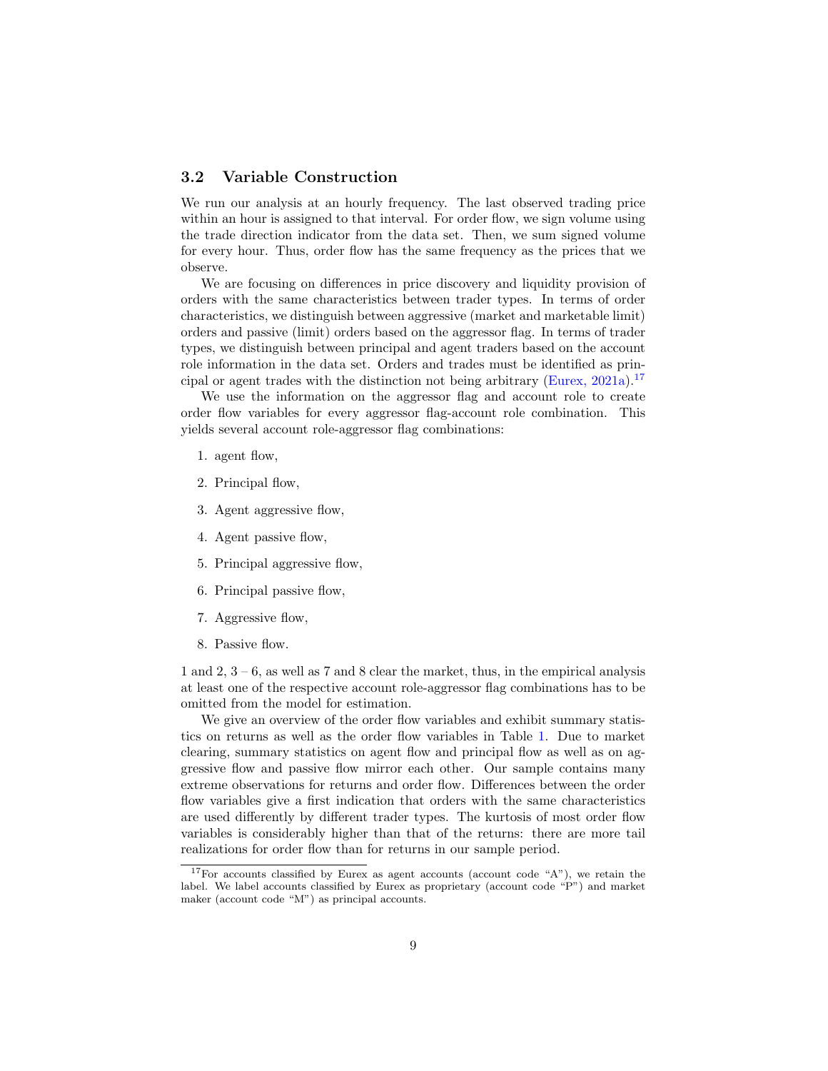### <span id="page-8-1"></span>3.2 Variable Construction

We run our analysis at an hourly frequency. The last observed trading price within an hour is assigned to that interval. For order flow, we sign volume using the trade direction indicator from the data set. Then, we sum signed volume for every hour. Thus, order flow has the same frequency as the prices that we observe.

We are focusing on differences in price discovery and liquidity provision of orders with the same characteristics between trader types. In terms of order characteristics, we distinguish between aggressive (market and marketable limit) orders and passive (limit) orders based on the aggressor flag. In terms of trader types, we distinguish between principal and agent traders based on the account role information in the data set. Orders and trades must be identified as prin-cipal or agent trades with the distinction not being arbitrary [\(Eurex,](#page-33-6)  $2021a$ ).<sup>[17](#page-8-0)</sup>

We use the information on the aggressor flag and account role to create order flow variables for every aggressor flag-account role combination. This yields several account role-aggressor flag combinations:

- 1. agent flow,
- 2. Principal flow,
- 3. Agent aggressive flow,
- 4. Agent passive flow,
- 5. Principal aggressive flow,
- 6. Principal passive flow,
- 7. Aggressive flow,
- 8. Passive flow.

1 and 2,  $3 - 6$ , as well as 7 and 8 clear the market, thus, in the empirical analysis at least one of the respective account role-aggressor flag combinations has to be omitted from the model for estimation.

We give an overview of the order flow variables and exhibit summary statistics on returns as well as the order flow variables in Table [1.](#page-9-0) Due to market clearing, summary statistics on agent flow and principal flow as well as on aggressive flow and passive flow mirror each other. Our sample contains many extreme observations for returns and order flow. Differences between the order flow variables give a first indication that orders with the same characteristics are used differently by different trader types. The kurtosis of most order flow variables is considerably higher than that of the returns: there are more tail realizations for order flow than for returns in our sample period.

<span id="page-8-0"></span><sup>&</sup>lt;sup>17</sup>For accounts classified by Eurex as agent accounts (account code "A"), we retain the label. We label accounts classified by Eurex as proprietary (account code "P") and market maker (account code "M") as principal accounts.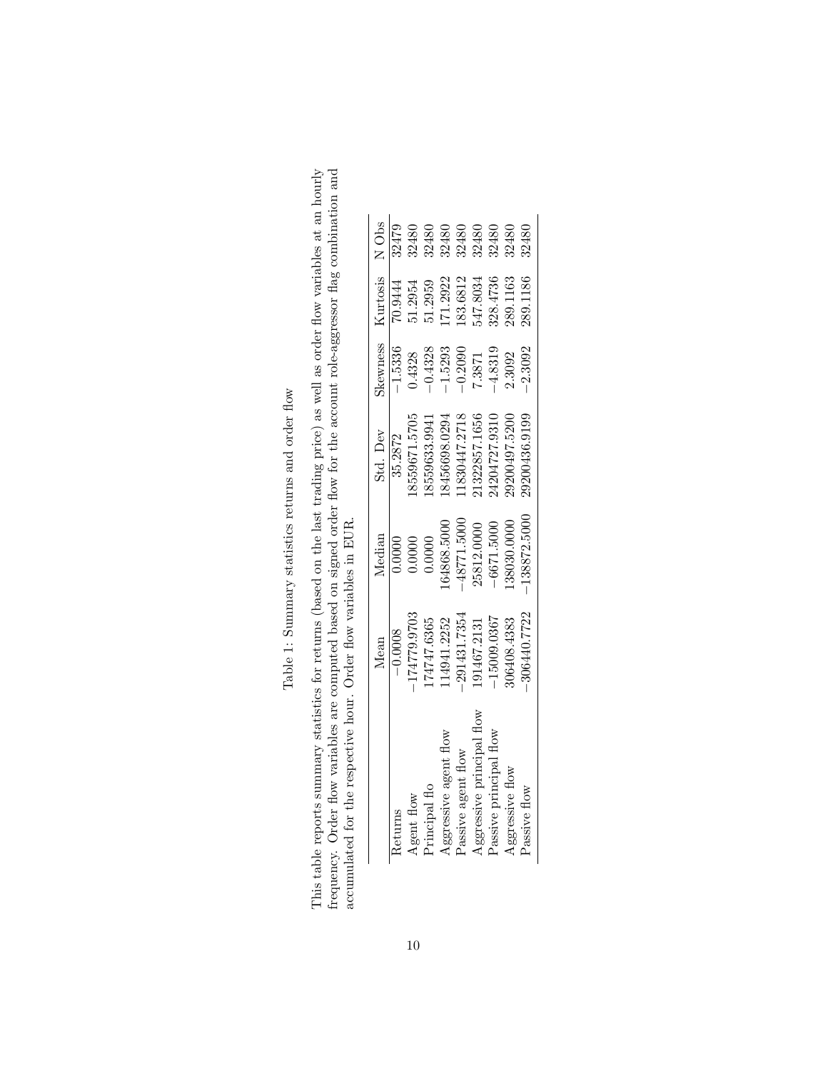| $\overline{a}$<br>l<br>ţ                                                |
|-------------------------------------------------------------------------|
| .<br>.<br>.<br>.<br>j                                                   |
| c<br>C<br>$\frac{1}{2}$                                                 |
| í<br>$+ - - - -$<br>i                                                   |
| $\frac{1}{2}$<br>֚֚֚֬<br>i                                              |
| t<br>F<br>٢<br>م<br>Č                                                   |
|                                                                         |
| j<br>j<br>֖֖֖֖֖֖֧ׅ֖֧֧ׅ֧֚֚֚֚֚֚֚֚֚֚֚֚֚֚֚֚֚֚֚֚֚֚֚֚֚֚֚֚֚֡֝֓֓֡֓֞֝֓֞֝֬֓֬֝֓֞֝֬ |

<span id="page-9-0"></span>This table reports summary statistics for returns (based on the last trading price) as well as order flow variables at an hourly frequency. Order flow variables are computed based on signed order flow for the account role This table reports summary statistics for returns (based on the last trading price) as well as order flow variables at an hourly frequency. Order flow variables are computed based on signed order flow for the account role-aggressor flag combination and accumulated for the respective hour. Order flow variables in EUR.

|                              | Mean           | Median       | Std. Dev      | Skewness  | Kurtosis |       |
|------------------------------|----------------|--------------|---------------|-----------|----------|-------|
| eturns                       | $-0.0008$      | 0.0000       | 35.2872       | $-1.5336$ | 70.9444  | 32479 |
| gent flow                    | 174779.9703    | 0.0000       | 8559671.5705  | 0.4328    | 1.2954   | 32480 |
| rincipal flo                 | 74747.6365     | 0.0000       | 8559633.9941  | $-0.4328$ | 1.2959   | 32480 |
| <b>Aggressive</b> agent flow | 14941.2252     | 64868.5000   | 8456698.0294  | $-1.5293$ | 71.2922  | 32480 |
| Passive agent flow           | $-291431.7354$ | 48771.5000   | 1830447.2718  | $-0.2090$ | 183.6812 | 32480 |
| ggressive principal flow     | 91467.2131     | 25812.0000   | 21322857.1656 | 7.3871    | 47.8034  | 32480 |
| Passive principal flow       | 15009.0367     | $-6671.5000$ | 4204727.9310  | $-4.8319$ | 328.4736 | 32480 |
| Aggressive flow              | 06408.4383     | 38030.0000   | 19200497.5200 | 2.3092    | 289.1163 | 32480 |
| assive flow                  | 306440.7722    | 138872.5000  | 29200436.9199 | $-2.3092$ | 289.1186 | 32480 |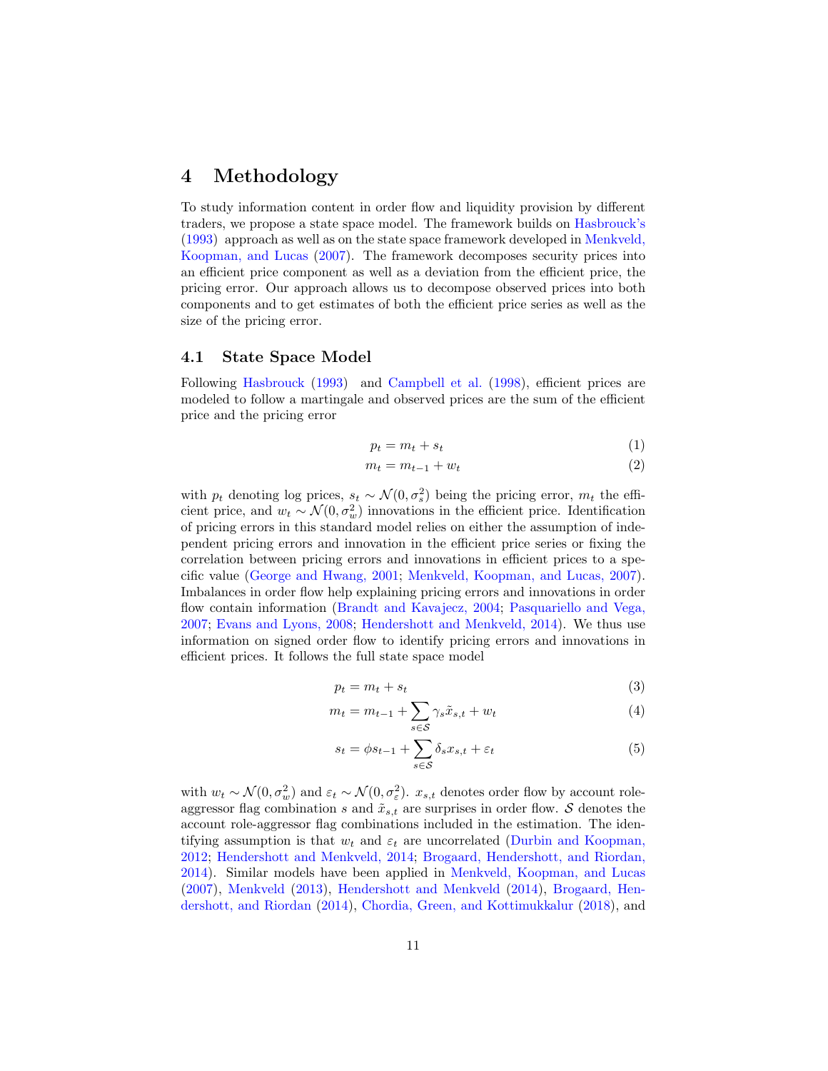### <span id="page-10-0"></span>4 Methodology

To study information content in order flow and liquidity provision by different traders, we propose a state space model. The framework builds on [Hasbrouck's](#page-34-11) [\(1993\)](#page-34-11) approach as well as on the state space framework developed in [Menkveld,](#page-35-5) [Koopman, and Lucas](#page-35-5) [\(2007\)](#page-35-5). The framework decomposes security prices into an efficient price component as well as a deviation from the efficient price, the pricing error. Our approach allows us to decompose observed prices into both components and to get estimates of both the efficient price series as well as the size of the pricing error.

### 4.1 State Space Model

Following [Hasbrouck](#page-34-11) [\(1993\)](#page-34-11) and [Campbell et al.](#page-33-9) [\(1998\)](#page-33-9), efficient prices are modeled to follow a martingale and observed prices are the sum of the efficient price and the pricing error

$$
p_t = m_t + s_t \tag{1}
$$

$$
m_t = m_{t-1} + w_t \tag{2}
$$

with  $p_t$  denoting log prices,  $s_t \sim \mathcal{N}(0, \sigma_s^2)$  being the pricing error,  $m_t$  the efficient price, and  $w_t \sim \mathcal{N}(0, \sigma_w^2)$  innovations in the efficient price. Identification of pricing errors in this standard model relies on either the assumption of independent pricing errors and innovation in the efficient price series or fixing the correlation between pricing errors and innovations in efficient prices to a specific value [\(George and Hwang,](#page-33-10) [2001;](#page-33-10) [Menkveld, Koopman, and Lucas,](#page-35-5) [2007\)](#page-35-5). Imbalances in order flow help explaining pricing errors and innovations in order flow contain information [\(Brandt and Kavajecz,](#page-32-12) [2004;](#page-32-12) [Pasquariello and Vega,](#page-35-6) [2007;](#page-35-6) [Evans and Lyons,](#page-33-11) [2008;](#page-33-11) [Hendershott and Menkveld,](#page-34-12) [2014\)](#page-34-12). We thus use information on signed order flow to identify pricing errors and innovations in efficient prices. It follows the full state space model

$$
p_t = m_t + s_t \tag{3}
$$

$$
m_t = m_{t-1} + \sum_{s \in \mathcal{S}} \gamma_s \tilde{x}_{s,t} + w_t \tag{4}
$$

$$
s_t = \phi s_{t-1} + \sum_{s \in \mathcal{S}} \delta_s x_{s,t} + \varepsilon_t \tag{5}
$$

with  $w_t \sim \mathcal{N}(0, \sigma_w^2)$  and  $\varepsilon_t \sim \mathcal{N}(0, \sigma_\varepsilon^2)$ .  $x_{s,t}$  denotes order flow by account roleaggressor flag combination s and  $\tilde{x}_{s,t}$  are surprises in order flow. S denotes the account role-aggressor flag combinations included in the estimation. The identifying assumption is that  $w_t$  and  $\varepsilon_t$  are uncorrelated [\(Durbin and Koopman,](#page-33-12) [2012;](#page-33-12) [Hendershott and Menkveld,](#page-34-12) [2014;](#page-34-12) [Brogaard, Hendershott, and Riordan,](#page-32-10) [2014\)](#page-32-10). Similar models have been applied in [Menkveld, Koopman, and Lucas](#page-35-5) [\(2007\)](#page-35-5), [Menkveld](#page-35-7) [\(2013\)](#page-35-7), [Hendershott and Menkveld](#page-34-12) [\(2014\)](#page-34-12), [Brogaard, Hen](#page-32-10)[dershott, and Riordan](#page-32-10) [\(2014\)](#page-32-10), [Chordia, Green, and Kottimukkalur](#page-33-13) [\(2018\)](#page-33-13), and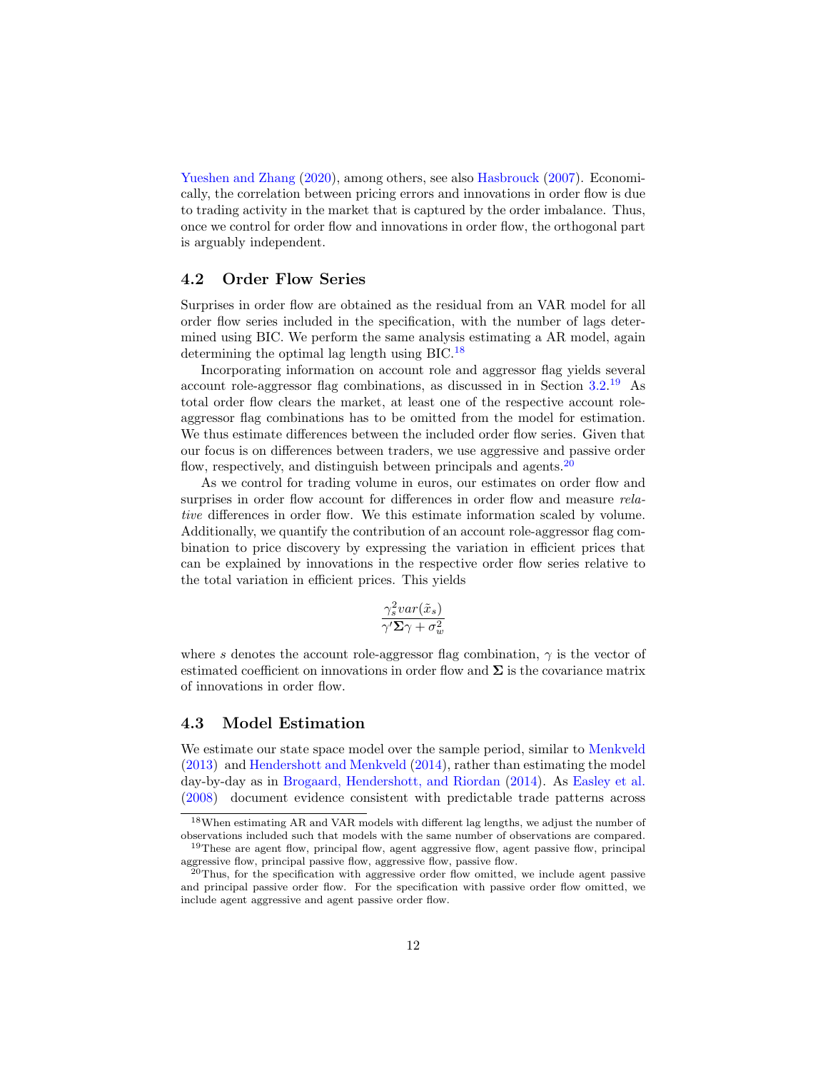[Yueshen and Zhang](#page-35-8) [\(2020\)](#page-35-8), among others, see also [Hasbrouck](#page-34-13) [\(2007\)](#page-34-13). Economically, the correlation between pricing errors and innovations in order flow is due to trading activity in the market that is captured by the order imbalance. Thus, once we control for order flow and innovations in order flow, the orthogonal part is arguably independent.

#### <span id="page-11-3"></span>4.2 Order Flow Series

Surprises in order flow are obtained as the residual from an VAR model for all order flow series included in the specification, with the number of lags determined using BIC. We perform the same analysis estimating a AR model, again determining the optimal lag length using BIC.[18](#page-11-0)

Incorporating information on account role and aggressor flag yields several account role-aggressor flag combinations, as discussed in in Section [3.2.](#page-8-1) [19](#page-11-1) As total order flow clears the market, at least one of the respective account roleaggressor flag combinations has to be omitted from the model for estimation. We thus estimate differences between the included order flow series. Given that our focus is on differences between traders, we use aggressive and passive order flow, respectively, and distinguish between principals and agents.<sup>[20](#page-11-2)</sup>

As we control for trading volume in euros, our estimates on order flow and surprises in order flow account for differences in order flow and measure *rela*tive differences in order flow. We this estimate information scaled by volume. Additionally, we quantify the contribution of an account role-aggressor flag combination to price discovery by expressing the variation in efficient prices that can be explained by innovations in the respective order flow series relative to the total variation in efficient prices. This yields

$$
\frac{\gamma_s^2 var(\tilde{x}_s)}{\gamma' \Sigma \gamma + \sigma_w^2}
$$

where s denotes the account role-aggressor flag combination,  $\gamma$  is the vector of estimated coefficient on innovations in order flow and  $\Sigma$  is the covariance matrix of innovations in order flow.

### 4.3 Model Estimation

We estimate our state space model over the sample period, similar to [Menkveld](#page-35-7) [\(2013\)](#page-35-7) and [Hendershott and Menkveld](#page-34-12) [\(2014\)](#page-34-12), rather than estimating the model day-by-day as in [Brogaard, Hendershott, and Riordan](#page-32-10) [\(2014\)](#page-32-10). As [Easley et al.](#page-33-14) [\(2008\)](#page-33-14) document evidence consistent with predictable trade patterns across

<span id="page-11-0"></span><sup>18</sup>When estimating AR and VAR models with different lag lengths, we adjust the number of observations included such that models with the same number of observations are compared.

<span id="page-11-1"></span><sup>&</sup>lt;sup>19</sup>These are agent flow, principal flow, agent aggressive flow, agent passive flow, principal aggressive flow, principal passive flow, aggressive flow, passive flow.

<span id="page-11-2"></span> $^{20}$ Thus, for the specification with aggressive order flow omitted, we include agent passive and principal passive order flow. For the specification with passive order flow omitted, we include agent aggressive and agent passive order flow.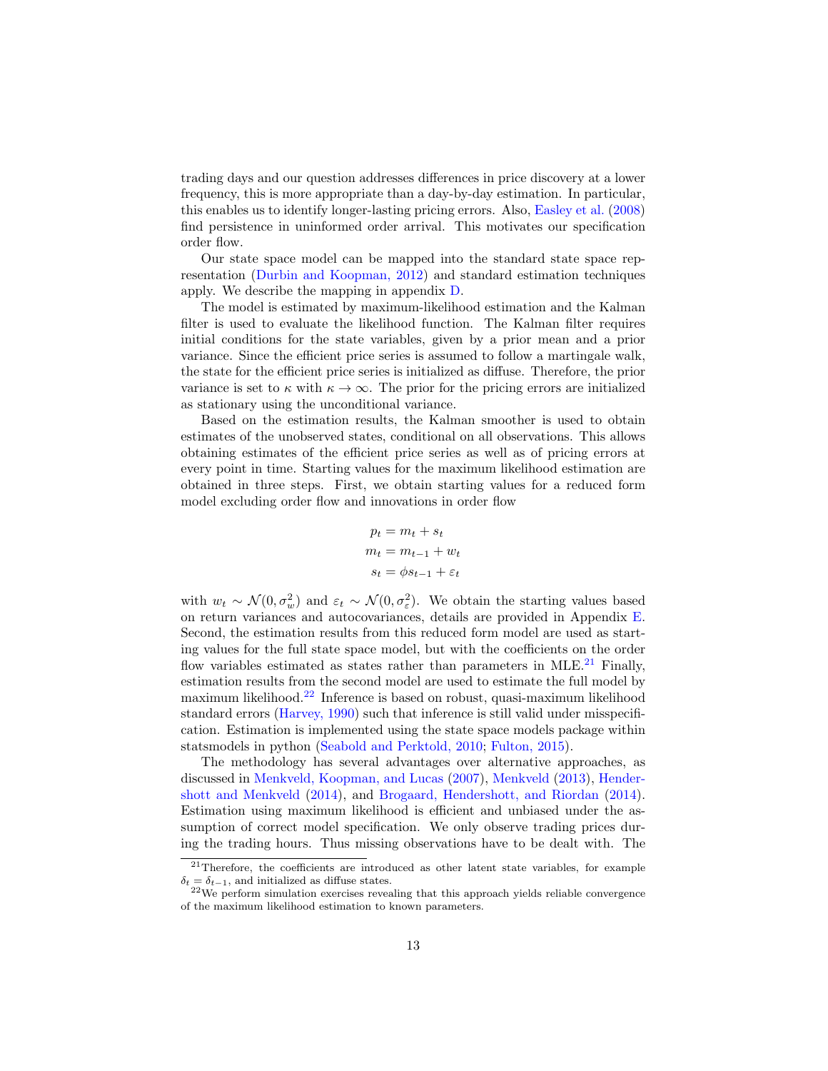trading days and our question addresses differences in price discovery at a lower frequency, this is more appropriate than a day-by-day estimation. In particular, this enables us to identify longer-lasting pricing errors. Also, [Easley et al.](#page-33-14) [\(2008\)](#page-33-14) find persistence in uninformed order arrival. This motivates our specification order flow.

Our state space model can be mapped into the standard state space representation [\(Durbin and Koopman,](#page-33-12) [2012\)](#page-33-12) and standard estimation techniques apply. We describe the mapping in appendix [D.](#page-49-0)

The model is estimated by maximum-likelihood estimation and the Kalman filter is used to evaluate the likelihood function. The Kalman filter requires initial conditions for the state variables, given by a prior mean and a prior variance. Since the efficient price series is assumed to follow a martingale walk, the state for the efficient price series is initialized as diffuse. Therefore, the prior variance is set to  $\kappa$  with  $\kappa \to \infty$ . The prior for the pricing errors are initialized as stationary using the unconditional variance.

Based on the estimation results, the Kalman smoother is used to obtain estimates of the unobserved states, conditional on all observations. This allows obtaining estimates of the efficient price series as well as of pricing errors at every point in time. Starting values for the maximum likelihood estimation are obtained in three steps. First, we obtain starting values for a reduced form model excluding order flow and innovations in order flow

$$
p_t = m_t + s_t
$$

$$
m_t = m_{t-1} + w_t
$$

$$
s_t = \phi s_{t-1} + \varepsilon_t
$$

with  $w_t \sim \mathcal{N}(0, \sigma_w^2)$  and  $\varepsilon_t \sim \mathcal{N}(0, \sigma_z^2)$ . We obtain the starting values based on return variances and autocovariances, details are provided in Appendix [E.](#page-51-0) Second, the estimation results from this reduced form model are used as starting values for the full state space model, but with the coefficients on the order flow variables estimated as states rather than parameters in MLE. $^{21}$  $^{21}$  $^{21}$  Finally, estimation results from the second model are used to estimate the full model by maximum likelihood.[22](#page-12-1) Inference is based on robust, quasi-maximum likelihood standard errors [\(Harvey,](#page-34-14) [1990\)](#page-34-14) such that inference is still valid under misspecification. Estimation is implemented using the state space models package within statsmodels in python [\(Seabold and Perktold,](#page-35-9) [2010;](#page-35-9) [Fulton,](#page-33-15) [2015\)](#page-33-15).

The methodology has several advantages over alternative approaches, as discussed in [Menkveld, Koopman, and Lucas](#page-35-5) [\(2007\)](#page-35-5), [Menkveld](#page-35-7) [\(2013\)](#page-35-7), [Hender](#page-34-12)[shott and Menkveld](#page-34-12) [\(2014\)](#page-34-12), and [Brogaard, Hendershott, and Riordan](#page-32-10) [\(2014\)](#page-32-10). Estimation using maximum likelihood is efficient and unbiased under the assumption of correct model specification. We only observe trading prices during the trading hours. Thus missing observations have to be dealt with. The

<span id="page-12-0"></span><sup>&</sup>lt;sup>21</sup>Therefore, the coefficients are introduced as other latent state variables, for example  $\delta_t = \delta_{t-1},$  and initialized as diffuse states.

<span id="page-12-1"></span> $22$ We perform simulation exercises revealing that this approach yields reliable convergence of the maximum likelihood estimation to known parameters.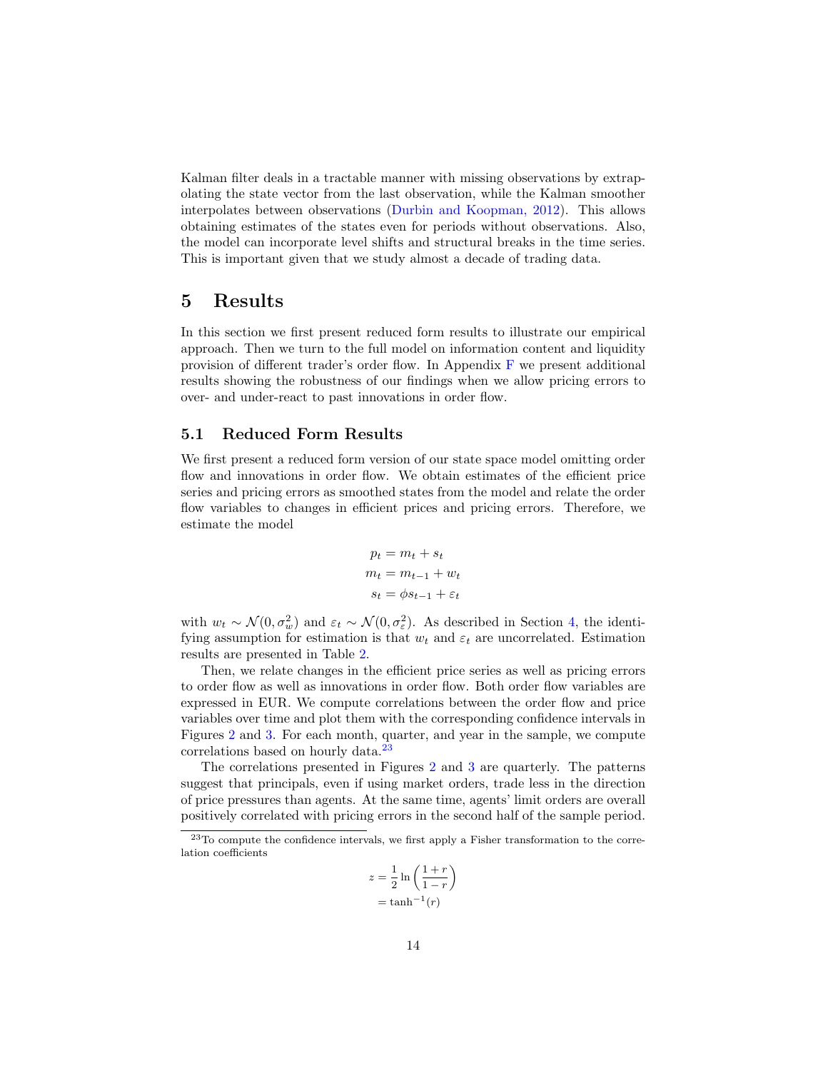Kalman filter deals in a tractable manner with missing observations by extrapolating the state vector from the last observation, while the Kalman smoother interpolates between observations [\(Durbin and Koopman,](#page-33-12) [2012\)](#page-33-12). This allows obtaining estimates of the states even for periods without observations. Also, the model can incorporate level shifts and structural breaks in the time series. This is important given that we study almost a decade of trading data.

### <span id="page-13-0"></span>5 Results

In this section we first present reduced form results to illustrate our empirical approach. Then we turn to the full model on information content and liquidity provision of different trader's order flow. In Appendix [F](#page-53-0) we present additional results showing the robustness of our findings when we allow pricing errors to over- and under-react to past innovations in order flow.

### 5.1 Reduced Form Results

We first present a reduced form version of our state space model omitting order flow and innovations in order flow. We obtain estimates of the efficient price series and pricing errors as smoothed states from the model and relate the order flow variables to changes in efficient prices and pricing errors. Therefore, we estimate the model

$$
p_t = m_t + s_t
$$

$$
m_t = m_{t-1} + w_t
$$

$$
s_t = \phi s_{t-1} + \varepsilon_t
$$

with  $w_t \sim \mathcal{N}(0, \sigma_w^2)$  and  $\varepsilon_t \sim \mathcal{N}(0, \sigma_{\varepsilon}^2)$ . As described in Section [4,](#page-10-0) the identifying assumption for estimation is that  $w_t$  and  $\varepsilon_t$  are uncorrelated. Estimation results are presented in Table [2.](#page-14-0)

Then, we relate changes in the efficient price series as well as pricing errors to order flow as well as innovations in order flow. Both order flow variables are expressed in EUR. We compute correlations between the order flow and price variables over time and plot them with the corresponding confidence intervals in Figures [2](#page-16-0) and [3.](#page-17-0) For each month, quarter, and year in the sample, we compute correlations based on hourly data.<sup>[23](#page-13-1)</sup>

The correlations presented in Figures [2](#page-16-0) and [3](#page-17-0) are quarterly. The patterns suggest that principals, even if using market orders, trade less in the direction of price pressures than agents. At the same time, agents' limit orders are overall positively correlated with pricing errors in the second half of the sample period.

$$
z = \frac{1}{2} \ln \left( \frac{1+r}{1-r} \right)
$$

$$
= \tanh^{-1}(r)
$$

<span id="page-13-1"></span><sup>&</sup>lt;sup>23</sup>To compute the confidence intervals, we first apply a Fisher transformation to the correlation coefficients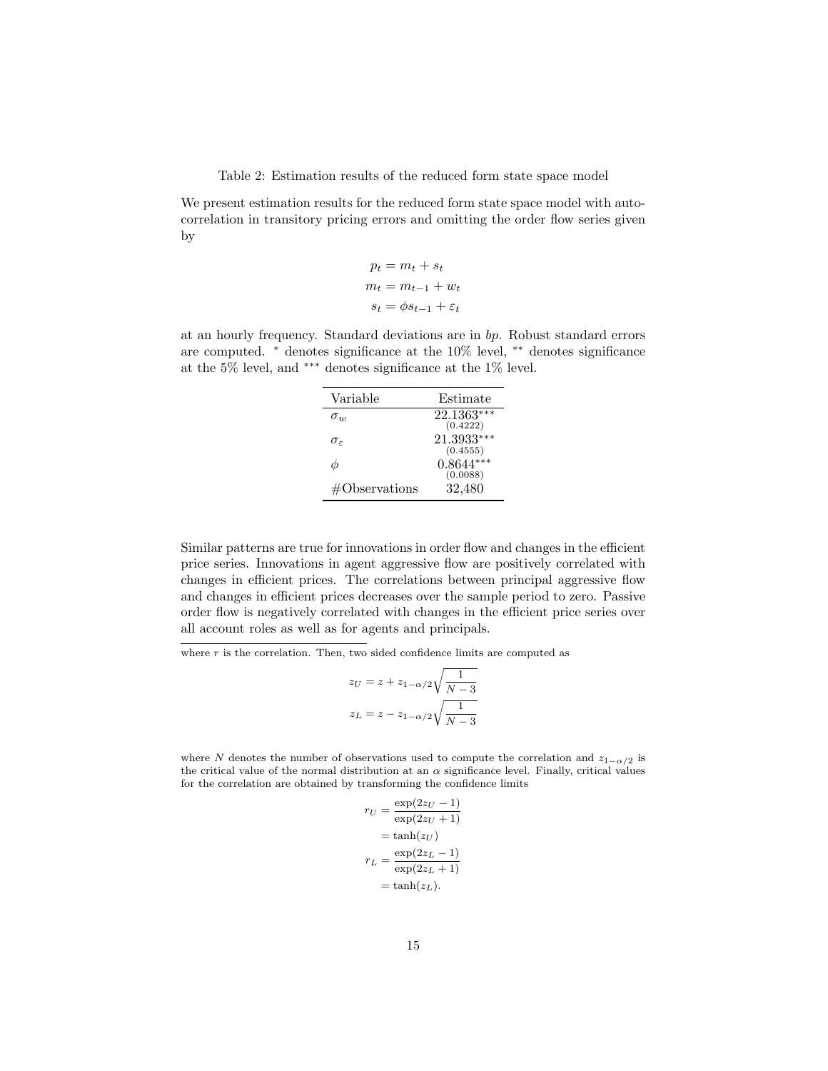Table 2: Estimation results of the reduced form state space model

<span id="page-14-0"></span>We present estimation results for the reduced form state space model with autocorrelation in transitory pricing errors and omitting the order flow series given by

$$
p_t = m_t + s_t
$$

$$
m_t = m_{t-1} + w_t
$$

$$
s_t = \phi s_{t-1} + \varepsilon_t
$$

at an hourly frequency. Standard deviations are in bp. Robust standard errors are computed. <sup>∗</sup> denotes significance at the 10% level, ∗∗ denotes significance at the 5% level, and ∗∗∗ denotes significance at the 1% level.

| Variable               | Estimate                |
|------------------------|-------------------------|
| $\sigma_{w}$           | 22.1363***<br>(0.4222)  |
| $\sigma_{\varepsilon}$ | 21.3933***<br>(0.4555)  |
| φ                      | $0.8644***$<br>(0.0088) |
| #Observations          | 32,480                  |

Similar patterns are true for innovations in order flow and changes in the efficient price series. Innovations in agent aggressive flow are positively correlated with changes in efficient prices. The correlations between principal aggressive flow and changes in efficient prices decreases over the sample period to zero. Passive order flow is negatively correlated with changes in the efficient price series over all account roles as well as for agents and principals.

where  $r$  is the correlation. Then, two sided confidence limits are computed as

$$
z_U = z + z_{1-\alpha/2} \sqrt{\frac{1}{N-3}}
$$

$$
z_L = z - z_{1-\alpha/2} \sqrt{\frac{1}{N-3}}
$$

where N denotes the number of observations used to compute the correlation and  $z_{1-\alpha/2}$  is the critical value of the normal distribution at an  $\alpha$  significance level. Finally, critical values for the correlation are obtained by transforming the confidence limits

$$
r_U = \frac{\exp(2z_U - 1)}{\exp(2z_U + 1)}
$$

$$
= \tanh(z_U)
$$

$$
r_L = \frac{\exp(2z_L - 1)}{\exp(2z_L + 1)}
$$

$$
= \tanh(z_L).
$$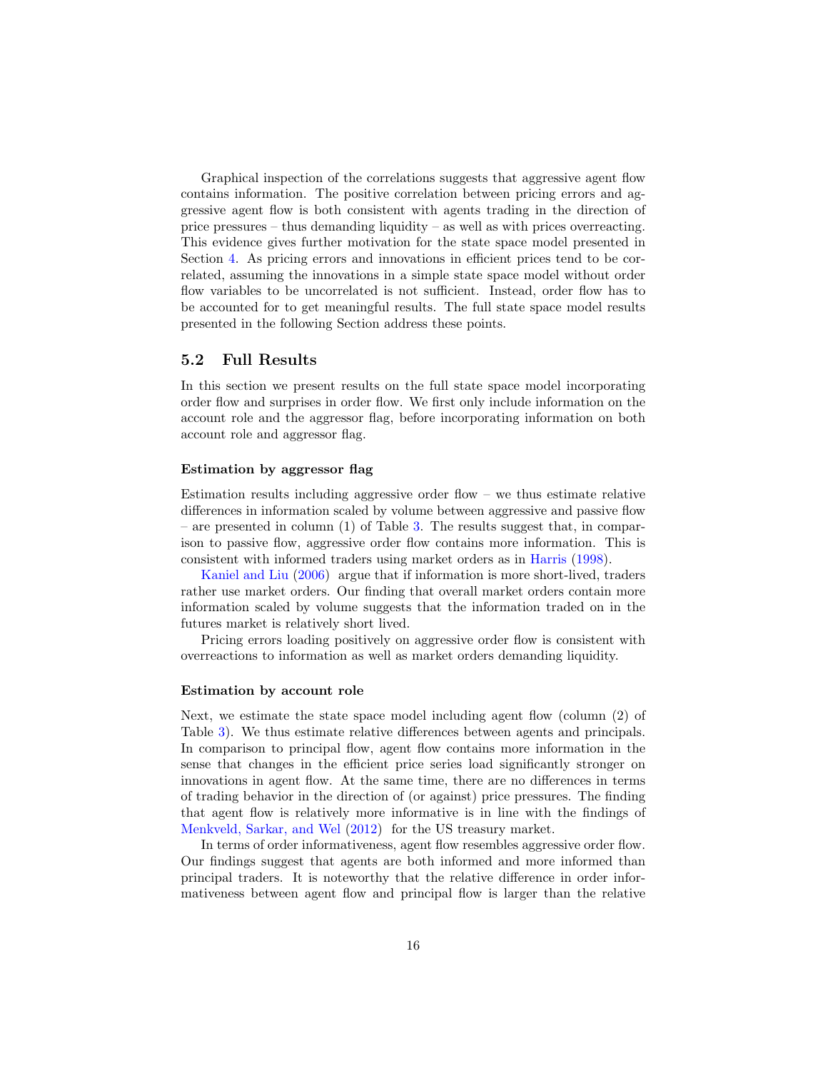Graphical inspection of the correlations suggests that aggressive agent flow contains information. The positive correlation between pricing errors and aggressive agent flow is both consistent with agents trading in the direction of price pressures – thus demanding liquidity – as well as with prices overreacting. This evidence gives further motivation for the state space model presented in Section [4.](#page-10-0) As pricing errors and innovations in efficient prices tend to be correlated, assuming the innovations in a simple state space model without order flow variables to be uncorrelated is not sufficient. Instead, order flow has to be accounted for to get meaningful results. The full state space model results presented in the following Section address these points.

#### 5.2 Full Results

In this section we present results on the full state space model incorporating order flow and surprises in order flow. We first only include information on the account role and the aggressor flag, before incorporating information on both account role and aggressor flag.

#### Estimation by aggressor flag

Estimation results including aggressive order flow – we thus estimate relative differences in information scaled by volume between aggressive and passive flow – are presented in column  $(1)$  of Table [3.](#page-18-0) The results suggest that, in comparison to passive flow, aggressive order flow contains more information. This is consistent with informed traders using market orders as in [Harris](#page-34-4) [\(1998\)](#page-34-4).

[Kaniel and Liu](#page-34-7) [\(2006\)](#page-34-7) argue that if information is more short-lived, traders rather use market orders. Our finding that overall market orders contain more information scaled by volume suggests that the information traded on in the futures market is relatively short lived.

Pricing errors loading positively on aggressive order flow is consistent with overreactions to information as well as market orders demanding liquidity.

#### Estimation by account role

Next, we estimate the state space model including agent flow (column (2) of Table [3\)](#page-18-0). We thus estimate relative differences between agents and principals. In comparison to principal flow, agent flow contains more information in the sense that changes in the efficient price series load significantly stronger on innovations in agent flow. At the same time, there are no differences in terms of trading behavior in the direction of (or against) price pressures. The finding that agent flow is relatively more informative is in line with the findings of [Menkveld, Sarkar, and Wel](#page-35-10) [\(2012\)](#page-35-10) for the US treasury market.

In terms of order informativeness, agent flow resembles aggressive order flow. Our findings suggest that agents are both informed and more informed than principal traders. It is noteworthy that the relative difference in order informativeness between agent flow and principal flow is larger than the relative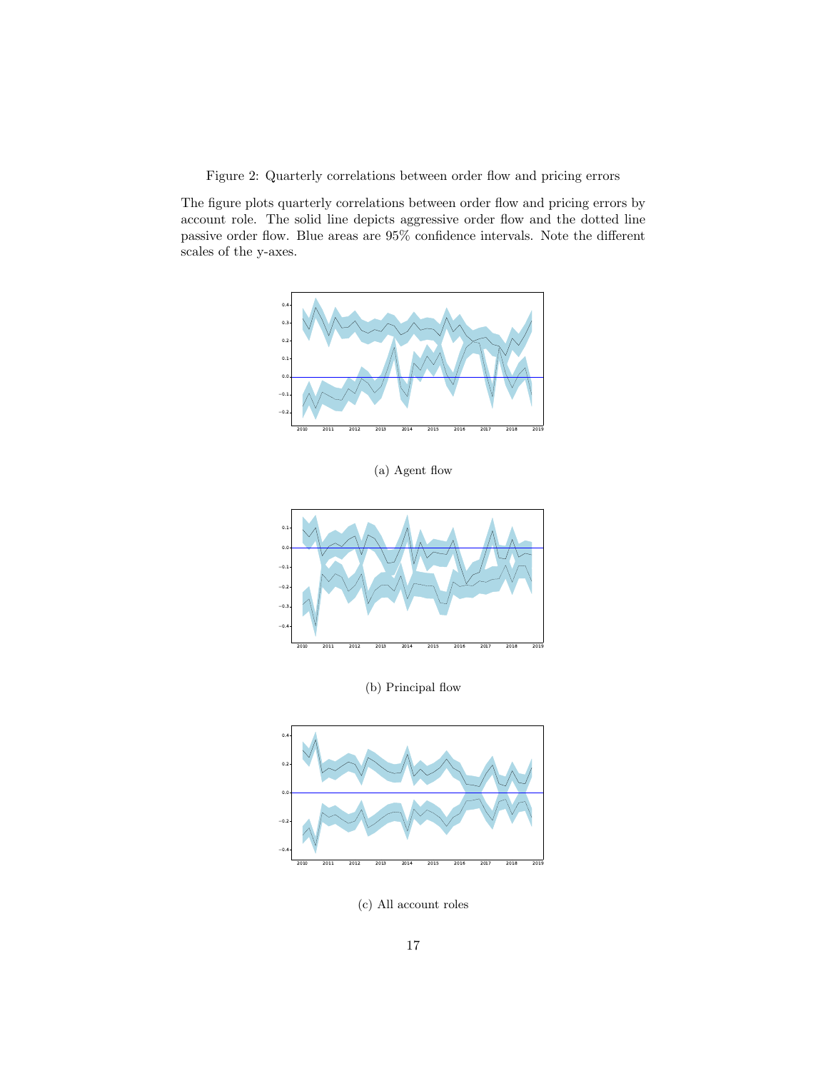<span id="page-16-0"></span>Figure 2: Quarterly correlations between order flow and pricing errors

The figure plots quarterly correlations between order flow and pricing errors by account role. The solid line depicts aggressive order flow and the dotted line passive order flow. Blue areas are 95% confidence intervals. Note the different scales of the y-axes.



(a) Agent flow



(b) Principal flow



(c) All account roles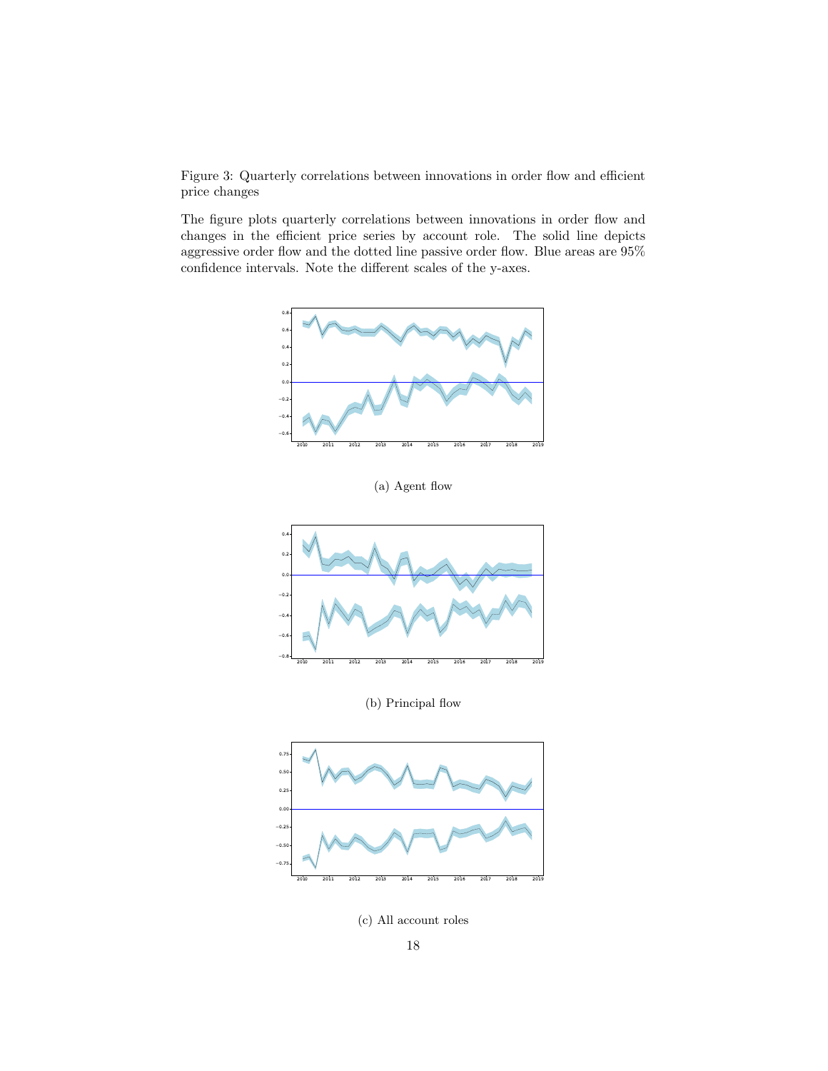<span id="page-17-0"></span>Figure 3: Quarterly correlations between innovations in order flow and efficient price changes

The figure plots quarterly correlations between innovations in order flow and changes in the efficient price series by account role. The solid line depicts aggressive order flow and the dotted line passive order flow. Blue areas are  $95\%$ confidence intervals. Note the different scales of the y-axes.



(a) Agent flow



(b) Principal flow



(c) All account roles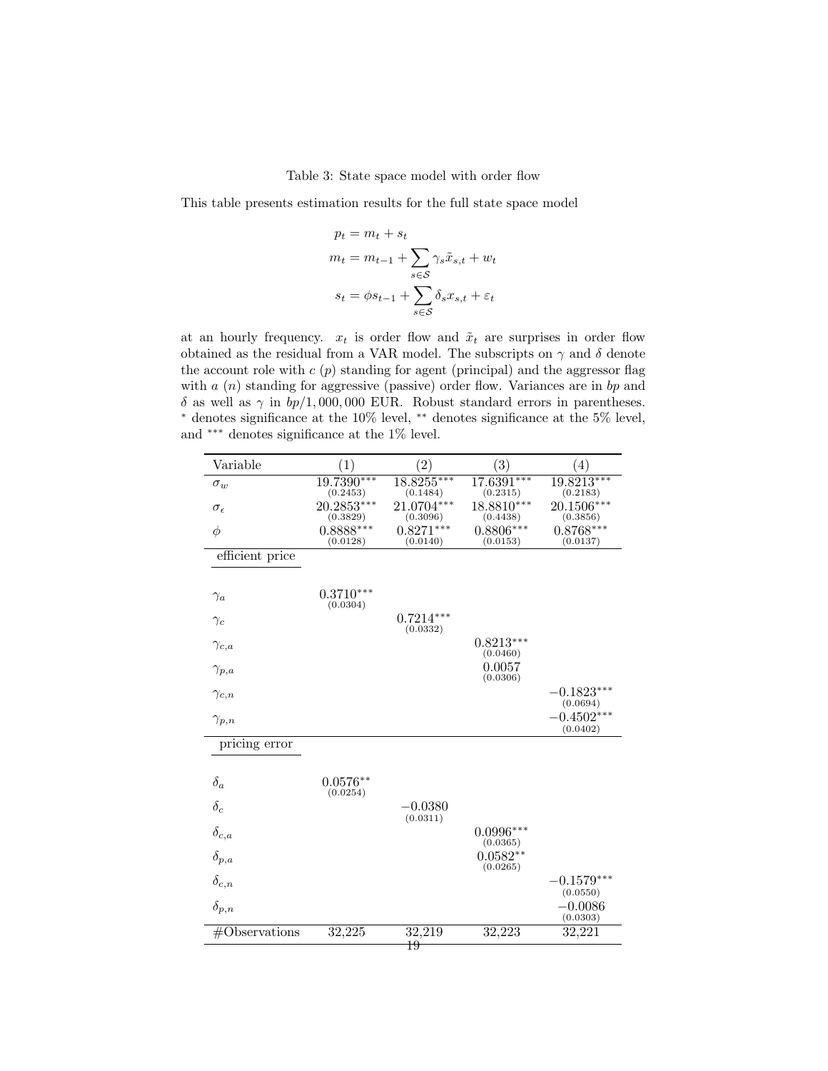Table 3: State space model with order flow

<span id="page-18-0"></span>This table presents estimation results for the full state space model

$$
p_t = m_t + s_t
$$
  
\n
$$
m_t = m_{t-1} + \sum_{s \in S} \gamma_s \tilde{x}_{s,t} + w_t
$$
  
\n
$$
s_t = \phi s_{t-1} + \sum_{s \in S} \delta_s x_{s,t} + \varepsilon_t
$$

at an hourly frequency.  $x_t$  is order flow and  $\tilde{x}_t$  are surprises in order flow obtained as the residual from a VAR model. The subscripts on  $\gamma$  and  $\delta$  denote the account role with  $c(p)$  standing for agent (principal) and the aggressor flag with  $a(n)$  standing for aggressive (passive) order flow. Variances are in bp and δ as well as  $\gamma$  in  $bp/1,000,000$  EUR. Robust standard errors in parentheses. <sup>∗</sup> denotes significance at the 10% level, ∗∗ denotes significance at the 5% level, and ∗∗∗ denotes significance at the 1% level.

| Variable            | (1)                     | (2)                     | (3)                     | (4)                                  |
|---------------------|-------------------------|-------------------------|-------------------------|--------------------------------------|
| $\sigma_w$          | 19.7390***<br>(0.2453)  | 18.8255***<br>(0.1484)  | 17.6391***<br>(0.2315)  | 19.8213***<br>(0.2183)               |
| $\sigma_{\epsilon}$ | 20.2853***<br>(0.3829)  | 21.0704***<br>(0.3096)  | 18.8810***<br>(0.4438)  | 20.1506***<br>(0.3856)               |
| $\phi$              | $0.8888***$<br>(0.0128) | $0.8271***$<br>(0.0140) | $0.8806***$<br>(0.0153) | $0.8768***$<br>(0.0137)              |
| efficient price     |                         |                         |                         |                                      |
| $\gamma_a$          | $0.3710***$<br>(0.0304) |                         |                         |                                      |
| $\gamma_c$          |                         | $0.7214***$<br>(0.0332) |                         |                                      |
| $\gamma_{c,a}$      |                         |                         | $0.8213***$<br>(0.0460) |                                      |
| $\gamma_{p,a}$      |                         |                         | 0.0057<br>(0.0306)      |                                      |
| $\gamma_{c,n}$      |                         |                         |                         | $-0.1823***$<br>(0.0694)             |
| $\gamma_{p,n}$      |                         |                         |                         | $-0.4502***$<br>(0.0402)             |
| pricing error       |                         |                         |                         |                                      |
| $\delta_a$          | $0.0576**$<br>(0.0254)  |                         |                         |                                      |
| $\delta_c$          |                         | -0.0380<br>(0.0311)     |                         |                                      |
| $\delta_{c,a}$      |                         |                         | $0.0996***$<br>(0.0365) |                                      |
| $\delta_{p,a}$      |                         |                         | $0.0582**$<br>(0.0265)  |                                      |
| $\delta_{c,n}$      |                         |                         |                         | $-0.1579^{\ast\ast\ast}$<br>(0.0550) |
| $\delta_{p,n}$      |                         |                         |                         | $-0.0086$<br>(0.0303)                |
| #Observations       | 32,225                  | 32,219<br>19            | 32,223                  | 32,221                               |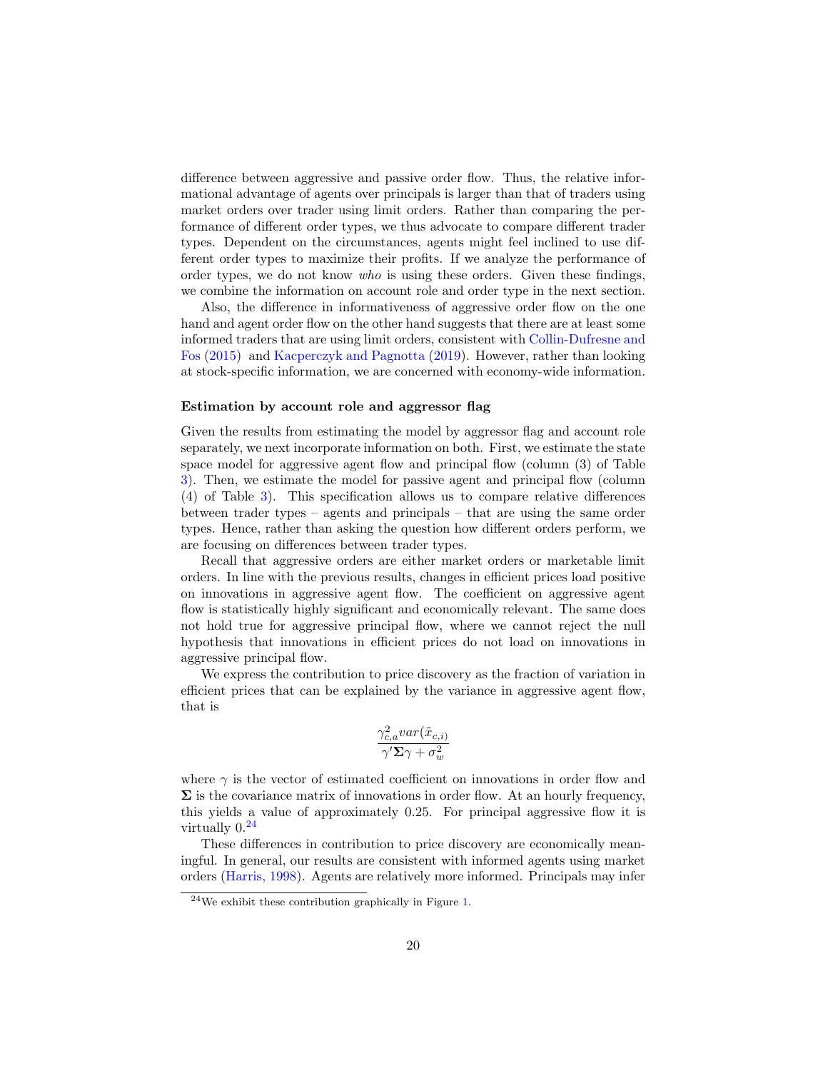difference between aggressive and passive order flow. Thus, the relative informational advantage of agents over principals is larger than that of traders using market orders over trader using limit orders. Rather than comparing the performance of different order types, we thus advocate to compare different trader types. Dependent on the circumstances, agents might feel inclined to use different order types to maximize their profits. If we analyze the performance of order types, we do not know who is using these orders. Given these findings, we combine the information on account role and order type in the next section.

Also, the difference in informativeness of aggressive order flow on the one hand and agent order flow on the other hand suggests that there are at least some informed traders that are using limit orders, consistent with [Collin-Dufresne and](#page-33-0) [Fos](#page-33-0) [\(2015\)](#page-33-0) and [Kacperczyk and Pagnotta](#page-34-0) [\(2019\)](#page-34-0). However, rather than looking at stock-specific information, we are concerned with economy-wide information.

#### Estimation by account role and aggressor flag

Given the results from estimating the model by aggressor flag and account role separately, we next incorporate information on both. First, we estimate the state space model for aggressive agent flow and principal flow (column (3) of Table [3\)](#page-18-0). Then, we estimate the model for passive agent and principal flow (column (4) of Table [3\)](#page-18-0). This specification allows us to compare relative differences between trader types – agents and principals – that are using the same order types. Hence, rather than asking the question how different orders perform, we are focusing on differences between trader types.

Recall that aggressive orders are either market orders or marketable limit orders. In line with the previous results, changes in efficient prices load positive on innovations in aggressive agent flow. The coefficient on aggressive agent flow is statistically highly significant and economically relevant. The same does not hold true for aggressive principal flow, where we cannot reject the null hypothesis that innovations in efficient prices do not load on innovations in aggressive principal flow.

We express the contribution to price discovery as the fraction of variation in efficient prices that can be explained by the variance in aggressive agent flow, that is

$$
\frac{\gamma_{c,a}^2 var(\tilde{x}_{c,i})}{\gamma' \Sigma \gamma + \sigma_w^2}
$$

where  $\gamma$  is the vector of estimated coefficient on innovations in order flow and  $\Sigma$  is the covariance matrix of innovations in order flow. At an hourly frequency, this yields a value of approximately 0.25. For principal aggressive flow it is virtually  $0.24$  $0.24$ 

These differences in contribution to price discovery are economically meaningful. In general, our results are consistent with informed agents using market orders [\(Harris,](#page-34-4) [1998\)](#page-34-4). Agents are relatively more informed. Principals may infer

<span id="page-19-0"></span><sup>24</sup>We exhibit these contribution graphically in Figure [1.](#page-2-0)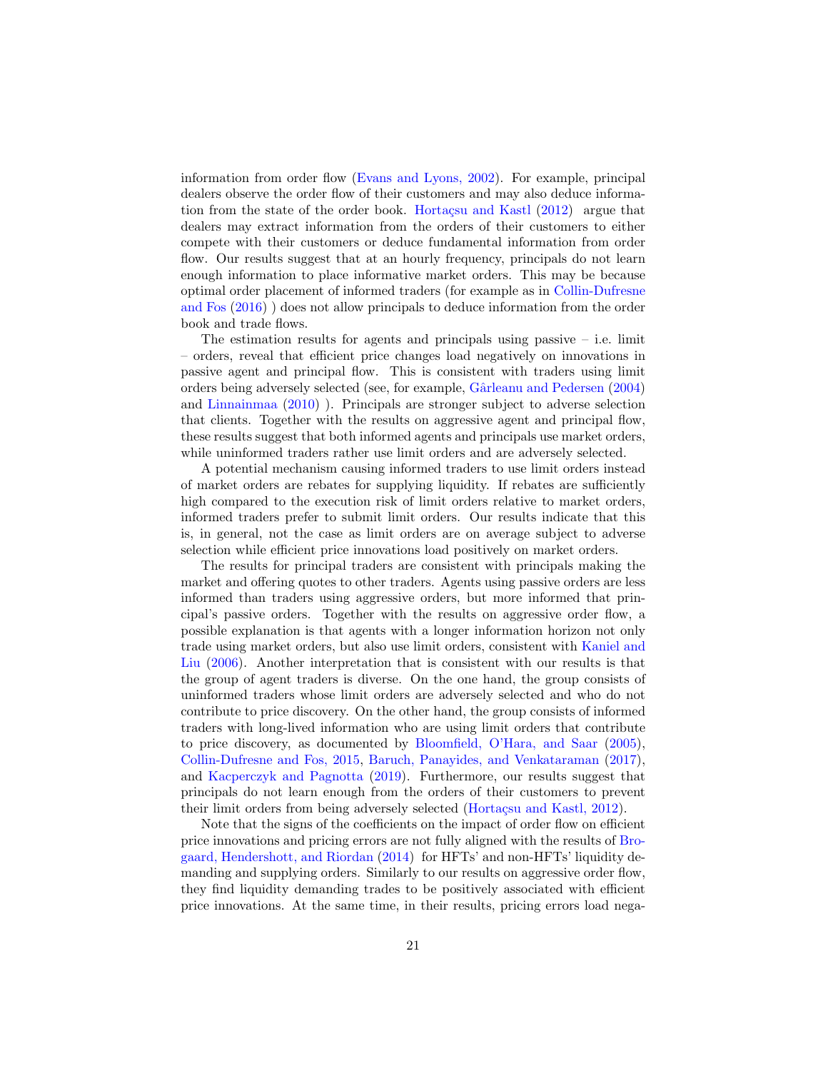information from order flow [\(Evans and Lyons,](#page-33-16) [2002\)](#page-33-16). For example, principal dealers observe the order flow of their customers and may also deduce information from the state of the order book. Hortacsu and Kastl  $(2012)$  argue that dealers may extract information from the orders of their customers to either compete with their customers or deduce fundamental information from order flow. Our results suggest that at an hourly frequency, principals do not learn enough information to place informative market orders. This may be because optimal order placement of informed traders (for example as in [Collin-Dufresne](#page-33-17) [and Fos](#page-33-17) [\(2016\)](#page-33-17) ) does not allow principals to deduce information from the order book and trade flows.

The estimation results for agents and principals using passive  $-$  i.e. limit – orders, reveal that efficient price changes load negatively on innovations in passive agent and principal flow. This is consistent with traders using limit orders being adversely selected (see, for example, [Gˆarleanu and Pedersen](#page-33-18) [\(2004\)](#page-33-18) and [Linnainmaa](#page-35-11) [\(2010\)](#page-35-11) ). Principals are stronger subject to adverse selection that clients. Together with the results on aggressive agent and principal flow, these results suggest that both informed agents and principals use market orders, while uninformed traders rather use limit orders and are adversely selected.

A potential mechanism causing informed traders to use limit orders instead of market orders are rebates for supplying liquidity. If rebates are sufficiently high compared to the execution risk of limit orders relative to market orders, informed traders prefer to submit limit orders. Our results indicate that this is, in general, not the case as limit orders are on average subject to adverse selection while efficient price innovations load positively on market orders.

The results for principal traders are consistent with principals making the market and offering quotes to other traders. Agents using passive orders are less informed than traders using aggressive orders, but more informed that principal's passive orders. Together with the results on aggressive order flow, a possible explanation is that agents with a longer information horizon not only trade using market orders, but also use limit orders, consistent with [Kaniel and](#page-34-7) [Liu](#page-34-7) [\(2006\)](#page-34-7). Another interpretation that is consistent with our results is that the group of agent traders is diverse. On the one hand, the group consists of uninformed traders whose limit orders are adversely selected and who do not contribute to price discovery. On the other hand, the group consists of informed traders with long-lived information who are using limit orders that contribute to price discovery, as documented by [Bloomfield, O'Hara, and Saar](#page-32-2) [\(2005\)](#page-32-2), [Collin-Dufresne and Fos,](#page-33-0) [2015,](#page-33-0) [Baruch, Panayides, and Venkataraman](#page-32-3) [\(2017\)](#page-32-3), and [Kacperczyk and Pagnotta](#page-34-0) [\(2019\)](#page-34-0). Furthermore, our results suggest that principals do not learn enough from the orders of their customers to prevent their limit orders from being adversely selected (Hortaçsu and Kastl, [2012\)](#page-34-15).

Note that the signs of the coefficients on the impact of order flow on efficient price innovations and pricing errors are not fully aligned with the results of [Bro](#page-32-10)[gaard, Hendershott, and Riordan](#page-32-10) [\(2014\)](#page-32-10) for HFTs' and non-HFTs' liquidity demanding and supplying orders. Similarly to our results on aggressive order flow, they find liquidity demanding trades to be positively associated with efficient price innovations. At the same time, in their results, pricing errors load nega-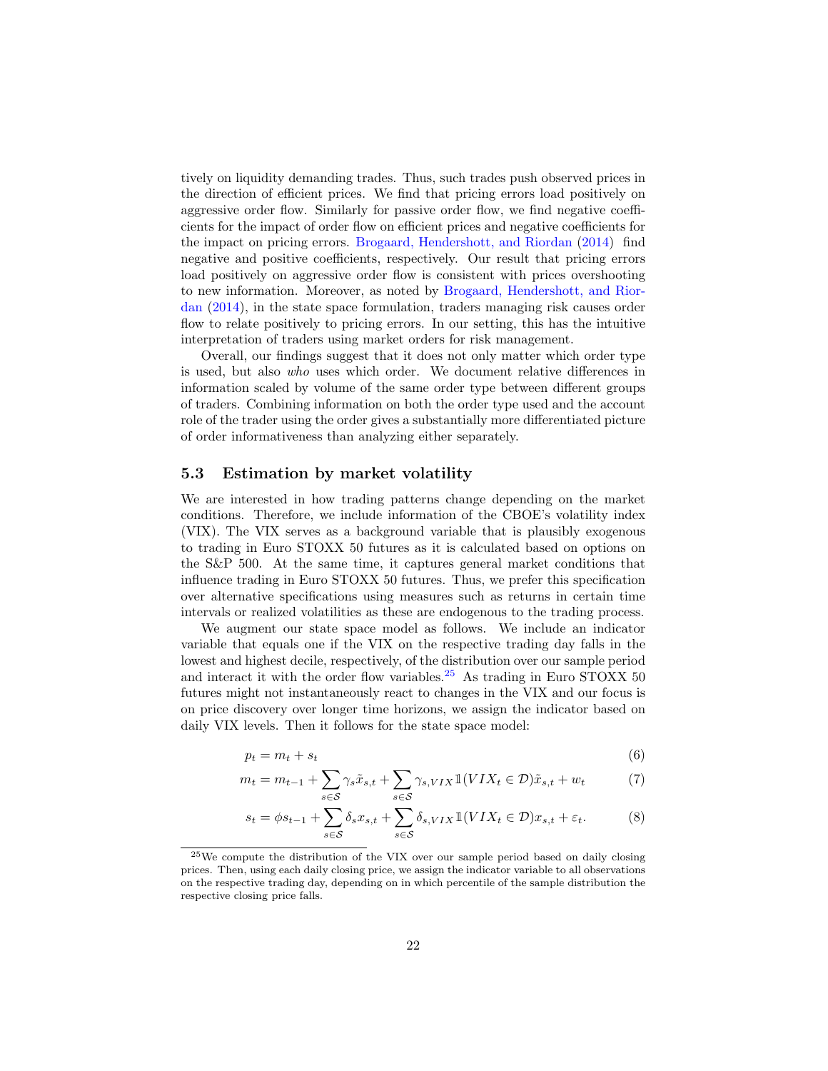tively on liquidity demanding trades. Thus, such trades push observed prices in the direction of efficient prices. We find that pricing errors load positively on aggressive order flow. Similarly for passive order flow, we find negative coefficients for the impact of order flow on efficient prices and negative coefficients for the impact on pricing errors. [Brogaard, Hendershott, and Riordan](#page-32-10) [\(2014\)](#page-32-10) find negative and positive coefficients, respectively. Our result that pricing errors load positively on aggressive order flow is consistent with prices overshooting to new information. Moreover, as noted by [Brogaard, Hendershott, and Rior](#page-32-10)[dan](#page-32-10) [\(2014\)](#page-32-10), in the state space formulation, traders managing risk causes order flow to relate positively to pricing errors. In our setting, this has the intuitive interpretation of traders using market orders for risk management.

Overall, our findings suggest that it does not only matter which order type is used, but also who uses which order. We document relative differences in information scaled by volume of the same order type between different groups of traders. Combining information on both the order type used and the account role of the trader using the order gives a substantially more differentiated picture of order informativeness than analyzing either separately.

#### <span id="page-21-1"></span>5.3 Estimation by market volatility

We are interested in how trading patterns change depending on the market conditions. Therefore, we include information of the CBOE's volatility index (VIX). The VIX serves as a background variable that is plausibly exogenous to trading in Euro STOXX 50 futures as it is calculated based on options on the S&P 500. At the same time, it captures general market conditions that influence trading in Euro STOXX 50 futures. Thus, we prefer this specification over alternative specifications using measures such as returns in certain time intervals or realized volatilities as these are endogenous to the trading process.

We augment our state space model as follows. We include an indicator variable that equals one if the VIX on the respective trading day falls in the lowest and highest decile, respectively, of the distribution over our sample period and interact it with the order flow variables. $25$  As trading in Euro STOXX 50 futures might not instantaneously react to changes in the VIX and our focus is on price discovery over longer time horizons, we assign the indicator based on daily VIX levels. Then it follows for the state space model:

$$
p_t = m_t + s_t \tag{6}
$$

$$
m_t = m_{t-1} + \sum_{s \in \mathcal{S}} \gamma_s \tilde{x}_{s,t} + \sum_{s \in \mathcal{S}} \gamma_{s,VIX} \mathbb{1}(VIX_t \in \mathcal{D})\tilde{x}_{s,t} + w_t \tag{7}
$$

$$
s_t = \phi s_{t-1} + \sum_{s \in \mathcal{S}} \delta_s x_{s,t} + \sum_{s \in \mathcal{S}} \delta_{s, VIX} 1(VIX_t \in \mathcal{D}) x_{s,t} + \varepsilon_t.
$$
 (8)

<span id="page-21-0"></span><sup>25</sup>We compute the distribution of the VIX over our sample period based on daily closing prices. Then, using each daily closing price, we assign the indicator variable to all observations on the respective trading day, depending on in which percentile of the sample distribution the respective closing price falls.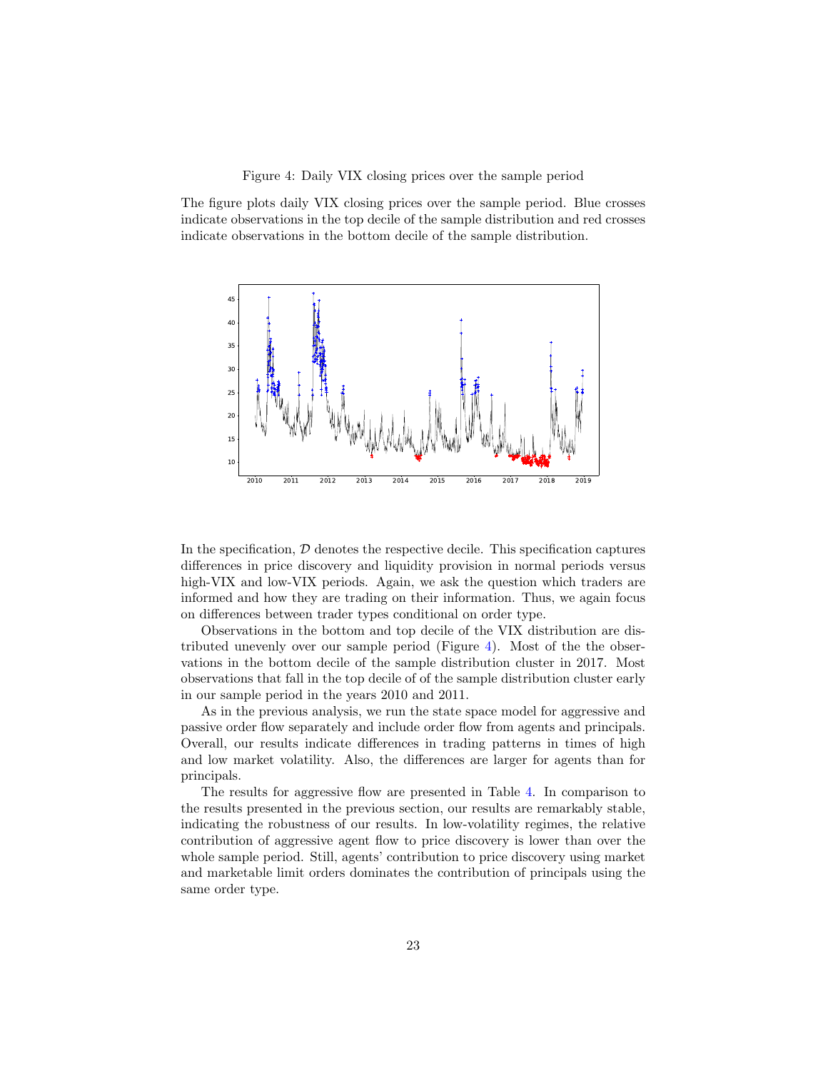Figure 4: Daily VIX closing prices over the sample period

<span id="page-22-0"></span>The figure plots daily VIX closing prices over the sample period. Blue crosses indicate observations in the top decile of the sample distribution and red crosses indicate observations in the bottom decile of the sample distribution.



In the specification,  $D$  denotes the respective decile. This specification captures differences in price discovery and liquidity provision in normal periods versus high-VIX and low-VIX periods. Again, we ask the question which traders are informed and how they are trading on their information. Thus, we again focus on differences between trader types conditional on order type.

Observations in the bottom and top decile of the VIX distribution are distributed unevenly over our sample period (Figure [4\)](#page-22-0). Most of the the observations in the bottom decile of the sample distribution cluster in 2017. Most observations that fall in the top decile of of the sample distribution cluster early in our sample period in the years 2010 and 2011.

As in the previous analysis, we run the state space model for aggressive and passive order flow separately and include order flow from agents and principals. Overall, our results indicate differences in trading patterns in times of high and low market volatility. Also, the differences are larger for agents than for principals.

The results for aggressive flow are presented in Table [4.](#page-24-0) In comparison to the results presented in the previous section, our results are remarkably stable, indicating the robustness of our results. In low-volatility regimes, the relative contribution of aggressive agent flow to price discovery is lower than over the whole sample period. Still, agents' contribution to price discovery using market and marketable limit orders dominates the contribution of principals using the same order type.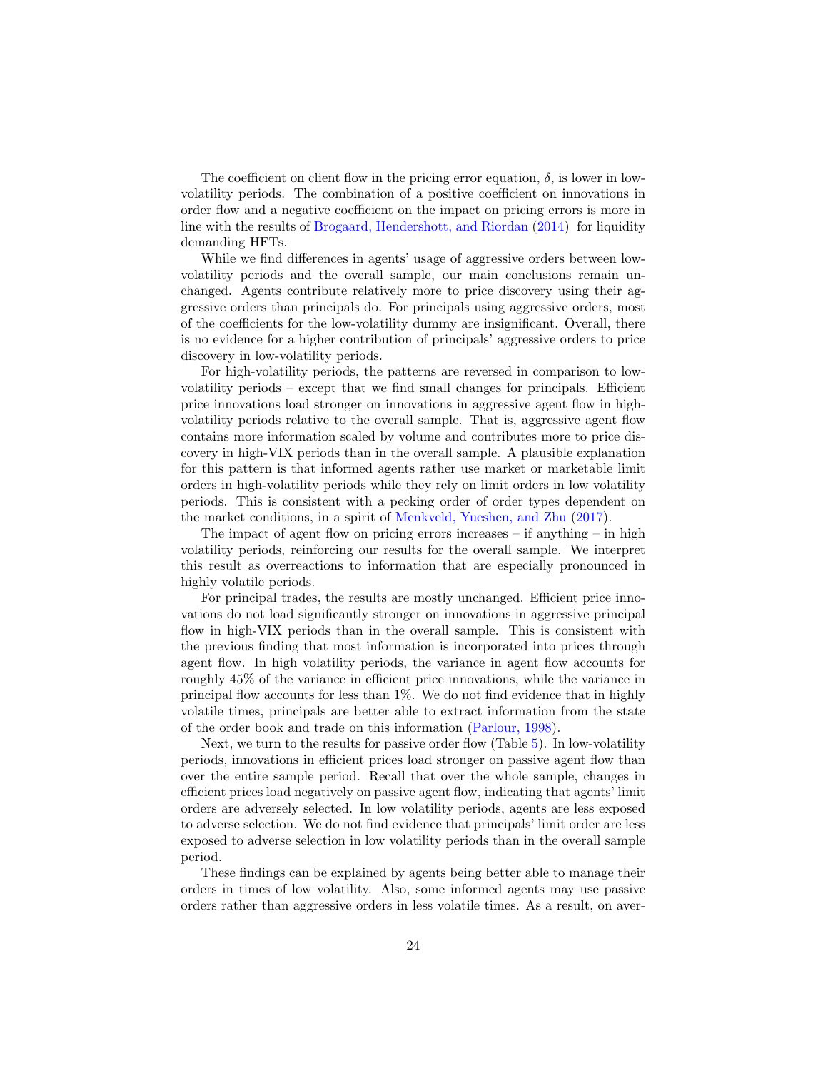The coefficient on client flow in the pricing error equation,  $\delta$ , is lower in lowvolatility periods. The combination of a positive coefficient on innovations in order flow and a negative coefficient on the impact on pricing errors is more in line with the results of [Brogaard, Hendershott, and Riordan](#page-32-10) [\(2014\)](#page-32-10) for liquidity demanding HFTs.

While we find differences in agents' usage of aggressive orders between lowvolatility periods and the overall sample, our main conclusions remain unchanged. Agents contribute relatively more to price discovery using their aggressive orders than principals do. For principals using aggressive orders, most of the coefficients for the low-volatility dummy are insignificant. Overall, there is no evidence for a higher contribution of principals' aggressive orders to price discovery in low-volatility periods.

For high-volatility periods, the patterns are reversed in comparison to lowvolatility periods – except that we find small changes for principals. Efficient price innovations load stronger on innovations in aggressive agent flow in highvolatility periods relative to the overall sample. That is, aggressive agent flow contains more information scaled by volume and contributes more to price discovery in high-VIX periods than in the overall sample. A plausible explanation for this pattern is that informed agents rather use market or marketable limit orders in high-volatility periods while they rely on limit orders in low volatility periods. This is consistent with a pecking order of order types dependent on the market conditions, in a spirit of [Menkveld, Yueshen, and Zhu](#page-35-0) [\(2017\)](#page-35-0).

The impact of agent flow on pricing errors increases  $-$  if anything  $-$  in high volatility periods, reinforcing our results for the overall sample. We interpret this result as overreactions to information that are especially pronounced in highly volatile periods.

For principal trades, the results are mostly unchanged. Efficient price innovations do not load significantly stronger on innovations in aggressive principal flow in high-VIX periods than in the overall sample. This is consistent with the previous finding that most information is incorporated into prices through agent flow. In high volatility periods, the variance in agent flow accounts for roughly 45% of the variance in efficient price innovations, while the variance in principal flow accounts for less than 1%. We do not find evidence that in highly volatile times, principals are better able to extract information from the state of the order book and trade on this information [\(Parlour,](#page-35-3) [1998\)](#page-35-3).

Next, we turn to the results for passive order flow (Table [5\)](#page-25-0). In low-volatility periods, innovations in efficient prices load stronger on passive agent flow than over the entire sample period. Recall that over the whole sample, changes in efficient prices load negatively on passive agent flow, indicating that agents' limit orders are adversely selected. In low volatility periods, agents are less exposed to adverse selection. We do not find evidence that principals' limit order are less exposed to adverse selection in low volatility periods than in the overall sample period.

These findings can be explained by agents being better able to manage their orders in times of low volatility. Also, some informed agents may use passive orders rather than aggressive orders in less volatile times. As a result, on aver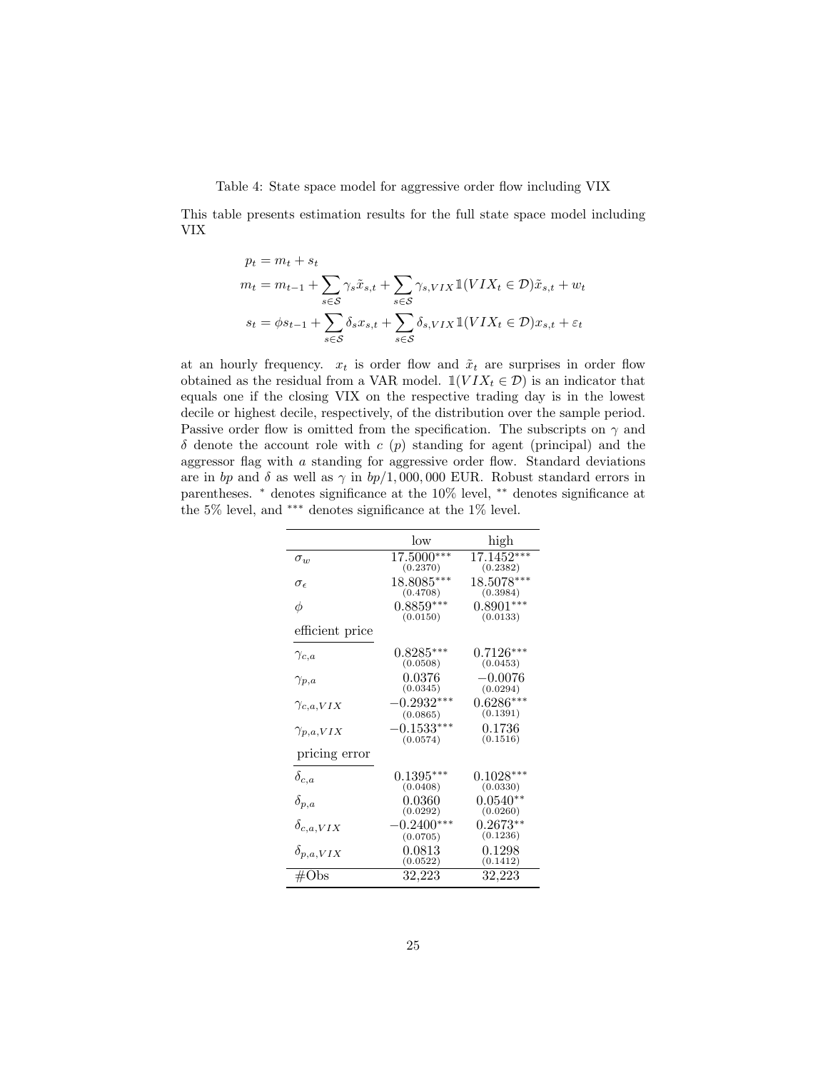<span id="page-24-0"></span>Table 4: State space model for aggressive order flow including VIX

This table presents estimation results for the full state space model including VIX

$$
p_t = m_t + s_t
$$
  
\n
$$
m_t = m_{t-1} + \sum_{s \in S} \gamma_s \tilde{x}_{s,t} + \sum_{s \in S} \gamma_{s,VIX} \mathbb{1}(VIX_t \in \mathcal{D})\tilde{x}_{s,t} + w_t
$$
  
\n
$$
s_t = \phi s_{t-1} + \sum_{s \in S} \delta_s x_{s,t} + \sum_{s \in S} \delta_{s,VIX} \mathbb{1}(VIX_t \in \mathcal{D})x_{s,t} + \varepsilon_t
$$

at an hourly frequency.  $x_t$  is order flow and  $\tilde{x}_t$  are surprises in order flow obtained as the residual from a VAR model.  $\mathbb{1}(VIX_t \in \mathcal{D})$  is an indicator that equals one if the closing VIX on the respective trading day is in the lowest decile or highest decile, respectively, of the distribution over the sample period. Passive order flow is omitted from the specification. The subscripts on  $\gamma$  and  $\delta$  denote the account role with c (p) standing for agent (principal) and the aggressor flag with  $a$  standing for aggressive order flow. Standard deviations are in bp and  $\delta$  as well as  $\gamma$  in bp/1,000,000 EUR. Robust standard errors in parentheses. <sup>∗</sup> denotes significance at the 10% level, ∗∗ denotes significance at the 5% level, and ∗∗∗ denotes significance at the 1% level.

|                     | low                      | high                     |
|---------------------|--------------------------|--------------------------|
| $\sigma_{w}$        | 17.5000***<br>(0.2370)   | $17.1452***$<br>(0.2382) |
| $\sigma_{\epsilon}$ | 18.8085***<br>(0.4708)   | 18.5078***<br>(0.3984)   |
| φ                   | $0.8859***$<br>(0.0150)  | $0.8901***$<br>(0.0133)  |
| efficient price     |                          |                          |
| $\gamma_{c,a}$      | $0.8285***$<br>(0.0508)  | $0.7126***$<br>(0.0453)  |
| $\gamma_{p,a}$      | 0.0376<br>(0.0345)       | $-0.0076$<br>(0.0294)    |
| $\gamma_{c,a,VIX}$  | $-0.2932***$<br>(0.0865) | $0.6286***$<br>(0.1391)  |
| $\gamma_{p,a,VIX}$  | $-0.1533***$<br>(0.0574) | ${0.1736}$<br>(0.1516)   |
| pricing error       |                          |                          |
| $\delta_{c,a}$      | $0.1395***$<br>(0.0408)  | $0.1028***$<br>(0.0330)  |
| $\delta_{p,a}$      | 0.0360<br>(0.0292)       | $0.0540**$<br>(0.0260)   |
| $\delta_{c,a,VIX}$  | $-0.2400***$<br>(0.0705) | $0.2673**$<br>(0.1236)   |
| $\delta_{p,a,VIX}$  | $\,0.0813\,$<br>(0.0522) | 0.1298<br>(0.1412)       |
| $\#\mathrm{Obs}$    | 32,223                   | 32,223                   |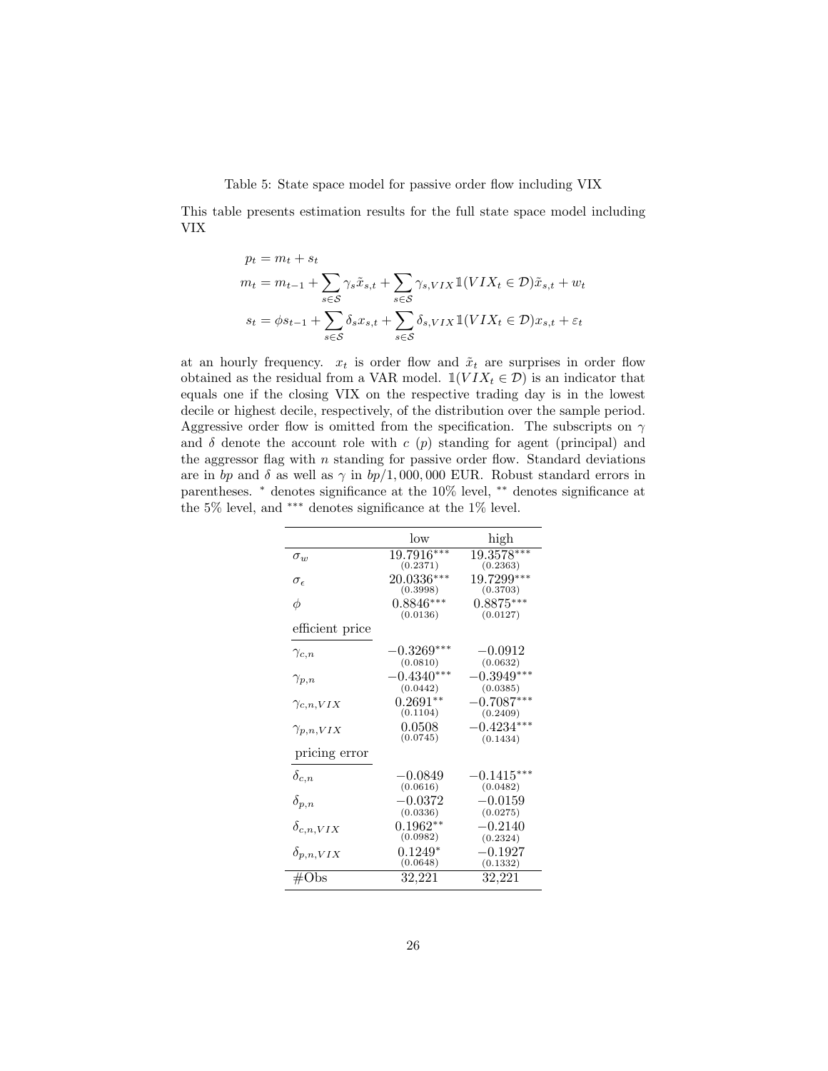Table 5: State space model for passive order flow including VIX

<span id="page-25-0"></span>This table presents estimation results for the full state space model including VIX

$$
p_t = m_t + s_t
$$
  
\n
$$
m_t = m_{t-1} + \sum_{s \in S} \gamma_s \tilde{x}_{s,t} + \sum_{s \in S} \gamma_{s,VIX} \mathbb{1}(VIX_t \in \mathcal{D})\tilde{x}_{s,t} + w_t
$$
  
\n
$$
s_t = \phi s_{t-1} + \sum_{s \in S} \delta_s x_{s,t} + \sum_{s \in S} \delta_{s,VIX} \mathbb{1}(VIX_t \in \mathcal{D})x_{s,t} + \varepsilon_t
$$

at an hourly frequency.  $x_t$  is order flow and  $\tilde{x}_t$  are surprises in order flow obtained as the residual from a VAR model.  $\mathbb{1}(VIX_t \in \mathcal{D})$  is an indicator that equals one if the closing VIX on the respective trading day is in the lowest decile or highest decile, respectively, of the distribution over the sample period. Aggressive order flow is omitted from the specification. The subscripts on  $\gamma$ and  $\delta$  denote the account role with c (p) standing for agent (principal) and the aggressor flag with  $n$  standing for passive order flow. Standard deviations are in bp and  $\delta$  as well as  $\gamma$  in bp/1,000,000 EUR. Robust standard errors in parentheses. <sup>∗</sup> denotes significance at the 10% level, ∗∗ denotes significance at the 5% level, and  $\hbox{***}$  denotes significance at the 1% level.

|                     | low                             | high                     |
|---------------------|---------------------------------|--------------------------|
| $\sigma_w$          | 19.7916***<br>(0.2371)          | 19.3578***<br>(0.2363)   |
| $\sigma_{\epsilon}$ | 20.0336***<br>(0.3998)          | 19.7299***<br>(0.3703)   |
| φ                   | $0.8846***$<br>(0.0136)         | $0.8875***$<br>(0.0127)  |
| efficient price     |                                 |                          |
| $\gamma_{c,n}$      | $-0.3269***$<br>(0.0810)        | $-0.0912$<br>(0.0632)    |
| $\gamma_{p,n}$      | $-0.4340***$<br>(0.0442)        | $-0.3949***$<br>(0.0385) |
| $\gamma_{c,n,VIX}$  | $0.2691^{\ast\ast}$<br>(0.1104) | $-0.7087***$<br>(0.2409) |
| $\gamma_{p,n,VIX}$  | 0.0508<br>(0.0745)              | $-0.4234***$<br>(0.1434) |
| pricing error       |                                 |                          |
| $\delta_{c,n}$      | $-0.0849$<br>(0.0616)           | $-0.1415***$<br>(0.0482) |
| $\delta_{p,n}$      | $-0.0372$<br>(0.0336)           | $-0.0159$<br>(0.0275)    |
| $\delta_{c,n,VIX}$  | $0.1962**$<br>(0.0982)          | $-0.2140$<br>(0.2324)    |
| $\delta_{p,n,VIX}$  | $0.1249*$<br>(0.0648)           | $-0.1927$<br>(0.1332)    |
| #Obs                | 32,221                          | 32,221                   |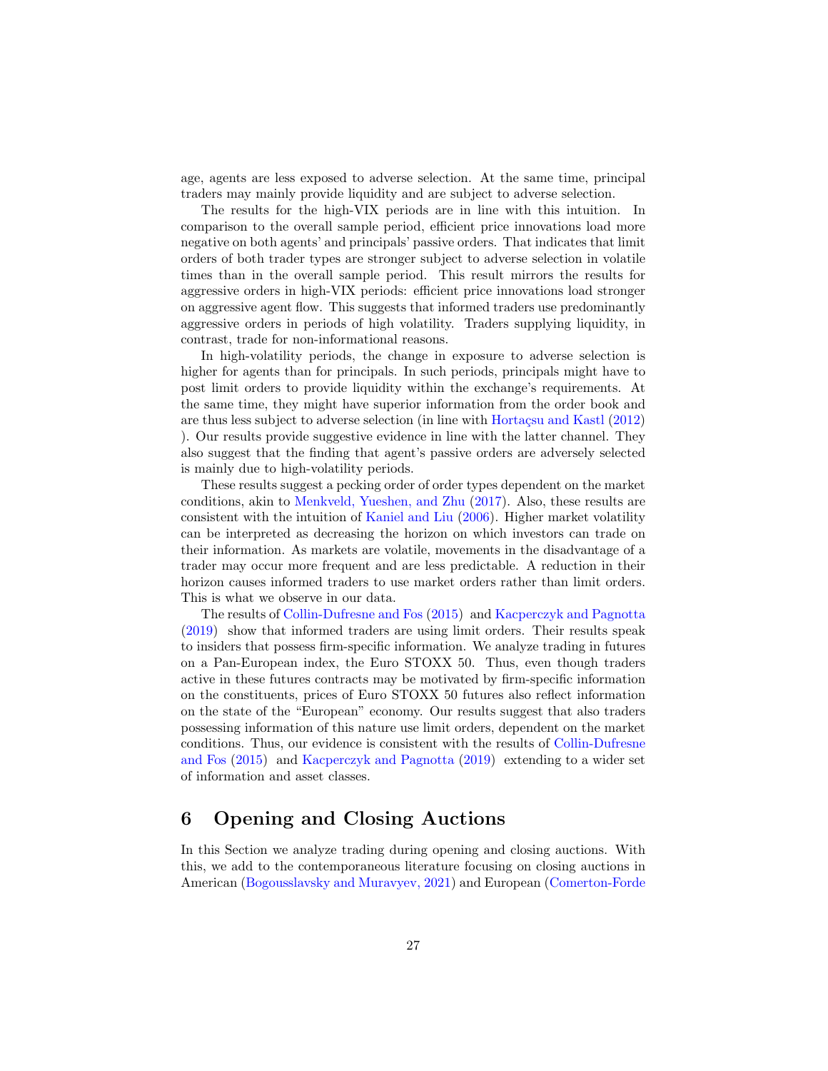age, agents are less exposed to adverse selection. At the same time, principal traders may mainly provide liquidity and are subject to adverse selection.

The results for the high-VIX periods are in line with this intuition. In comparison to the overall sample period, efficient price innovations load more negative on both agents' and principals' passive orders. That indicates that limit orders of both trader types are stronger subject to adverse selection in volatile times than in the overall sample period. This result mirrors the results for aggressive orders in high-VIX periods: efficient price innovations load stronger on aggressive agent flow. This suggests that informed traders use predominantly aggressive orders in periods of high volatility. Traders supplying liquidity, in contrast, trade for non-informational reasons.

In high-volatility periods, the change in exposure to adverse selection is higher for agents than for principals. In such periods, principals might have to post limit orders to provide liquidity within the exchange's requirements. At the same time, they might have superior information from the order book and are thus less subject to adverse selection (in line with Hortaçsu and Kastl [\(2012\)](#page-34-15) ). Our results provide suggestive evidence in line with the latter channel. They also suggest that the finding that agent's passive orders are adversely selected is mainly due to high-volatility periods.

These results suggest a pecking order of order types dependent on the market conditions, akin to [Menkveld, Yueshen, and Zhu](#page-35-0) [\(2017\)](#page-35-0). Also, these results are consistent with the intuition of [Kaniel and Liu](#page-34-7) [\(2006\)](#page-34-7). Higher market volatility can be interpreted as decreasing the horizon on which investors can trade on their information. As markets are volatile, movements in the disadvantage of a trader may occur more frequent and are less predictable. A reduction in their horizon causes informed traders to use market orders rather than limit orders. This is what we observe in our data.

The results of [Collin-Dufresne and Fos](#page-33-0) [\(2015\)](#page-33-0) and [Kacperczyk and Pagnotta](#page-34-0) [\(2019\)](#page-34-0) show that informed traders are using limit orders. Their results speak to insiders that possess firm-specific information. We analyze trading in futures on a Pan-European index, the Euro STOXX 50. Thus, even though traders active in these futures contracts may be motivated by firm-specific information on the constituents, prices of Euro STOXX 50 futures also reflect information on the state of the "European" economy. Our results suggest that also traders possessing information of this nature use limit orders, dependent on the market conditions. Thus, our evidence is consistent with the results of [Collin-Dufresne](#page-33-0) [and Fos](#page-33-0) [\(2015\)](#page-33-0) and [Kacperczyk and Pagnotta](#page-34-0) [\(2019\)](#page-34-0) extending to a wider set of information and asset classes.

# <span id="page-26-0"></span>6 Opening and Closing Auctions

In this Section we analyze trading during opening and closing auctions. With this, we add to the contemporaneous literature focusing on closing auctions in American [\(Bogousslavsky and Muravyev,](#page-32-0) [2021\)](#page-32-0) and European [\(Comerton-Forde](#page-33-1)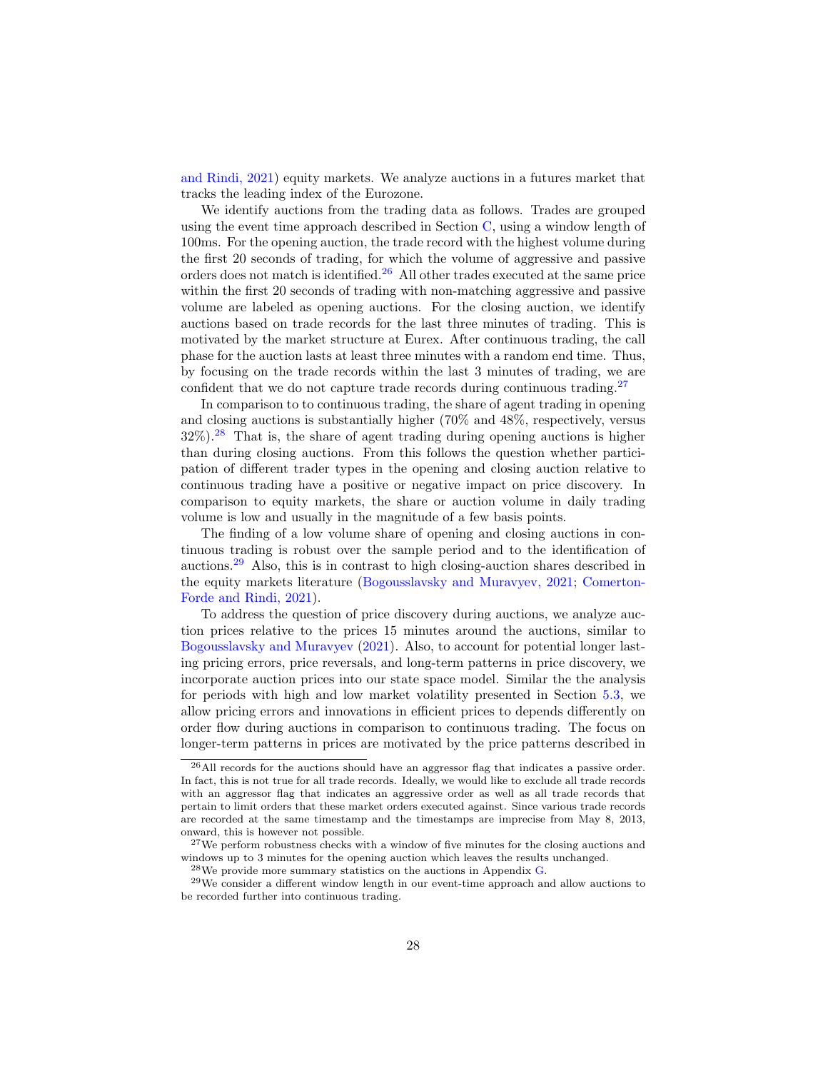[and Rindi,](#page-33-1) [2021\)](#page-33-1) equity markets. We analyze auctions in a futures market that tracks the leading index of the Eurozone.

We identify auctions from the trading data as follows. Trades are grouped using the event time approach described in Section [C,](#page-48-0) using a window length of 100ms. For the opening auction, the trade record with the highest volume during the first 20 seconds of trading, for which the volume of aggressive and passive orders does not match is identified.<sup>[26](#page-27-0)</sup> All other trades executed at the same price within the first 20 seconds of trading with non-matching aggressive and passive volume are labeled as opening auctions. For the closing auction, we identify auctions based on trade records for the last three minutes of trading. This is motivated by the market structure at Eurex. After continuous trading, the call phase for the auction lasts at least three minutes with a random end time. Thus, by focusing on the trade records within the last 3 minutes of trading, we are confident that we do not capture trade records during continuous trading.<sup>[27](#page-27-1)</sup>

In comparison to to continuous trading, the share of agent trading in opening and closing auctions is substantially higher (70% and 48%, respectively, versus  $32\%$ ).<sup>[28](#page-27-2)</sup> That is, the share of agent trading during opening auctions is higher than during closing auctions. From this follows the question whether participation of different trader types in the opening and closing auction relative to continuous trading have a positive or negative impact on price discovery. In comparison to equity markets, the share or auction volume in daily trading volume is low and usually in the magnitude of a few basis points.

The finding of a low volume share of opening and closing auctions in continuous trading is robust over the sample period and to the identification of auctions.[29](#page-27-3) Also, this is in contrast to high closing-auction shares described in the equity markets literature [\(Bogousslavsky and Muravyev,](#page-32-0) [2021;](#page-32-0) [Comerton-](#page-33-1)[Forde and Rindi,](#page-33-1) [2021\)](#page-33-1).

To address the question of price discovery during auctions, we analyze auction prices relative to the prices 15 minutes around the auctions, similar to [Bogousslavsky and Muravyev](#page-32-0) [\(2021\)](#page-32-0). Also, to account for potential longer lasting pricing errors, price reversals, and long-term patterns in price discovery, we incorporate auction prices into our state space model. Similar the the analysis for periods with high and low market volatility presented in Section [5.3,](#page-21-1) we allow pricing errors and innovations in efficient prices to depends differently on order flow during auctions in comparison to continuous trading. The focus on longer-term patterns in prices are motivated by the price patterns described in

<span id="page-27-0"></span><sup>26</sup>All records for the auctions should have an aggressor flag that indicates a passive order. In fact, this is not true for all trade records. Ideally, we would like to exclude all trade records with an aggressor flag that indicates an aggressive order as well as all trade records that pertain to limit orders that these market orders executed against. Since various trade records are recorded at the same timestamp and the timestamps are imprecise from May 8, 2013, onward, this is however not possible.

<span id="page-27-1"></span><sup>&</sup>lt;sup>27</sup>We perform robustness checks with a window of five minutes for the closing auctions and windows up to 3 minutes for the opening auction which leaves the results unchanged.

<span id="page-27-3"></span><span id="page-27-2"></span><sup>28</sup>We provide more summary statistics on the auctions in Appendix [G.](#page-55-0)

<sup>29</sup>We consider a different window length in our event-time approach and allow auctions to be recorded further into continuous trading.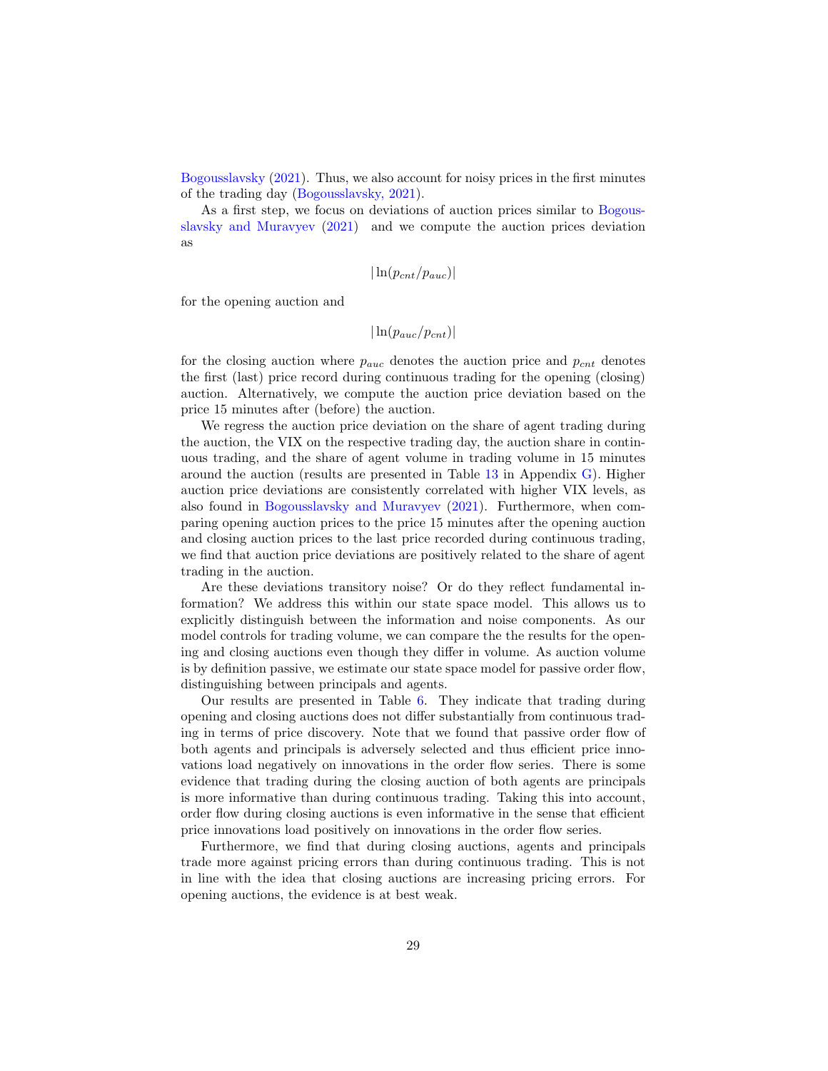[Bogousslavsky](#page-32-13) [\(2021\)](#page-32-13). Thus, we also account for noisy prices in the first minutes of the trading day [\(Bogousslavsky,](#page-32-13) [2021\)](#page-32-13).

As a first step, we focus on deviations of auction prices similar to [Bogous](#page-32-0)[slavsky and Muravyev](#page-32-0) [\(2021\)](#page-32-0) and we compute the auction prices deviation as

$$
|\ln(p_{cnt}/p_{auc})|
$$

for the opening auction and

$$
|\ln(p_{auc}/p_{cnt})|
$$

for the closing auction where  $p_{auc}$  denotes the auction price and  $p_{cnt}$  denotes the first (last) price record during continuous trading for the opening (closing) auction. Alternatively, we compute the auction price deviation based on the price 15 minutes after (before) the auction.

We regress the auction price deviation on the share of agent trading during the auction, the VIX on the respective trading day, the auction share in continuous trading, and the share of agent volume in trading volume in 15 minutes around the auction (results are presented in Table [13](#page-57-0) in Appendix [G\)](#page-55-0). Higher auction price deviations are consistently correlated with higher VIX levels, as also found in [Bogousslavsky and Muravyev](#page-32-0) [\(2021\)](#page-32-0). Furthermore, when comparing opening auction prices to the price 15 minutes after the opening auction and closing auction prices to the last price recorded during continuous trading, we find that auction price deviations are positively related to the share of agent trading in the auction.

Are these deviations transitory noise? Or do they reflect fundamental information? We address this within our state space model. This allows us to explicitly distinguish between the information and noise components. As our model controls for trading volume, we can compare the the results for the opening and closing auctions even though they differ in volume. As auction volume is by definition passive, we estimate our state space model for passive order flow, distinguishing between principals and agents.

Our results are presented in Table [6.](#page-31-0) They indicate that trading during opening and closing auctions does not differ substantially from continuous trading in terms of price discovery. Note that we found that passive order flow of both agents and principals is adversely selected and thus efficient price innovations load negatively on innovations in the order flow series. There is some evidence that trading during the closing auction of both agents are principals is more informative than during continuous trading. Taking this into account, order flow during closing auctions is even informative in the sense that efficient price innovations load positively on innovations in the order flow series.

Furthermore, we find that during closing auctions, agents and principals trade more against pricing errors than during continuous trading. This is not in line with the idea that closing auctions are increasing pricing errors. For opening auctions, the evidence is at best weak.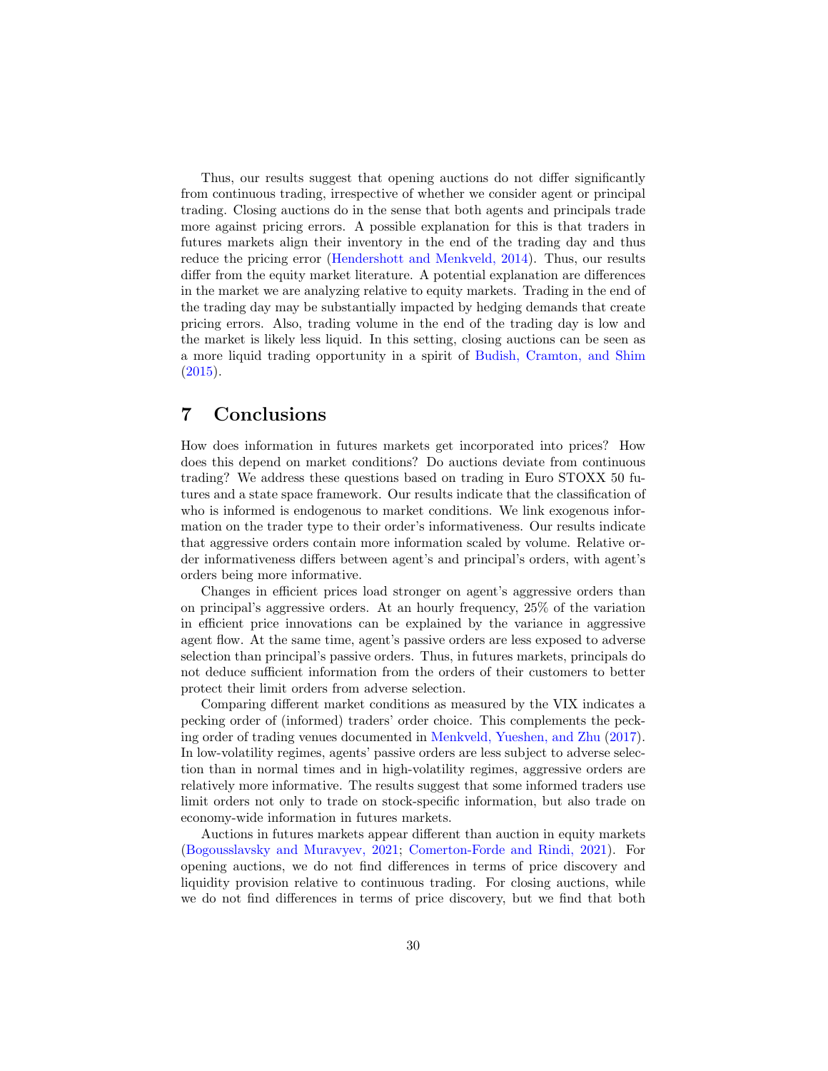Thus, our results suggest that opening auctions do not differ significantly from continuous trading, irrespective of whether we consider agent or principal trading. Closing auctions do in the sense that both agents and principals trade more against pricing errors. A possible explanation for this is that traders in futures markets align their inventory in the end of the trading day and thus reduce the pricing error [\(Hendershott and Menkveld,](#page-34-12) [2014\)](#page-34-12). Thus, our results differ from the equity market literature. A potential explanation are differences in the market we are analyzing relative to equity markets. Trading in the end of the trading day may be substantially impacted by hedging demands that create pricing errors. Also, trading volume in the end of the trading day is low and the market is likely less liquid. In this setting, closing auctions can be seen as a more liquid trading opportunity in a spirit of [Budish, Cramton, and Shim](#page-32-14) [\(2015\)](#page-32-14).

# <span id="page-29-0"></span>7 Conclusions

How does information in futures markets get incorporated into prices? How does this depend on market conditions? Do auctions deviate from continuous trading? We address these questions based on trading in Euro STOXX 50 futures and a state space framework. Our results indicate that the classification of who is informed is endogenous to market conditions. We link exogenous information on the trader type to their order's informativeness. Our results indicate that aggressive orders contain more information scaled by volume. Relative order informativeness differs between agent's and principal's orders, with agent's orders being more informative.

Changes in efficient prices load stronger on agent's aggressive orders than on principal's aggressive orders. At an hourly frequency, 25% of the variation in efficient price innovations can be explained by the variance in aggressive agent flow. At the same time, agent's passive orders are less exposed to adverse selection than principal's passive orders. Thus, in futures markets, principals do not deduce sufficient information from the orders of their customers to better protect their limit orders from adverse selection.

Comparing different market conditions as measured by the VIX indicates a pecking order of (informed) traders' order choice. This complements the pecking order of trading venues documented in [Menkveld, Yueshen, and Zhu](#page-35-0) [\(2017\)](#page-35-0). In low-volatility regimes, agents' passive orders are less subject to adverse selection than in normal times and in high-volatility regimes, aggressive orders are relatively more informative. The results suggest that some informed traders use limit orders not only to trade on stock-specific information, but also trade on economy-wide information in futures markets.

Auctions in futures markets appear different than auction in equity markets [\(Bogousslavsky and Muravyev,](#page-32-0) [2021;](#page-32-0) [Comerton-Forde and Rindi,](#page-33-1) [2021\)](#page-33-1). For opening auctions, we do not find differences in terms of price discovery and liquidity provision relative to continuous trading. For closing auctions, while we do not find differences in terms of price discovery, but we find that both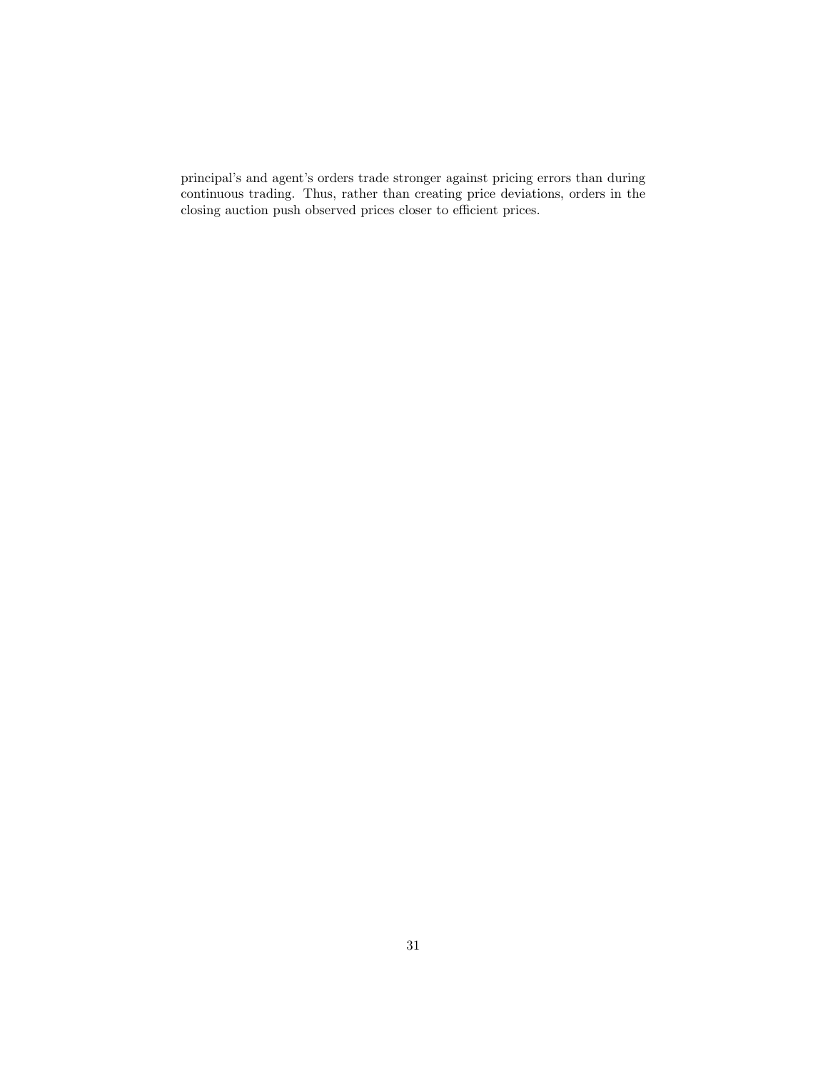principal's and agent's orders trade stronger against pricing errors than during continuous trading. Thus, rather than creating price deviations, orders in the closing auction push observed prices closer to efficient prices.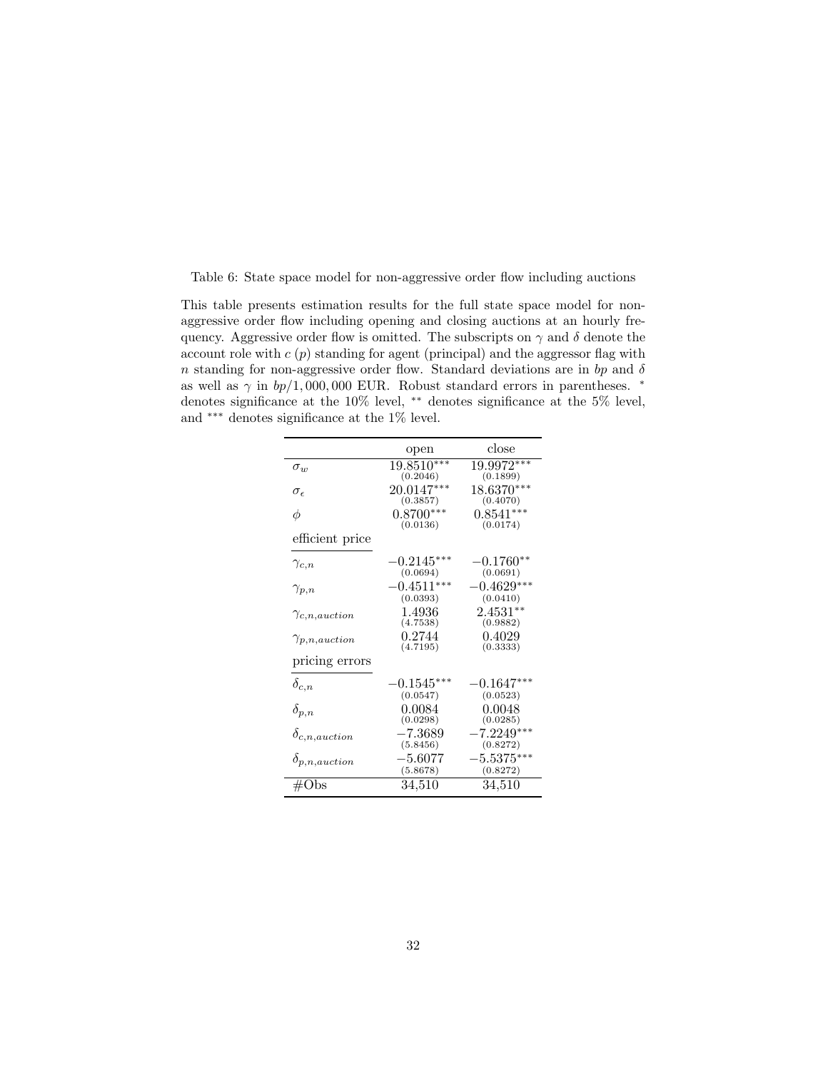<span id="page-31-0"></span>Table 6: State space model for non-aggressive order flow including auctions

This table presents estimation results for the full state space model for nonaggressive order flow including opening and closing auctions at an hourly frequency. Aggressive order flow is omitted. The subscripts on  $\gamma$  and  $\delta$  denote the account role with  $c(p)$  standing for agent (principal) and the aggressor flag with n standing for non-aggressive order flow. Standard deviations are in bp and  $\delta$ as well as  $\gamma$  in  $bp/1,000,000$  EUR. Robust standard errors in parentheses.  $*$ denotes significance at the 10% level, ∗∗ denotes significance at the 5% level, and ∗∗∗ denotes significance at the 1% level.

|                        | open                                 | close                    |
|------------------------|--------------------------------------|--------------------------|
| $\sigma_{w}$           | 19.8510***<br>(0.2046)               | 19.9972***<br>(0.1899)   |
| $\sigma_{\epsilon}$    | $20.0147***$<br>(0.3857)             | 18.6370***<br>(0.4070)   |
| φ                      | $0.8700***$<br>(0.0136)              | $0.8541***$<br>(0.0174)  |
| efficient price        |                                      |                          |
| $\gamma_{c,n}$         | $-0.2145^{\ast\ast\ast}$<br>(0.0694) | $-0.1760**$<br>(0.0691)  |
| $\gamma_{p,n}$         | $-0.4511***$<br>(0.0393)             | $-0.4629***$<br>(0.0410) |
| $\gamma_{c,n,auction}$ | 1.4936<br>(4.7538)                   | $2.4531**$<br>(0.9882)   |
| $\gamma_{p,n,auction}$ | 0.2744<br>(4.7195)                   | 0.4029<br>(0.3333)       |
| pricing errors         |                                      |                          |
| $\delta_{c,n}$         | $-0.1545^{\ast\ast\ast}$<br>(0.0547) | $-0.1647***$<br>(0.0523) |
| $\delta_{p,n}$         | 0.0084<br>(0.0298)                   | 0.0048<br>(0.0285)       |
| $\delta_{c,n,auction}$ | $-7.3689$<br>(5.8456)                | $-7.2249***$<br>(0.8272) |
| $\delta_{p,n,auction}$ | $-5.6077$<br>(5.8678)                | $-5.5375***$<br>(0.8272) |
| #Obs                   | 34,510                               | 34,510                   |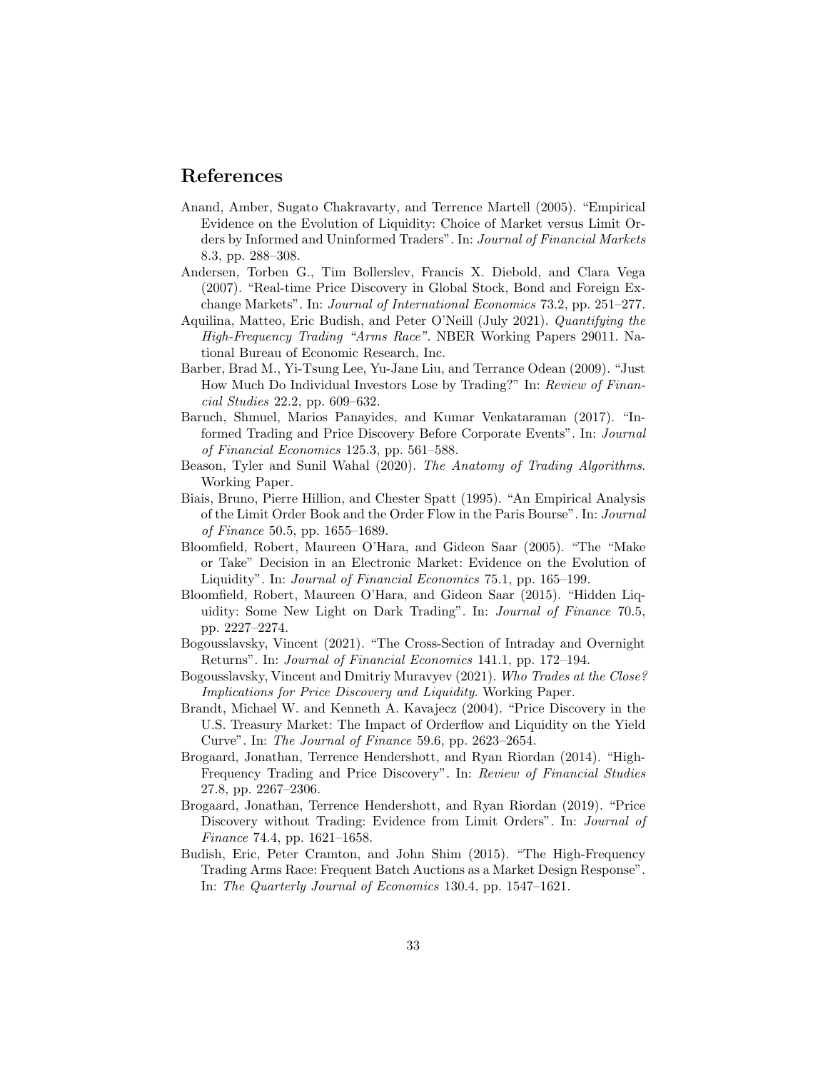### References

- <span id="page-32-7"></span>Anand, Amber, Sugato Chakravarty, and Terrence Martell (2005). "Empirical Evidence on the Evolution of Liquidity: Choice of Market versus Limit Orders by Informed and Uninformed Traders". In: Journal of Financial Markets 8.3, pp. 288–308.
- <span id="page-32-9"></span>Andersen, Torben G., Tim Bollerslev, Francis X. Diebold, and Clara Vega (2007). "Real-time Price Discovery in Global Stock, Bond and Foreign Exchange Markets". In: Journal of International Economics 73.2, pp. 251–277.
- <span id="page-32-11"></span>Aquilina, Matteo, Eric Budish, and Peter O'Neill (July 2021). Quantifying the High-Frequency Trading "Arms Race". NBER Working Papers 29011. National Bureau of Economic Research, Inc.
- <span id="page-32-8"></span>Barber, Brad M., Yi-Tsung Lee, Yu-Jane Liu, and Terrance Odean (2009). "Just How Much Do Individual Investors Lose by Trading?" In: Review of Financial Studies 22.2, pp. 609–632.
- <span id="page-32-3"></span>Baruch, Shmuel, Marios Panayides, and Kumar Venkataraman (2017). "Informed Trading and Price Discovery Before Corporate Events". In: Journal of Financial Economics 125.3, pp. 561–588.
- <span id="page-32-6"></span>Beason, Tyler and Sunil Wahal (2020). The Anatomy of Trading Algorithms. Working Paper.
- <span id="page-32-1"></span>Biais, Bruno, Pierre Hillion, and Chester Spatt (1995). "An Empirical Analysis of the Limit Order Book and the Order Flow in the Paris Bourse". In: Journal of Finance 50.5, pp. 1655–1689.
- <span id="page-32-2"></span>Bloomfield, Robert, Maureen O'Hara, and Gideon Saar (2005). "The "Make or Take" Decision in an Electronic Market: Evidence on the Evolution of Liquidity". In: Journal of Financial Economics 75.1, pp. 165–199.
- <span id="page-32-5"></span>Bloomfield, Robert, Maureen O'Hara, and Gideon Saar (2015). "Hidden Liquidity: Some New Light on Dark Trading". In: Journal of Finance 70.5, pp. 2227–2274.
- <span id="page-32-13"></span>Bogousslavsky, Vincent (2021). "The Cross-Section of Intraday and Overnight Returns". In: Journal of Financial Economics 141.1, pp. 172–194.
- <span id="page-32-0"></span>Bogousslavsky, Vincent and Dmitriy Muravyev (2021). Who Trades at the Close? Implications for Price Discovery and Liquidity. Working Paper.
- <span id="page-32-12"></span>Brandt, Michael W. and Kenneth A. Kavajecz (2004). "Price Discovery in the U.S. Treasury Market: The Impact of Orderflow and Liquidity on the Yield Curve". In: The Journal of Finance 59.6, pp. 2623–2654.
- <span id="page-32-10"></span>Brogaard, Jonathan, Terrence Hendershott, and Ryan Riordan (2014). "High-Frequency Trading and Price Discovery". In: Review of Financial Studies 27.8, pp. 2267–2306.
- <span id="page-32-4"></span>Brogaard, Jonathan, Terrence Hendershott, and Ryan Riordan (2019). "Price Discovery without Trading: Evidence from Limit Orders". In: Journal of Finance 74.4, pp. 1621–1658.
- <span id="page-32-14"></span>Budish, Eric, Peter Cramton, and John Shim (2015). "The High-Frequency Trading Arms Race: Frequent Batch Auctions as a Market Design Response". In: The Quarterly Journal of Economics 130.4, pp. 1547–1621.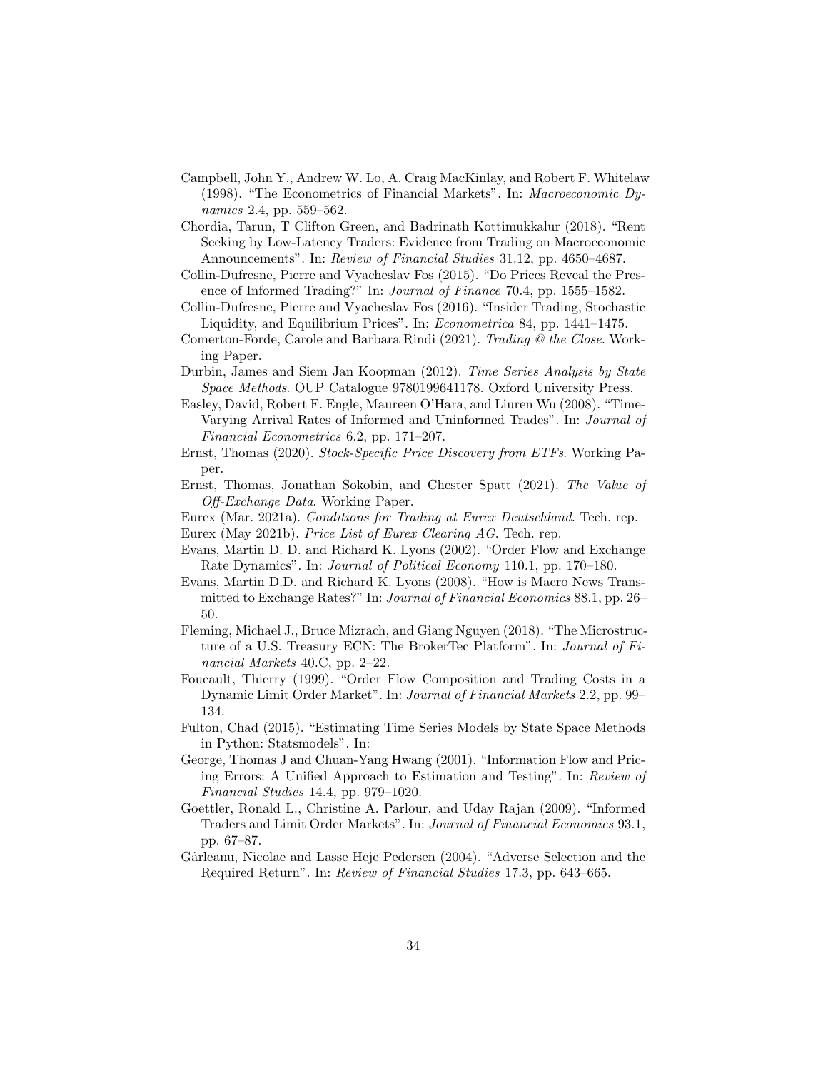- <span id="page-33-9"></span>Campbell, John Y., Andrew W. Lo, A. Craig MacKinlay, and Robert F. Whitelaw (1998). "The Econometrics of Financial Markets". In: Macroeconomic Dynamics 2.4, pp. 559–562.
- <span id="page-33-13"></span>Chordia, Tarun, T Clifton Green, and Badrinath Kottimukkalur (2018). "Rent Seeking by Low-Latency Traders: Evidence from Trading on Macroeconomic Announcements". In: Review of Financial Studies 31.12, pp. 4650–4687.
- <span id="page-33-0"></span>Collin-Dufresne, Pierre and Vyacheslav Fos (2015). "Do Prices Reveal the Presence of Informed Trading?" In: Journal of Finance 70.4, pp. 1555–1582.
- <span id="page-33-17"></span>Collin-Dufresne, Pierre and Vyacheslav Fos (2016). "Insider Trading, Stochastic Liquidity, and Equilibrium Prices". In: Econometrica 84, pp. 1441–1475.
- <span id="page-33-1"></span>Comerton-Forde, Carole and Barbara Rindi (2021). Trading @ the Close. Working Paper.
- <span id="page-33-12"></span>Durbin, James and Siem Jan Koopman (2012). Time Series Analysis by State Space Methods. OUP Catalogue 9780199641178. Oxford University Press.
- <span id="page-33-14"></span>Easley, David, Robert F. Engle, Maureen O'Hara, and Liuren Wu (2008). "Time-Varying Arrival Rates of Informed and Uninformed Trades". In: Journal of Financial Econometrics 6.2, pp. 171–207.
- <span id="page-33-7"></span>Ernst, Thomas (2020). Stock-Specific Price Discovery from ETFs. Working Paper.
- <span id="page-33-8"></span>Ernst, Thomas, Jonathan Sokobin, and Chester Spatt (2021). The Value of Off-Exchange Data. Working Paper.
- <span id="page-33-6"></span>Eurex (Mar. 2021a). Conditions for Trading at Eurex Deutschland. Tech. rep.
- <span id="page-33-5"></span>Eurex (May 2021b). Price List of Eurex Clearing AG. Tech. rep.
- <span id="page-33-16"></span>Evans, Martin D. D. and Richard K. Lyons (2002). "Order Flow and Exchange Rate Dynamics". In: Journal of Political Economy 110.1, pp. 170–180.
- <span id="page-33-11"></span>Evans, Martin D.D. and Richard K. Lyons (2008). "How is Macro News Transmitted to Exchange Rates?" In: Journal of Financial Economics 88.1, pp. 26– 50.
- <span id="page-33-4"></span>Fleming, Michael J., Bruce Mizrach, and Giang Nguyen (2018). "The Microstructure of a U.S. Treasury ECN: The BrokerTec Platform". In: Journal of Financial Markets 40.C, pp. 2–22.
- <span id="page-33-2"></span>Foucault, Thierry (1999). "Order Flow Composition and Trading Costs in a Dynamic Limit Order Market". In: Journal of Financial Markets 2.2, pp. 99– 134.
- <span id="page-33-15"></span>Fulton, Chad (2015). "Estimating Time Series Models by State Space Methods in Python: Statsmodels". In:
- <span id="page-33-10"></span>George, Thomas J and Chuan-Yang Hwang (2001). "Information Flow and Pricing Errors: A Unified Approach to Estimation and Testing". In: Review of Financial Studies 14.4, pp. 979–1020.
- <span id="page-33-3"></span>Goettler, Ronald L., Christine A. Parlour, and Uday Rajan (2009). "Informed Traders and Limit Order Markets". In: Journal of Financial Economics 93.1, pp. 67–87.
- <span id="page-33-18"></span>Gârleanu, Nicolae and Lasse Heje Pedersen (2004). "Adverse Selection and the Required Return". In: Review of Financial Studies 17.3, pp. 643–665.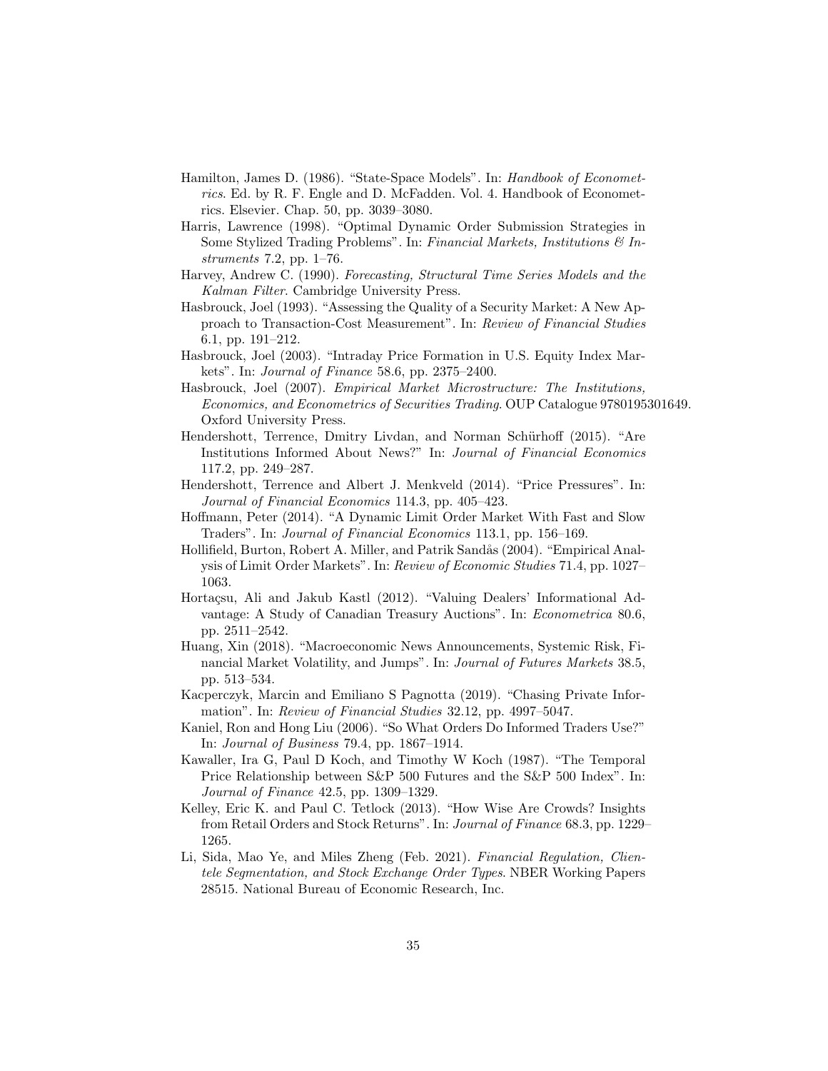- <span id="page-34-16"></span>Hamilton, James D. (1986). "State-Space Models". In: Handbook of Econometrics. Ed. by R. F. Engle and D. McFadden. Vol. 4. Handbook of Econometrics. Elsevier. Chap. 50, pp. 3039–3080.
- <span id="page-34-4"></span>Harris, Lawrence (1998). "Optimal Dynamic Order Submission Strategies in Some Stylized Trading Problems". In: Financial Markets, Institutions  $\mathcal{C}$  Instruments 7.2, pp. 1–76.
- <span id="page-34-14"></span>Harvey, Andrew C. (1990). Forecasting, Structural Time Series Models and the Kalman Filter. Cambridge University Press.
- <span id="page-34-11"></span>Hasbrouck, Joel (1993). "Assessing the Quality of a Security Market: A New Approach to Transaction-Cost Measurement". In: Review of Financial Studies 6.1, pp. 191–212.
- <span id="page-34-2"></span>Hasbrouck, Joel (2003). "Intraday Price Formation in U.S. Equity Index Markets". In: Journal of Finance 58.6, pp. 2375–2400.
- <span id="page-34-13"></span>Hasbrouck, Joel (2007). Empirical Market Microstructure: The Institutions, Economics, and Econometrics of Securities Trading. OUP Catalogue 9780195301649. Oxford University Press.
- <span id="page-34-9"></span>Hendershott, Terrence, Dmitry Livdan, and Norman Schürhoff (2015). "Are Institutions Informed About News?" In: Journal of Financial Economics 117.2, pp. 249–287.
- <span id="page-34-12"></span>Hendershott, Terrence and Albert J. Menkveld (2014). "Price Pressures". In: Journal of Financial Economics 114.3, pp. 405–423.
- <span id="page-34-6"></span>Hoffmann, Peter (2014). "A Dynamic Limit Order Market With Fast and Slow Traders". In: Journal of Financial Economics 113.1, pp. 156–169.
- <span id="page-34-5"></span>Hollifield, Burton, Robert A. Miller, and Patrik Sandås (2004). "Empirical Analysis of Limit Order Markets". In: Review of Economic Studies 71.4, pp. 1027– 1063.
- <span id="page-34-15"></span>Hortaçsu, Ali and Jakub Kastl (2012). "Valuing Dealers' Informational Advantage: A Study of Canadian Treasury Auctions". In: Econometrica 80.6, pp. 2511–2542.
- <span id="page-34-10"></span>Huang, Xin (2018). "Macroeconomic News Announcements, Systemic Risk, Financial Market Volatility, and Jumps". In: Journal of Futures Markets 38.5, pp. 513–534.
- <span id="page-34-0"></span>Kacperczyk, Marcin and Emiliano S Pagnotta (2019). "Chasing Private Information". In: Review of Financial Studies 32.12, pp. 4997–5047.
- <span id="page-34-7"></span>Kaniel, Ron and Hong Liu (2006). "So What Orders Do Informed Traders Use?" In: Journal of Business 79.4, pp. 1867–1914.
- <span id="page-34-1"></span>Kawaller, Ira G, Paul D Koch, and Timothy W Koch (1987). "The Temporal Price Relationship between S&P 500 Futures and the S&P 500 Index". In: Journal of Finance 42.5, pp. 1309–1329.
- <span id="page-34-8"></span>Kelley, Eric K. and Paul C. Tetlock (2013). "How Wise Are Crowds? Insights from Retail Orders and Stock Returns". In: Journal of Finance 68.3, pp. 1229– 1265.
- <span id="page-34-3"></span>Li, Sida, Mao Ye, and Miles Zheng (Feb. 2021). Financial Regulation, Clientele Segmentation, and Stock Exchange Order Types. NBER Working Papers 28515. National Bureau of Economic Research, Inc.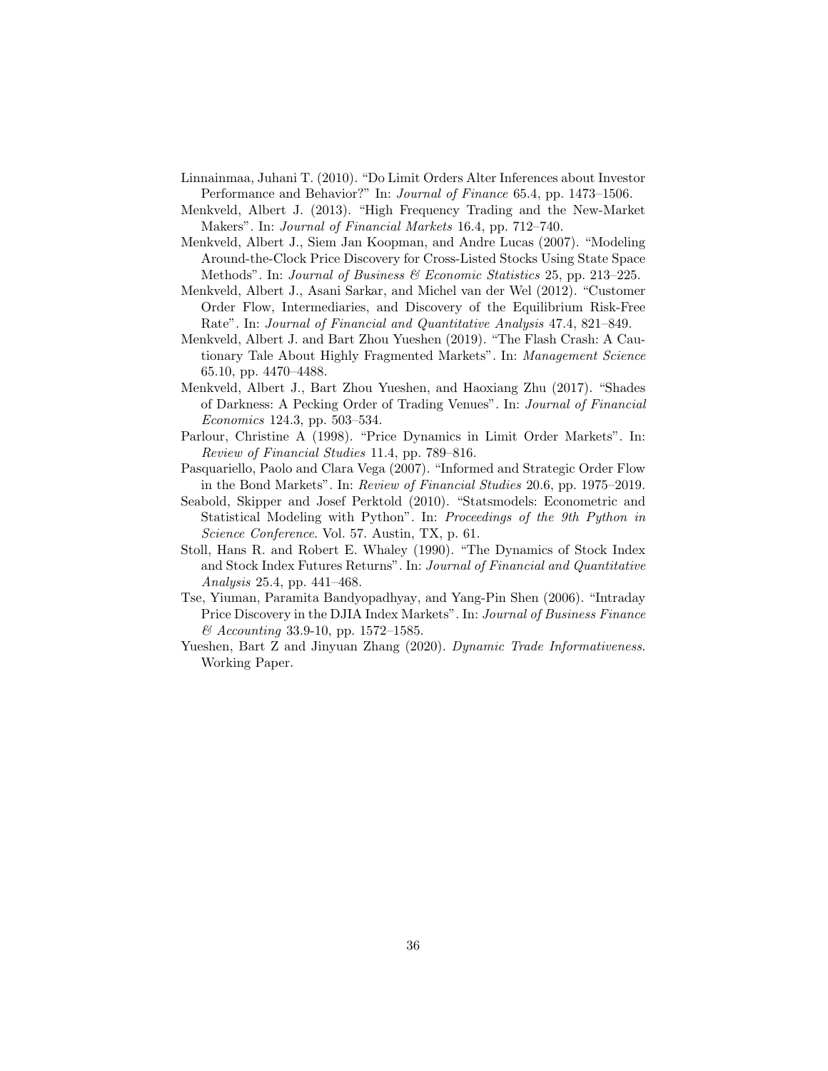- <span id="page-35-11"></span>Linnainmaa, Juhani T. (2010). "Do Limit Orders Alter Inferences about Investor Performance and Behavior?" In: Journal of Finance 65.4, pp. 1473–1506.
- <span id="page-35-7"></span>Menkveld, Albert J. (2013). "High Frequency Trading and the New-Market Makers". In: Journal of Financial Markets 16.4, pp. 712–740.
- <span id="page-35-5"></span>Menkveld, Albert J., Siem Jan Koopman, and Andre Lucas (2007). "Modeling Around-the-Clock Price Discovery for Cross-Listed Stocks Using State Space Methods". In: Journal of Business & Economic Statistics 25, pp. 213–225.
- <span id="page-35-10"></span>Menkveld, Albert J., Asani Sarkar, and Michel van der Wel (2012). "Customer Order Flow, Intermediaries, and Discovery of the Equilibrium Risk-Free Rate". In: Journal of Financial and Quantitative Analysis 47.4, 821–849.
- <span id="page-35-4"></span>Menkveld, Albert J. and Bart Zhou Yueshen (2019). "The Flash Crash: A Cautionary Tale About Highly Fragmented Markets". In: Management Science 65.10, pp. 4470–4488.
- <span id="page-35-0"></span>Menkveld, Albert J., Bart Zhou Yueshen, and Haoxiang Zhu (2017). "Shades of Darkness: A Pecking Order of Trading Venues". In: Journal of Financial Economics 124.3, pp. 503–534.
- <span id="page-35-3"></span>Parlour, Christine A (1998). "Price Dynamics in Limit Order Markets". In: Review of Financial Studies 11.4, pp. 789–816.
- <span id="page-35-6"></span>Pasquariello, Paolo and Clara Vega (2007). "Informed and Strategic Order Flow in the Bond Markets". In: Review of Financial Studies 20.6, pp. 1975–2019.
- <span id="page-35-9"></span>Seabold, Skipper and Josef Perktold (2010). "Statsmodels: Econometric and Statistical Modeling with Python". In: Proceedings of the 9th Python in Science Conference. Vol. 57. Austin, TX, p. 61.
- <span id="page-35-1"></span>Stoll, Hans R. and Robert E. Whaley (1990). "The Dynamics of Stock Index and Stock Index Futures Returns". In: Journal of Financial and Quantitative Analysis 25.4, pp. 441–468.
- <span id="page-35-2"></span>Tse, Yiuman, Paramita Bandyopadhyay, and Yang-Pin Shen (2006). "Intraday Price Discovery in the DJIA Index Markets". In: Journal of Business Finance & Accounting 33.9-10, pp. 1572–1585.
- <span id="page-35-8"></span>Yueshen, Bart Z and Jinyuan Zhang (2020). Dynamic Trade Informativeness. Working Paper.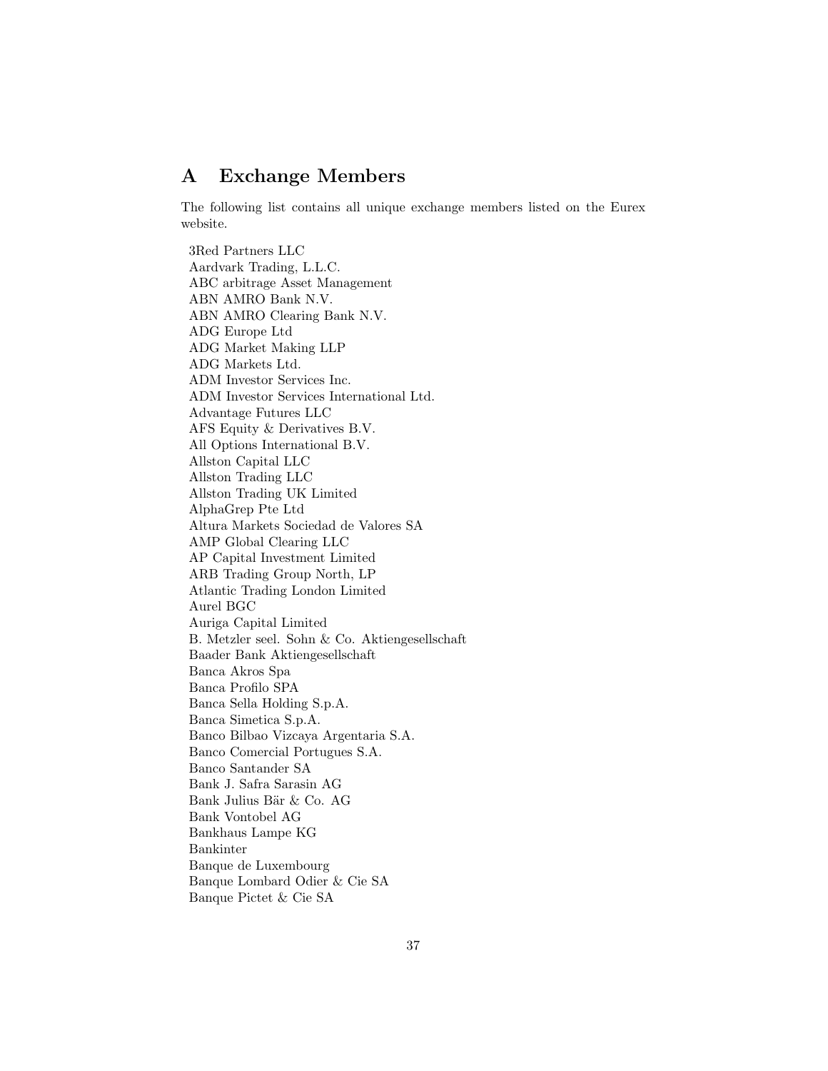### <span id="page-36-0"></span>A Exchange Members

The following list contains all unique exchange members listed on the Eurex website.

3Red Partners LLC Aardvark Trading, L.L.C. ABC arbitrage Asset Management ABN AMRO Bank N.V. ABN AMRO Clearing Bank N.V. ADG Europe Ltd ADG Market Making LLP ADG Markets Ltd. ADM Investor Services Inc. ADM Investor Services International Ltd. Advantage Futures LLC AFS Equity & Derivatives B.V. All Options International B.V. Allston Capital LLC Allston Trading LLC Allston Trading UK Limited AlphaGrep Pte Ltd Altura Markets Sociedad de Valores SA AMP Global Clearing LLC AP Capital Investment Limited ARB Trading Group North, LP Atlantic Trading London Limited Aurel BGC Auriga Capital Limited B. Metzler seel. Sohn & Co. Aktiengesellschaft Baader Bank Aktiengesellschaft Banca Akros Spa Banca Profilo SPA Banca Sella Holding S.p.A. Banca Simetica S.p.A. Banco Bilbao Vizcaya Argentaria S.A. Banco Comercial Portugues S.A. Banco Santander SA Bank J. Safra Sarasin AG Bank Julius Bär & Co. AG Bank Vontobel AG Bankhaus Lampe KG Bankinter Banque de Luxembourg Banque Lombard Odier & Cie SA Banque Pictet & Cie SA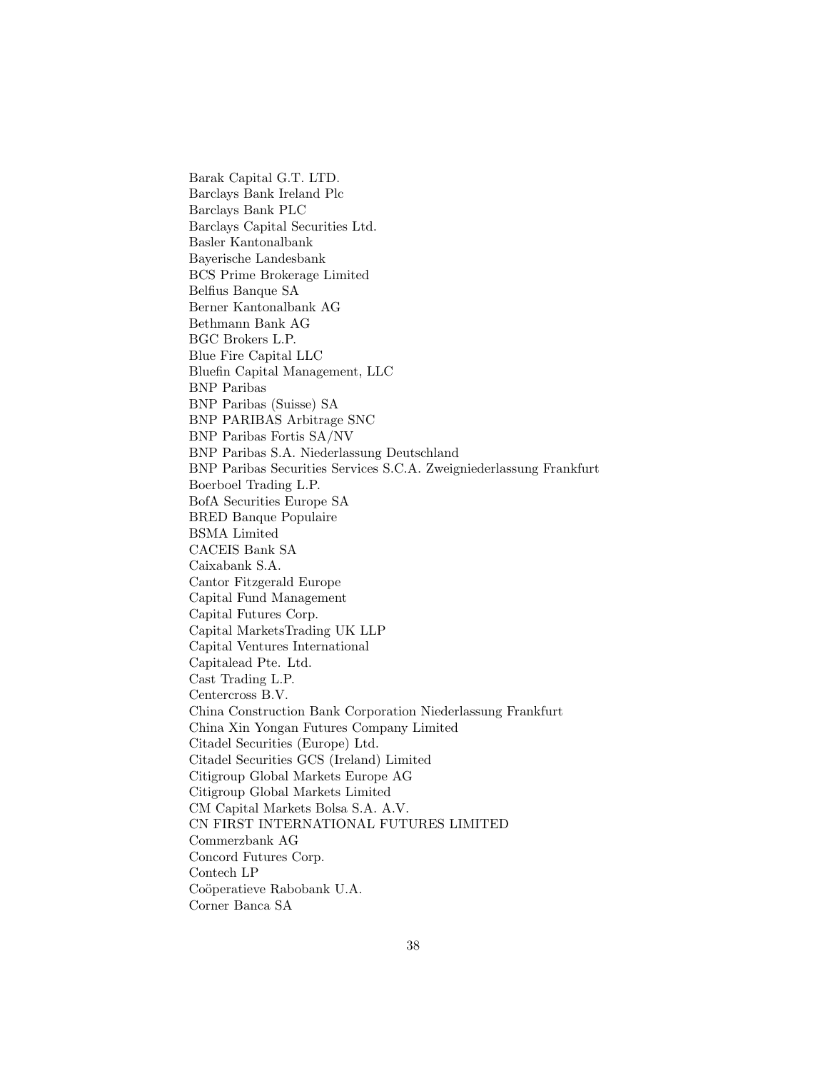Barak Capital G.T. LTD. Barclays Bank Ireland Plc Barclays Bank PLC Barclays Capital Securities Ltd. Basler Kantonalbank Bayerische Landesbank BCS Prime Brokerage Limited Belfius Banque SA Berner Kantonalbank AG Bethmann Bank AG BGC Brokers L.P. Blue Fire Capital LLC Bluefin Capital Management, LLC BNP Paribas BNP Paribas (Suisse) SA BNP PARIBAS Arbitrage SNC BNP Paribas Fortis SA/NV BNP Paribas S.A. Niederlassung Deutschland BNP Paribas Securities Services S.C.A. Zweigniederlassung Frankfurt Boerboel Trading L.P. BofA Securities Europe SA BRED Banque Populaire BSMA Limited CACEIS Bank SA Caixabank S.A. Cantor Fitzgerald Europe Capital Fund Management Capital Futures Corp. Capital MarketsTrading UK LLP Capital Ventures International Capitalead Pte. Ltd. Cast Trading L.P. Centercross B.V. China Construction Bank Corporation Niederlassung Frankfurt China Xin Yongan Futures Company Limited Citadel Securities (Europe) Ltd. Citadel Securities GCS (Ireland) Limited Citigroup Global Markets Europe AG Citigroup Global Markets Limited CM Capital Markets Bolsa S.A. A.V. CN FIRST INTERNATIONAL FUTURES LIMITED Commerzbank AG Concord Futures Corp. Contech LP Coöperatieve Rabobank U.A. Corner Banca SA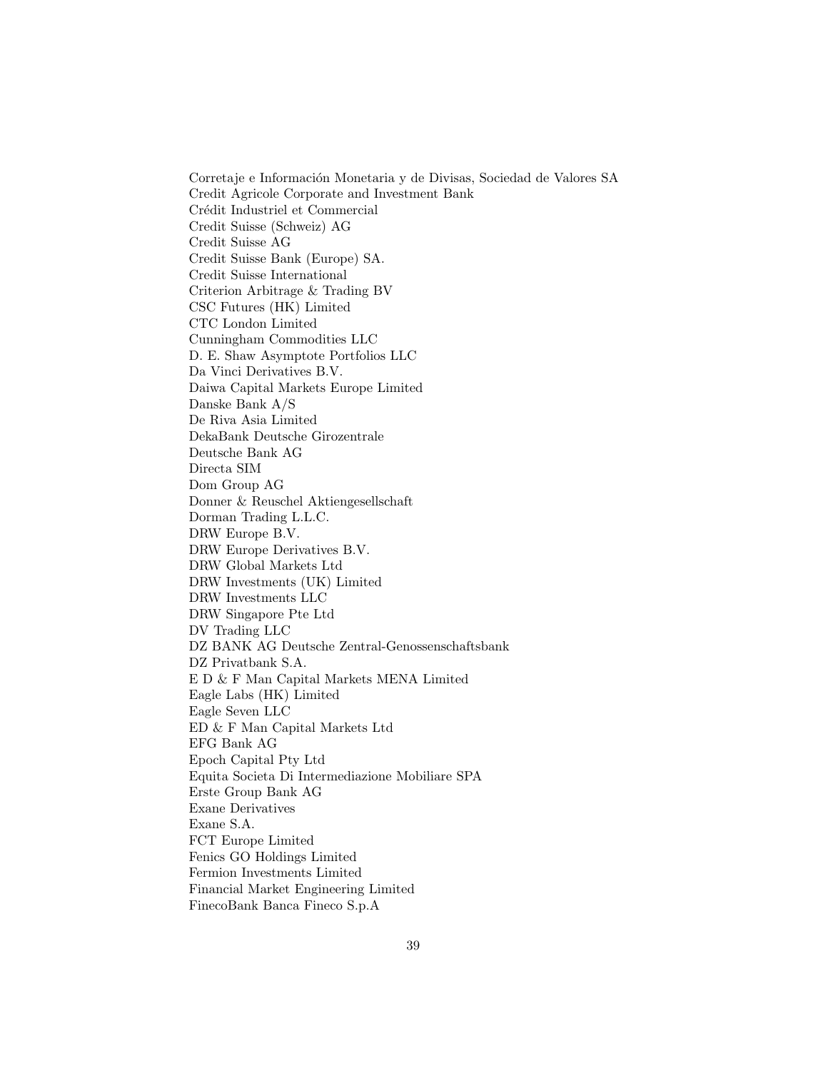Corretaje e Información Monetaria y de Divisas, Sociedad de Valores SA Credit Agricole Corporate and Investment Bank Crédit Industriel et Commercial Credit Suisse (Schweiz) AG Credit Suisse AG Credit Suisse Bank (Europe) SA. Credit Suisse International Criterion Arbitrage & Trading BV CSC Futures (HK) Limited CTC London Limited Cunningham Commodities LLC D. E. Shaw Asymptote Portfolios LLC Da Vinci Derivatives B.V. Daiwa Capital Markets Europe Limited Danske Bank A/S De Riva Asia Limited DekaBank Deutsche Girozentrale Deutsche Bank AG Directa SIM Dom Group AG Donner & Reuschel Aktiengesellschaft Dorman Trading L.L.C. DRW Europe B.V. DRW Europe Derivatives B.V. DRW Global Markets Ltd DRW Investments (UK) Limited DRW Investments LLC DRW Singapore Pte Ltd DV Trading LLC DZ BANK AG Deutsche Zentral-Genossenschaftsbank DZ Privatbank S.A. E D & F Man Capital Markets MENA Limited Eagle Labs (HK) Limited Eagle Seven LLC ED & F Man Capital Markets Ltd EFG Bank AG Epoch Capital Pty Ltd Equita Societa Di Intermediazione Mobiliare SPA Erste Group Bank AG Exane Derivatives Exane S.A. FCT Europe Limited Fenics GO Holdings Limited Fermion Investments Limited Financial Market Engineering Limited FinecoBank Banca Fineco S.p.A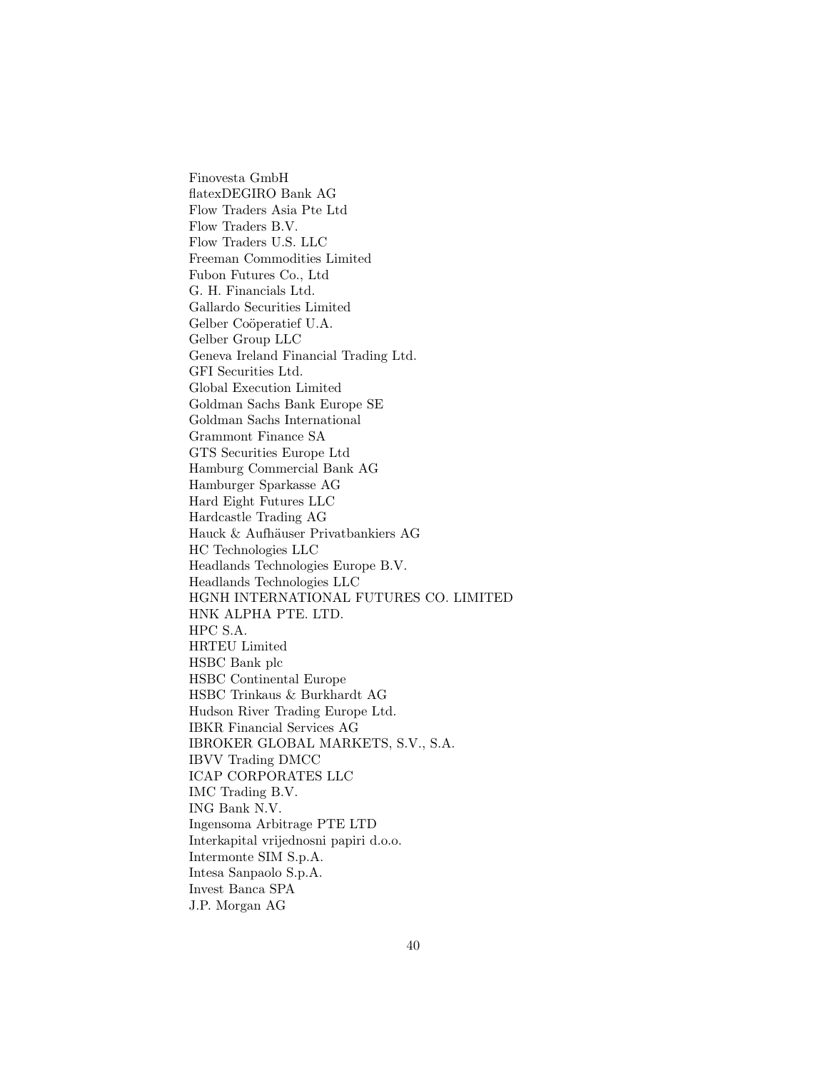Finovesta GmbH flatexDEGIRO Bank AG Flow Traders Asia Pte Ltd Flow Traders B.V. Flow Traders U.S. LLC Freeman Commodities Limited Fubon Futures Co., Ltd G. H. Financials Ltd. Gallardo Securities Limited Gelber Coöperatief U.A. Gelber Group LLC Geneva Ireland Financial Trading Ltd. GFI Securities Ltd. Global Execution Limited Goldman Sachs Bank Europe SE Goldman Sachs International Grammont Finance SA GTS Securities Europe Ltd Hamburg Commercial Bank AG Hamburger Sparkasse AG Hard Eight Futures LLC Hardcastle Trading AG Hauck & Aufhäuser Privatbankiers AG HC Technologies LLC Headlands Technologies Europe B.V. Headlands Technologies LLC HGNH INTERNATIONAL FUTURES CO. LIMITED HNK ALPHA PTE. LTD. HPC S.A. HRTEU Limited HSBC Bank plc HSBC Continental Europe HSBC Trinkaus & Burkhardt AG Hudson River Trading Europe Ltd. IBKR Financial Services AG IBROKER GLOBAL MARKETS, S.V., S.A. IBVV Trading DMCC ICAP CORPORATES LLC IMC Trading B.V. ING Bank N.V. Ingensoma Arbitrage PTE LTD Interkapital vrijednosni papiri d.o.o. Intermonte SIM S.p.A. Intesa Sanpaolo S.p.A. Invest Banca SPA J.P. Morgan AG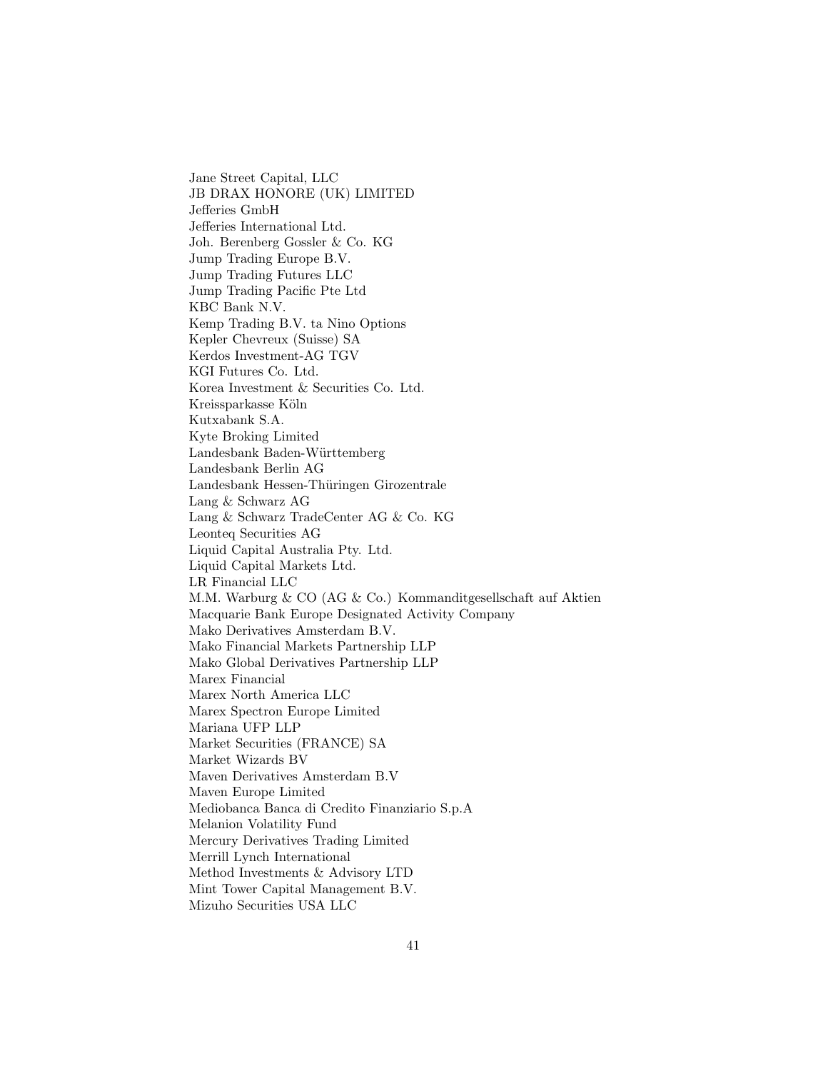Jane Street Capital, LLC JB DRAX HONORE (UK) LIMITED Jefferies GmbH Jefferies International Ltd. Joh. Berenberg Gossler & Co. KG Jump Trading Europe B.V. Jump Trading Futures LLC Jump Trading Pacific Pte Ltd KBC Bank N.V. Kemp Trading B.V. ta Nino Options Kepler Chevreux (Suisse) SA Kerdos Investment-AG TGV KGI Futures Co. Ltd. Korea Investment & Securities Co. Ltd. Kreissparkasse Köln Kutxabank S.A. Kyte Broking Limited Landesbank Baden-Württemberg Landesbank Berlin AG Landesbank Hessen-Thüringen Girozentrale Lang & Schwarz AG Lang & Schwarz TradeCenter AG & Co. KG Leonteq Securities AG Liquid Capital Australia Pty. Ltd. Liquid Capital Markets Ltd. LR Financial LLC M.M. Warburg & CO (AG & Co.) Kommanditgesellschaft auf Aktien Macquarie Bank Europe Designated Activity Company Mako Derivatives Amsterdam B.V. Mako Financial Markets Partnership LLP Mako Global Derivatives Partnership LLP Marex Financial Marex North America LLC Marex Spectron Europe Limited Mariana UFP LLP Market Securities (FRANCE) SA Market Wizards BV Maven Derivatives Amsterdam B.V Maven Europe Limited Mediobanca Banca di Credito Finanziario S.p.A Melanion Volatility Fund Mercury Derivatives Trading Limited Merrill Lynch International Method Investments & Advisory LTD Mint Tower Capital Management B.V. Mizuho Securities USA LLC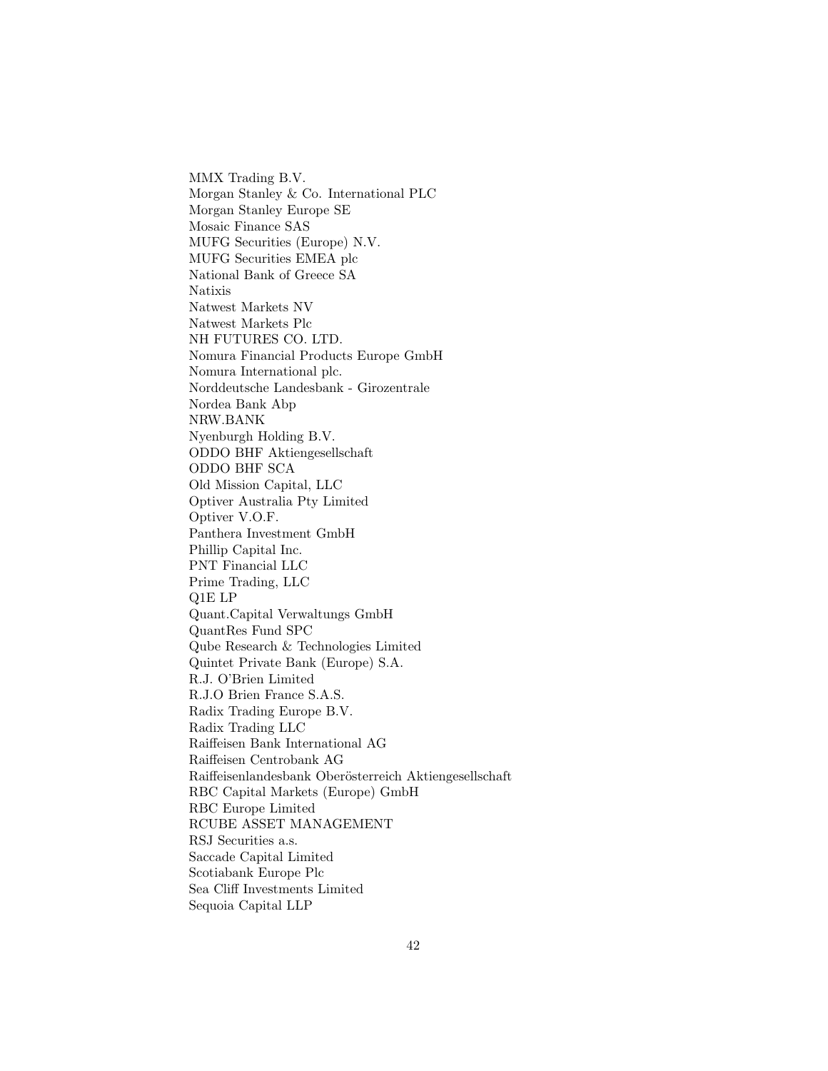MMX Trading B.V. Morgan Stanley & Co. International PLC Morgan Stanley Europe SE Mosaic Finance SAS MUFG Securities (Europe) N.V. MUFG Securities EMEA plc National Bank of Greece SA Natixis Natwest Markets NV Natwest Markets Plc NH FUTURES CO. LTD. Nomura Financial Products Europe GmbH Nomura International plc. Norddeutsche Landesbank - Girozentrale Nordea Bank Abp NRW.BANK Nyenburgh Holding B.V. ODDO BHF Aktiengesellschaft ODDO BHF SCA Old Mission Capital, LLC Optiver Australia Pty Limited Optiver V.O.F. Panthera Investment GmbH Phillip Capital Inc. PNT Financial LLC Prime Trading, LLC Q1E LP Quant.Capital Verwaltungs GmbH QuantRes Fund SPC Qube Research & Technologies Limited Quintet Private Bank (Europe) S.A. R.J. O'Brien Limited R.J.O Brien France S.A.S. Radix Trading Europe B.V. Radix Trading LLC Raiffeisen Bank International AG Raiffeisen Centrobank AG Raiffeisenlandesbank Oberösterreich Aktiengesellschaft RBC Capital Markets (Europe) GmbH RBC Europe Limited RCUBE ASSET MANAGEMENT RSJ Securities a.s. Saccade Capital Limited Scotiabank Europe Plc Sea Cliff Investments Limited Sequoia Capital LLP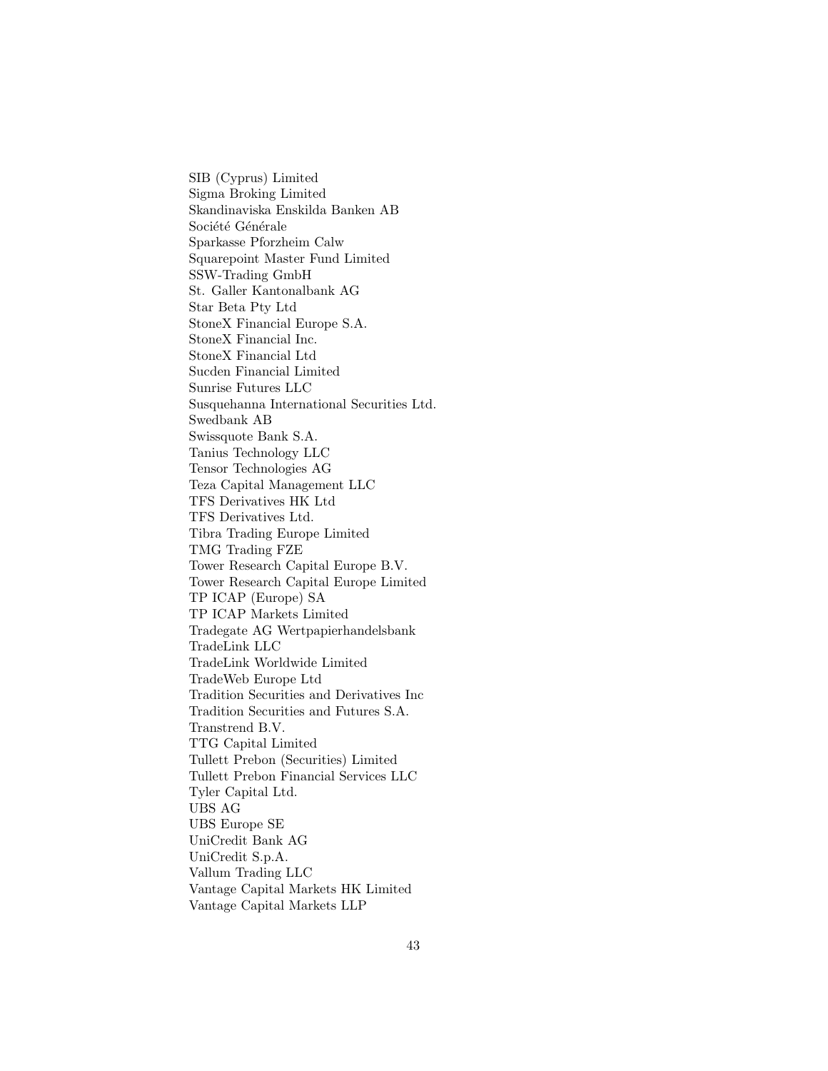SIB (Cyprus) Limited Sigma Broking Limited Skandinaviska Enskilda Banken AB Société Générale Sparkasse Pforzheim Calw Squarepoint Master Fund Limited SSW-Trading GmbH St. Galler Kantonalbank AG Star Beta Pty Ltd StoneX Financial Europe S.A. StoneX Financial Inc. StoneX Financial Ltd Sucden Financial Limited Sunrise Futures LLC Susquehanna International Securities Ltd. Swedbank AB Swissquote Bank S.A. Tanius Technology LLC Tensor Technologies AG Teza Capital Management LLC TFS Derivatives HK Ltd TFS Derivatives Ltd. Tibra Trading Europe Limited TMG Trading FZE Tower Research Capital Europe B.V. Tower Research Capital Europe Limited TP ICAP (Europe) SA TP ICAP Markets Limited Tradegate AG Wertpapierhandelsbank TradeLink LLC TradeLink Worldwide Limited TradeWeb Europe Ltd Tradition Securities and Derivatives Inc Tradition Securities and Futures S.A. Transtrend B.V. TTG Capital Limited Tullett Prebon (Securities) Limited Tullett Prebon Financial Services LLC Tyler Capital Ltd. UBS AG UBS Europe SE UniCredit Bank AG UniCredit S.p.A. Vallum Trading LLC Vantage Capital Markets HK Limited Vantage Capital Markets LLP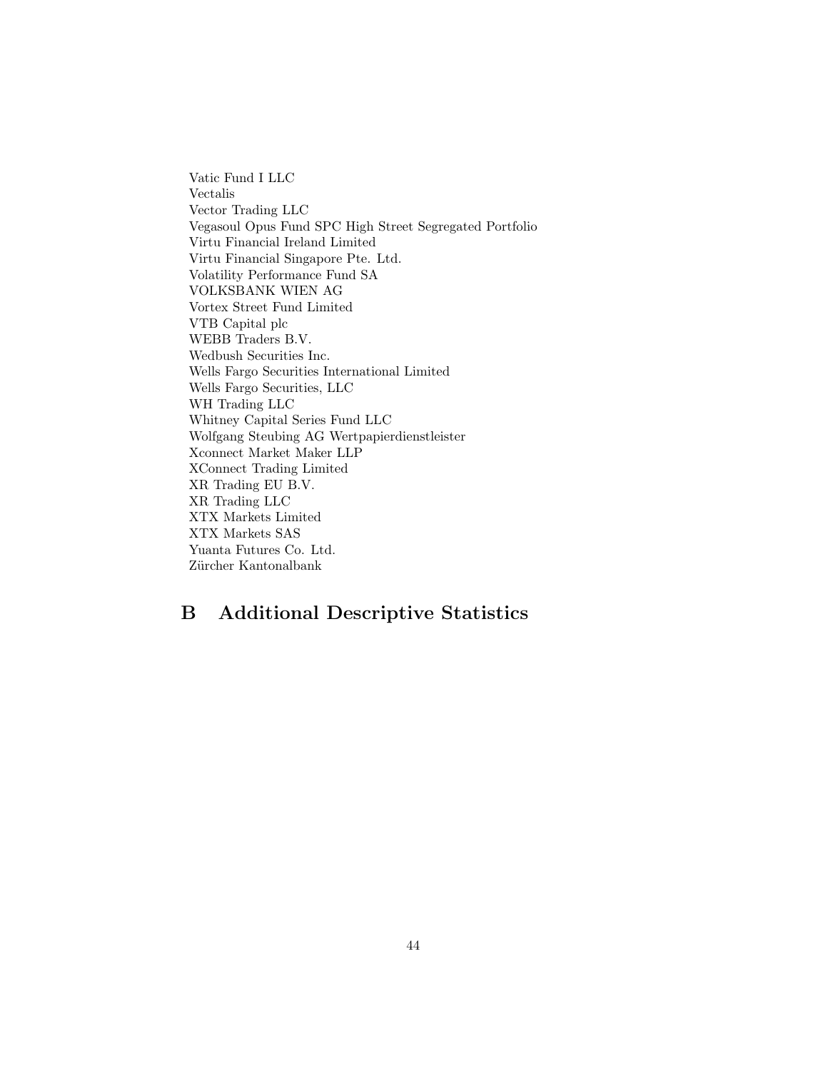Vatic Fund I LLC Vectalis Vector Trading LLC Vegasoul Opus Fund SPC High Street Segregated Portfolio Virtu Financial Ireland Limited Virtu Financial Singapore Pte. Ltd. Volatility Performance Fund SA VOLKSBANK WIEN AG Vortex Street Fund Limited VTB Capital plc WEBB Traders B.V. Wedbush Securities Inc. Wells Fargo Securities International Limited Wells Fargo Securities, LLC WH Trading LLC Whitney Capital Series Fund LLC Wolfgang Steubing AG Wertpapierdienstleister Xconnect Market Maker LLP XConnect Trading Limited XR Trading EU B.V. XR Trading LLC XTX Markets Limited XTX Markets SAS Yuanta Futures Co. Ltd. Zürcher Kantonalbank

# B Additional Descriptive Statistics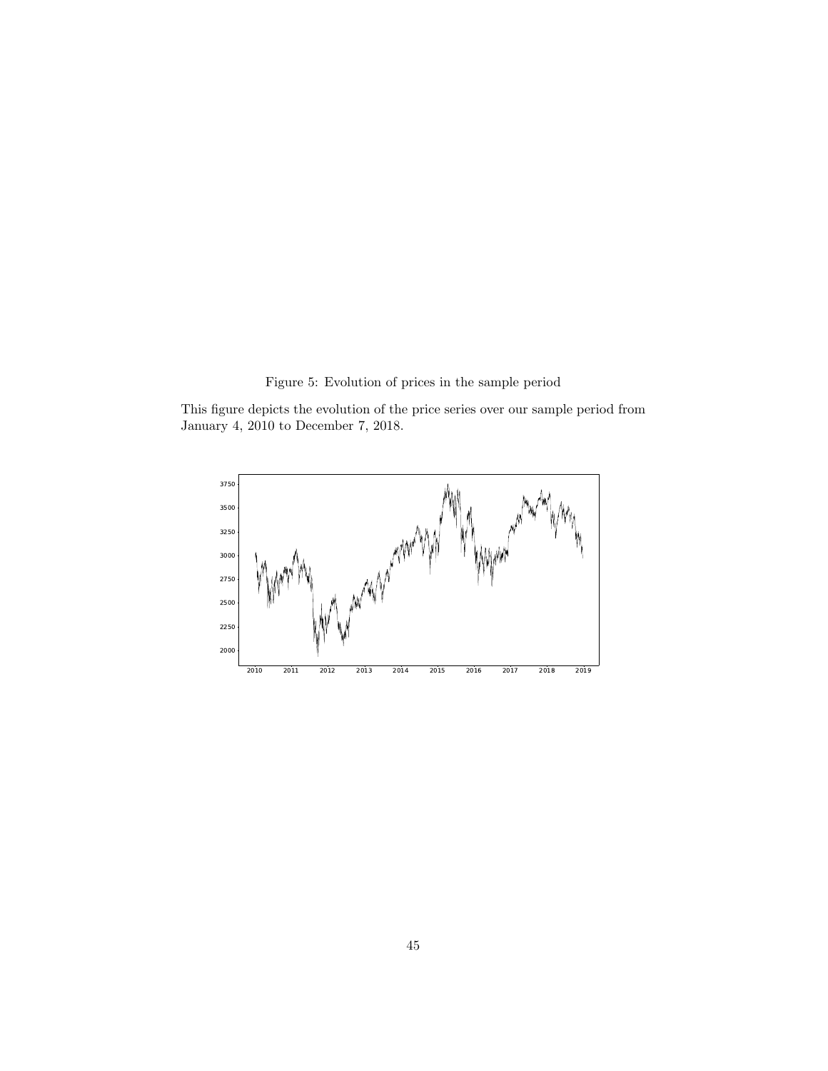Figure 5: Evolution of prices in the sample period

This figure depicts the evolution of the price series over our sample period from January 4, 2010 to December 7, 2018.

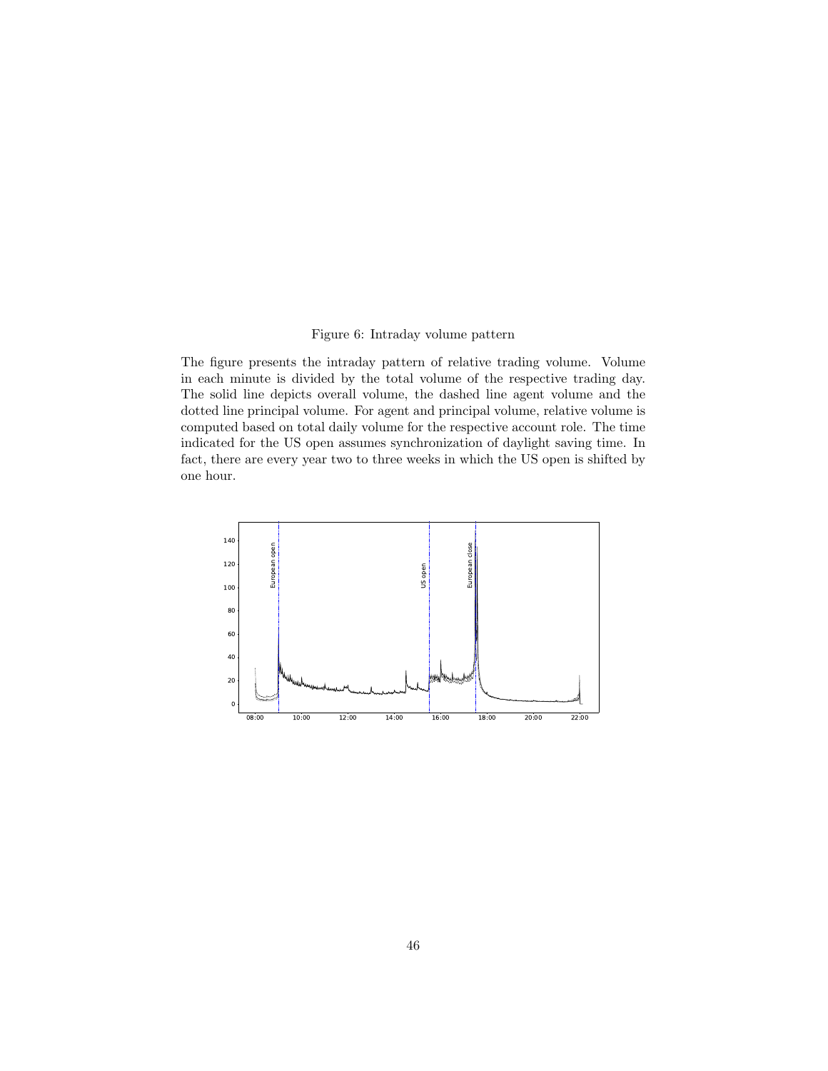### Figure 6: Intraday volume pattern

The figure presents the intraday pattern of relative trading volume. Volume in each minute is divided by the total volume of the respective trading day. The solid line depicts overall volume, the dashed line agent volume and the dotted line principal volume. For agent and principal volume, relative volume is computed based on total daily volume for the respective account role. The time indicated for the US open assumes synchronization of daylight saving time. In fact, there are every year two to three weeks in which the US open is shifted by one hour.

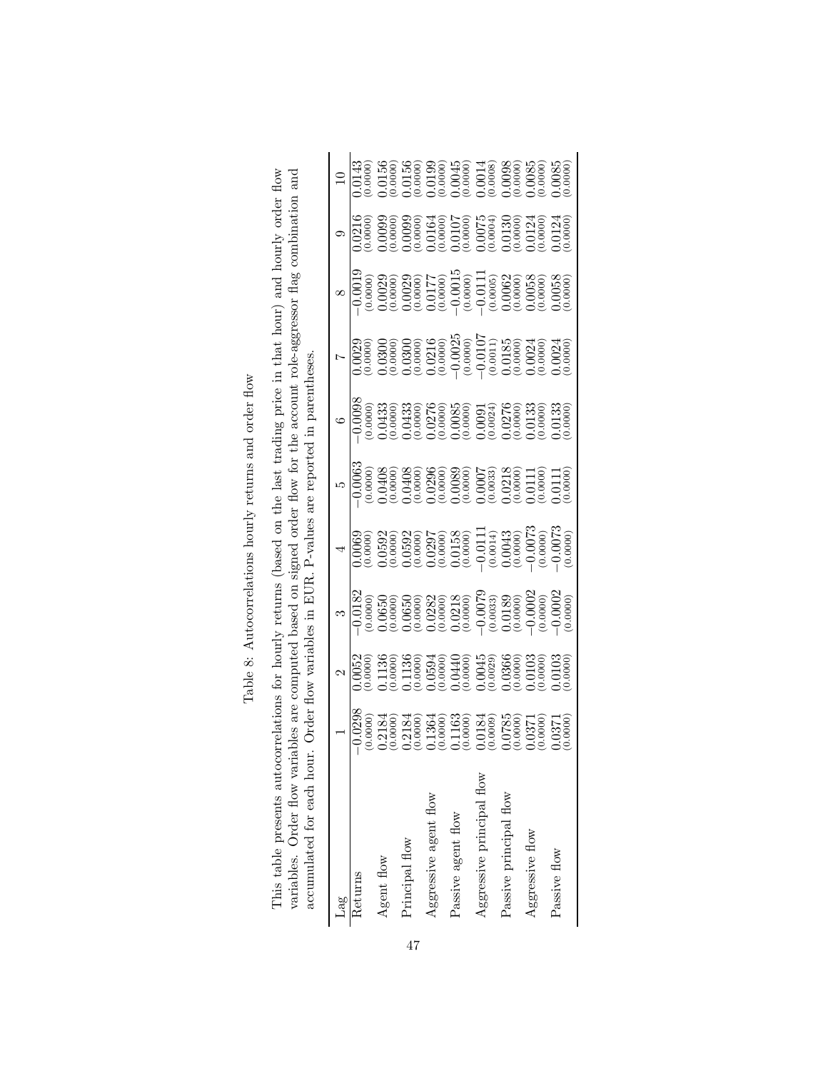Table 8: Autocorrelations hourly returns and order flow Table 8: Autocorrelations hourly returns and order flow This table presents autocorrelations for hourly returns (based on the last trading price in that hour) and hourly order flow variables. Order flow variables are computed based on signed order flow for the account role-aggr This table presents autocorrelations for hourly returns (based on the last trading price in that hour) and hourly order flow variables. Order flow variables are computed based on signed order flow for the account role-aggressor flag combination and accumulated for each hour. Order flow variables in EUR. P-values are reported in parentheses.

| Lag                       |                                                                                                                                                                                                                                                                                                                                                                                                                                         |                                                                                                                                                                                                                                                                                                                    |                                                                                                                                                                                                                                                                                                                                                                                                                                                                                                        |                                                                                                                                                                                                                                                                                                                                                                                                                                                                                                                                      |                                                                                                                                                                                                                                                                                                                       |  |                                                                                                                                                                                                                                                                                               |
|---------------------------|-----------------------------------------------------------------------------------------------------------------------------------------------------------------------------------------------------------------------------------------------------------------------------------------------------------------------------------------------------------------------------------------------------------------------------------------|--------------------------------------------------------------------------------------------------------------------------------------------------------------------------------------------------------------------------------------------------------------------------------------------------------------------|--------------------------------------------------------------------------------------------------------------------------------------------------------------------------------------------------------------------------------------------------------------------------------------------------------------------------------------------------------------------------------------------------------------------------------------------------------------------------------------------------------|--------------------------------------------------------------------------------------------------------------------------------------------------------------------------------------------------------------------------------------------------------------------------------------------------------------------------------------------------------------------------------------------------------------------------------------------------------------------------------------------------------------------------------------|-----------------------------------------------------------------------------------------------------------------------------------------------------------------------------------------------------------------------------------------------------------------------------------------------------------------------|--|-----------------------------------------------------------------------------------------------------------------------------------------------------------------------------------------------------------------------------------------------------------------------------------------------|
| Returns                   |                                                                                                                                                                                                                                                                                                                                                                                                                                         |                                                                                                                                                                                                                                                                                                                    |                                                                                                                                                                                                                                                                                                                                                                                                                                                                                                        |                                                                                                                                                                                                                                                                                                                                                                                                                                                                                                                                      |                                                                                                                                                                                                                                                                                                                       |  |                                                                                                                                                                                                                                                                                               |
| Agent flow                |                                                                                                                                                                                                                                                                                                                                                                                                                                         |                                                                                                                                                                                                                                                                                                                    |                                                                                                                                                                                                                                                                                                                                                                                                                                                                                                        |                                                                                                                                                                                                                                                                                                                                                                                                                                                                                                                                      |                                                                                                                                                                                                                                                                                                                       |  |                                                                                                                                                                                                                                                                                               |
| Principal flow            |                                                                                                                                                                                                                                                                                                                                                                                                                                         |                                                                                                                                                                                                                                                                                                                    |                                                                                                                                                                                                                                                                                                                                                                                                                                                                                                        |                                                                                                                                                                                                                                                                                                                                                                                                                                                                                                                                      |                                                                                                                                                                                                                                                                                                                       |  |                                                                                                                                                                                                                                                                                               |
| Aggressive agent flow     |                                                                                                                                                                                                                                                                                                                                                                                                                                         |                                                                                                                                                                                                                                                                                                                    |                                                                                                                                                                                                                                                                                                                                                                                                                                                                                                        |                                                                                                                                                                                                                                                                                                                                                                                                                                                                                                                                      |                                                                                                                                                                                                                                                                                                                       |  |                                                                                                                                                                                                                                                                                               |
| Passive agent flow        |                                                                                                                                                                                                                                                                                                                                                                                                                                         |                                                                                                                                                                                                                                                                                                                    |                                                                                                                                                                                                                                                                                                                                                                                                                                                                                                        |                                                                                                                                                                                                                                                                                                                                                                                                                                                                                                                                      |                                                                                                                                                                                                                                                                                                                       |  |                                                                                                                                                                                                                                                                                               |
| Aggressive principal flow | $\begin{array}{r} \text{1} \\ \text{1} \\ \text{2} \\ \text{2} \\ \text{3} \\ \text{4} \\ \text{5} \\ \text{6} \\ \text{7} \\ \text{8} \\ \text{9} \\ \text{10} \\ \text{11} \\ \text{12} \\ \text{13} \\ \text{14} \\ \text{15} \\ \text{16} \\ \text{17} \\ \text{18} \\ \text{19} \\ \text{19} \\ \text{10} \\ \text{10} \\ \text{11} \\ \text{12} \\ \text{13} \\ \text{14} \\ \text{16} \\ \text{17} \\ \text{18} \\ \text{19} \\$ |                                                                                                                                                                                                                                                                                                                    |                                                                                                                                                                                                                                                                                                                                                                                                                                                                                                        | $\begin{array}{r} \text{(a)} \\ \text{(b)} \\ \text{(c)} \\ \text{(c)} \\ \text{(d)} \\ \text{(e)} \\ \text{(e)} \\ \text{(f)} \\ \text{(g)} \\ \text{(h)} \\ \text{(i)} \\ \text{(j)} \\ \text{(k)} \\ \text{(l)} \\ \text{(l)} \\ \text{(l)} \\ \text{(l)} \\ \text{(l)} \\ \text{(l)} \\ \text{(l)} \\ \text{(l)} \\ \text{(l)} \\ \text{(l)} \\ \text{(l)} \\ \text{(l)} \\ \text{(l)} \\ \text{(l)} \\ \text{(l)} \\ \text{(l)} \\ \text{(l)} \\ \text{(l)} \\ \text{(l)} \\ \text{(l)} \\ \text{(l)} \\ \text{(l)} \\ \text{($ |                                                                                                                                                                                                                                                                                                                       |  | $\begin{array}{c} 10 \\ 10 \\ 0.0143 \\ 0.0156 \\ 0.0156 \\ 0.0156 \\ 0.0156 \\ 0.0156 \\ 0.0156 \\ 0.0156 \\ 0.0000 \\ 0.0000 \\ 0.0000 \\ 0.0000 \\ 0.0000 \\ 0.0000 \\ 0.0000 \\ 0.0000 \\ 0.0000 \\ 0.0000 \\ 0.0000 \\ 0.0000 \\ 0.0000 \\ 0.0000 \\ 0.0000 \\ 0.0000 \\ 0.0000 \\ 0.00$ |
| Passive principal flow    |                                                                                                                                                                                                                                                                                                                                                                                                                                         |                                                                                                                                                                                                                                                                                                                    |                                                                                                                                                                                                                                                                                                                                                                                                                                                                                                        |                                                                                                                                                                                                                                                                                                                                                                                                                                                                                                                                      |                                                                                                                                                                                                                                                                                                                       |  |                                                                                                                                                                                                                                                                                               |
| Aggressive flow           |                                                                                                                                                                                                                                                                                                                                                                                                                                         |                                                                                                                                                                                                                                                                                                                    |                                                                                                                                                                                                                                                                                                                                                                                                                                                                                                        |                                                                                                                                                                                                                                                                                                                                                                                                                                                                                                                                      |                                                                                                                                                                                                                                                                                                                       |  |                                                                                                                                                                                                                                                                                               |
| Passive flow              |                                                                                                                                                                                                                                                                                                                                                                                                                                         | $\begin{array}{r} 3 \\ -0.0182 \\ -0.0183 \\ -0.0065 \\ -0.0065 \\ -0.0065 \\ -0.0065 \\ -0.0065 \\ -0.0065 \\ -0.00065 \\ -0.00065 \\ -0.00065 \\ -0.00065 \\ -0.00065 \\ -0.00065 \\ -0.00065 \\ -0.00065 \\ -0.00065 \\ -0.00065 \\ -0.00065 \\ -0.00065 \\ -0.00065 \\ -0.00065 \\ -0.00065 \\ -0.00065 \\ -0$ | $\begin{array}{c c} \text{(1)} & \text{(2)} & \text{(3)} & \text{(4)} \\ \hline \text{(1)} & \text{(2)} & \text{(3)} & \text{(4)} \\ \text{(5)} & \text{(5)} & \text{(5)} & \text{(5)} \\ \text{(6)} & \text{(6)} & \text{(6)} & \text{(6)} \\ \text{(7)} & \text{(8)} & \text{(9)} & \text{(9)} \\ \text{(9)} & \text{(9)} & \text{(9)} & \text{(9)} \\ \text{(1)} & \text{(1)} & \text{(1)} & \text{(1)} \\ \text{(1)} & \text{(1)} & \text{(1)} & \text{(1)} \\ \text{(1)} & \text{(1)} & \text{(1$ |                                                                                                                                                                                                                                                                                                                                                                                                                                                                                                                                      | $\begin{bmatrix} 0.0029 \\ -0.0020 \\ -0.0030 \\ -0.0030 \\ -0.0030 \\ -0.0030 \\ -0.0030 \\ -0.0030 \\ -0.0000 \\ -0.0000 \\ -0.0000 \\ -0.0000 \\ -0.0000 \\ -0.0000 \\ -0.0000 \\ -0.0000 \\ -0.0000 \\ -0.0000 \\ -0.0000 \\ -0.0000 \\ -0.0000 \\ -0.0000 \\ -0.0000 \\ -0.0000 \\ -0.0000 \\ -0.0000 \\ -0.000$ |  |                                                                                                                                                                                                                                                                                               |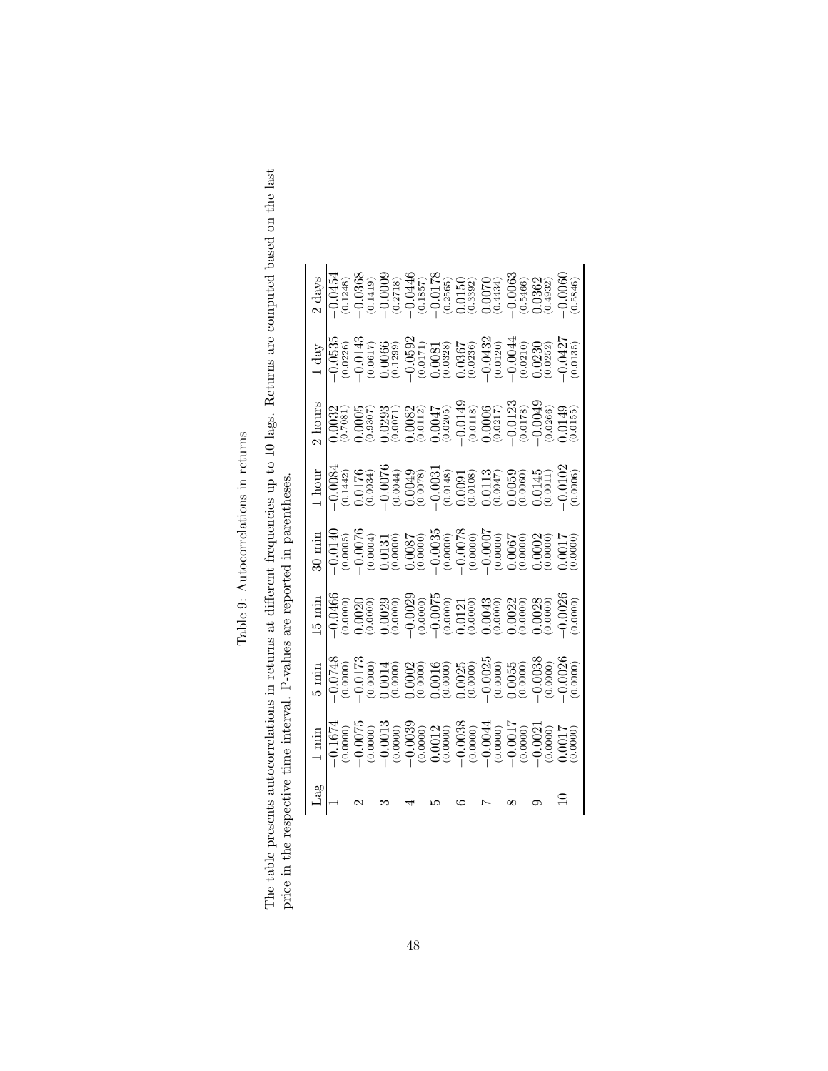Table 9: Autocorrelations in returns  $\,$ Table 9: Autocorrelations in returns

| ā<br>・・・・・<br>I<br>$\frac{1}{2}$<br>،<br>ن<br>しゅう<br>$\ddot{\phantom{0}}$<br><b>ARTISTICS</b><br>ļ |                                                           |
|----------------------------------------------------------------------------------------------------|-----------------------------------------------------------|
| $-1 - 2 - 1$<br>1<br>ו<br>ג<br>.<br>د<br>计半 全世界<br>;<br>;<br>.<br>2<br>ĺ                           | A A A TALLAS CACA CAC TACTION<br>)<br>2<br>2<br>ĺ         |
| $\frac{1}{2}$<br>i<br>C<br>i<br>in contract<br>I                                                   | $-11$<br>$\sim$<br>$\frac{1}{2}$<br>Contractor Contractor |

|                    |  |                                                                                                                                                                                                                                                                                                                                                                                                 |  |  |  | $\begin{array}{l} 2\ \mathrm{days} \\ -0.0454 \\ -0.0368 \\ -0.0368 \\ -0.0000 \\ -0.0000 \\ -0.0000 \\ -0.0000 \\ -0.0000 \\ -0.0000 \\ -0.0000 \\ -0.0000 \\ -0.0000 \\ -0.0000 \\ -0.0000 \\ -0.0000 \\ -0.0000 \\ -0.0000 \\ -0.0000 \\ -0.0000 \\ -0.0000 \\ -0.0000 \\ -0.0000 \\ -0.0000 \\ -0.0000 \\ -0.0000 \\ -0.0$                                              |
|--------------------|--|-------------------------------------------------------------------------------------------------------------------------------------------------------------------------------------------------------------------------------------------------------------------------------------------------------------------------------------------------------------------------------------------------|--|--|--|-----------------------------------------------------------------------------------------------------------------------------------------------------------------------------------------------------------------------------------------------------------------------------------------------------------------------------------------------------------------------------|
|                    |  |                                                                                                                                                                                                                                                                                                                                                                                                 |  |  |  |                                                                                                                                                                                                                                                                                                                                                                             |
|                    |  | $\begin{array}{l} \text{A} \text{ hours} \\ \text{10032} \\ \text{0.0035} \\ \text{0.005} \\ \text{0.005} \\ \text{0.005} \\ \text{0.007} \\ \text{0.008} \\ \text{0.007} \\ \text{0.008} \\ \text{0.009} \\ \text{0.000} \\ \text{0.000} \\ \text{0.000} \\ \text{0.000} \\ \text{0.000} \\ \text{0.000} \\ \text{0.000} \\ \text{0.000} \\ \text{0.000} \\ \text{0.000} \\ \$                 |  |  |  |                                                                                                                                                                                                                                                                                                                                                                             |
|                    |  |                                                                                                                                                                                                                                                                                                                                                                                                 |  |  |  |                                                                                                                                                                                                                                                                                                                                                                             |
|                    |  | $\begin{array}{l} 30\, \text{min} \\ 30\, \text{min} \\ 101\, \text{min} \\ 11\, \text{min} \\ 12\, \text{min} \\ 13\, \text{min} \\ 14\, \text{min} \\ 12\, \text{min} \\ 13\, \text{min} \\ 13\, \text{min} \\ 13\, \text{min} \\ 13\, \text{min} \\ 13\, \text{min} \\ 16\, \text{min} \\ 18\, \text{min} \\ 19\, \text{min} \\ 19\, \text{min} \\ 19\, \text{min} \\ 19\, \text{min} \\ 19$ |  |  |  |                                                                                                                                                                                                                                                                                                                                                                             |
|                    |  |                                                                                                                                                                                                                                                                                                                                                                                                 |  |  |  | $\begin{array}{l} \text{15} \text{ min} \\ 19666 \\ -19669 \\ -19600 \\ -19600 \\ -19600 \\ -19600 \\ -19600 \\ -19600 \\ -19600 \\ -19600 \\ -19600 \\ -19600 \\ -19600 \\ -19600 \\ -19600 \\ -19600 \\ -19600 \\ -19600 \\ -19600 \\ -19600 \\ -19600 \\ -19600 \\ -19600 \\ -19600 \\ -19600 \\ -19600 \\ -19600 \\ -19600 \\ -1960$                                    |
|                    |  |                                                                                                                                                                                                                                                                                                                                                                                                 |  |  |  | $\begin{array}{l} \text{5} \ \text{min} \\ \text{5} \ \text{min} \\ \text{10748} \\ \text{120000} \\ \text{13000} \\ \text{14000} \\ \text{150000} \\ \text{160000} \\ \text{170000} \\ \text{180000} \\ \text{190000} \\ \text{190000} \\ \text{190000} \\ \text{190000} \\ \text{190000} \\ \text{190000} \\ \text{190000} \\ \text{190000} \\ \text{190000} \\ \text{19$ |
|                    |  | $\begin{array}{l} 1\, {\rm min} \\ -1.1674 \\ -0.0075 \\ -0.0075 \\ -0.0075 \\ -0.0000 \\ -0.0039 \\ -0.0039 \\ -0.0039 \\ -0.0039 \\ -0.0039 \\ -0.0039 \\ -0.0039 \\ -0.0039 \\ -0.0039 \\ -0.0039 \\ -0.0039 \\ -0.0039 \\ -0.0039 \\ -0.0039 \\ -0.0039 \\ -0.0039 \\ -0.0039 \\ -0.0039 \\ -0.0039 \\ -0.0039 \\ -0.0$                                                                     |  |  |  |                                                                                                                                                                                                                                                                                                                                                                             |
| ${\rm La}^{\rm g}$ |  |                                                                                                                                                                                                                                                                                                                                                                                                 |  |  |  |                                                                                                                                                                                                                                                                                                                                                                             |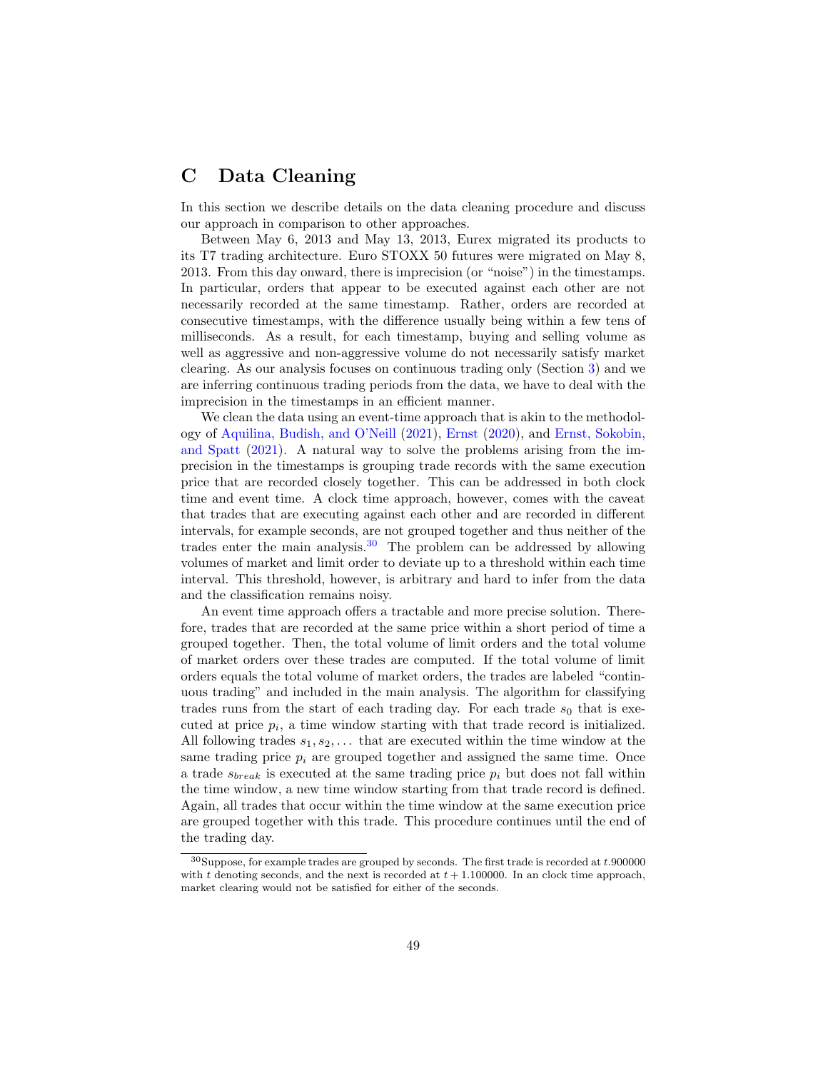# <span id="page-48-0"></span>C Data Cleaning

In this section we describe details on the data cleaning procedure and discuss our approach in comparison to other approaches.

Between May 6, 2013 and May 13, 2013, Eurex migrated its products to its T7 trading architecture. Euro STOXX 50 futures were migrated on May 8, 2013. From this day onward, there is imprecision (or "noise") in the timestamps. In particular, orders that appear to be executed against each other are not necessarily recorded at the same timestamp. Rather, orders are recorded at consecutive timestamps, with the difference usually being within a few tens of milliseconds. As a result, for each timestamp, buying and selling volume as well as aggressive and non-aggressive volume do not necessarily satisfy market clearing. As our analysis focuses on continuous trading only (Section [3\)](#page-5-1) and we are inferring continuous trading periods from the data, we have to deal with the imprecision in the timestamps in an efficient manner.

We clean the data using an event-time approach that is akin to the methodology of [Aquilina, Budish, and O'Neill](#page-32-11) [\(2021\)](#page-32-11), [Ernst](#page-33-7) [\(2020\)](#page-33-7), and [Ernst, Sokobin,](#page-33-8) [and Spatt](#page-33-8) [\(2021\)](#page-33-8). A natural way to solve the problems arising from the imprecision in the timestamps is grouping trade records with the same execution price that are recorded closely together. This can be addressed in both clock time and event time. A clock time approach, however, comes with the caveat that trades that are executing against each other and are recorded in different intervals, for example seconds, are not grouped together and thus neither of the trades enter the main analysis.<sup>[30](#page-48-1)</sup> The problem can be addressed by allowing volumes of market and limit order to deviate up to a threshold within each time interval. This threshold, however, is arbitrary and hard to infer from the data and the classification remains noisy.

An event time approach offers a tractable and more precise solution. Therefore, trades that are recorded at the same price within a short period of time a grouped together. Then, the total volume of limit orders and the total volume of market orders over these trades are computed. If the total volume of limit orders equals the total volume of market orders, the trades are labeled "continuous trading" and included in the main analysis. The algorithm for classifying trades runs from the start of each trading day. For each trade  $s_0$  that is executed at price  $p_i$ , a time window starting with that trade record is initialized. All following trades  $s_1, s_2, \ldots$  that are executed within the time window at the same trading price  $p_i$  are grouped together and assigned the same time. Once a trade  $s_{break}$  is executed at the same trading price  $p_i$  but does not fall within the time window, a new time window starting from that trade record is defined. Again, all trades that occur within the time window at the same execution price are grouped together with this trade. This procedure continues until the end of the trading day.

<span id="page-48-1"></span> ${}^{30}\rm{Suppose},$  for example trades are grouped by seconds. The first trade is recorded at  $t.900000$ with t denoting seconds, and the next is recorded at  $t + 1.100000$ . In an clock time approach, market clearing would not be satisfied for either of the seconds.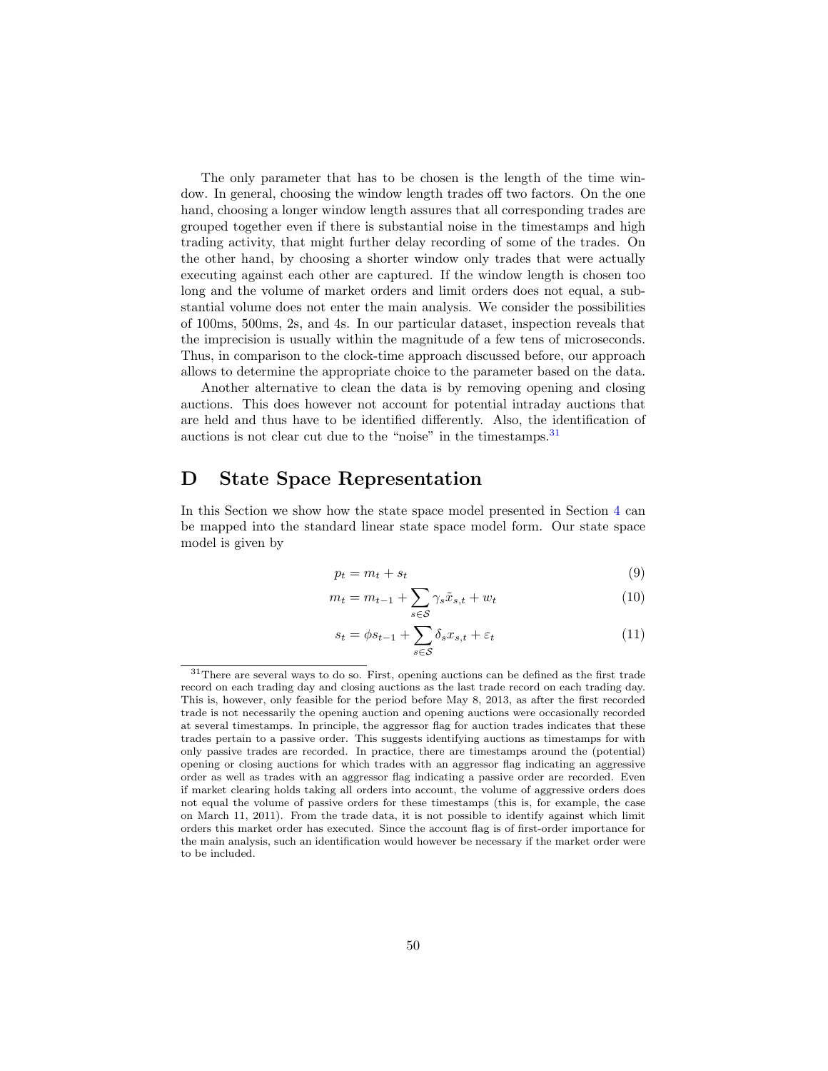The only parameter that has to be chosen is the length of the time window. In general, choosing the window length trades off two factors. On the one hand, choosing a longer window length assures that all corresponding trades are grouped together even if there is substantial noise in the timestamps and high trading activity, that might further delay recording of some of the trades. On the other hand, by choosing a shorter window only trades that were actually executing against each other are captured. If the window length is chosen too long and the volume of market orders and limit orders does not equal, a substantial volume does not enter the main analysis. We consider the possibilities of 100ms, 500ms, 2s, and 4s. In our particular dataset, inspection reveals that the imprecision is usually within the magnitude of a few tens of microseconds. Thus, in comparison to the clock-time approach discussed before, our approach allows to determine the appropriate choice to the parameter based on the data.

Another alternative to clean the data is by removing opening and closing auctions. This does however not account for potential intraday auctions that are held and thus have to be identified differently. Also, the identification of auctions is not clear cut due to the "noise" in the timestamps.[31](#page-49-1)

## <span id="page-49-0"></span>D State Space Representation

In this Section we show how the state space model presented in Section [4](#page-10-0) can be mapped into the standard linear state space model form. Our state space model is given by

<span id="page-49-2"></span>
$$
p_t = m_t + s_t \tag{9}
$$

$$
m_t = m_{t-1} + \sum_{s \in \mathcal{S}} \gamma_s \tilde{x}_{s,t} + w_t \tag{10}
$$

<span id="page-49-3"></span>
$$
s_t = \phi s_{t-1} + \sum_{s \in \mathcal{S}} \delta_s x_{s,t} + \varepsilon_t \tag{11}
$$

<span id="page-49-1"></span><sup>&</sup>lt;sup>31</sup>There are several ways to do so. First, opening auctions can be defined as the first trade record on each trading day and closing auctions as the last trade record on each trading day. This is, however, only feasible for the period before May 8, 2013, as after the first recorded trade is not necessarily the opening auction and opening auctions were occasionally recorded at several timestamps. In principle, the aggressor flag for auction trades indicates that these trades pertain to a passive order. This suggests identifying auctions as timestamps for with only passive trades are recorded. In practice, there are timestamps around the (potential) opening or closing auctions for which trades with an aggressor flag indicating an aggressive order as well as trades with an aggressor flag indicating a passive order are recorded. Even if market clearing holds taking all orders into account, the volume of aggressive orders does not equal the volume of passive orders for these timestamps (this is, for example, the case on March 11, 2011). From the trade data, it is not possible to identify against which limit orders this market order has executed. Since the account flag is of first-order importance for the main analysis, such an identification would however be necessary if the market order were to be included.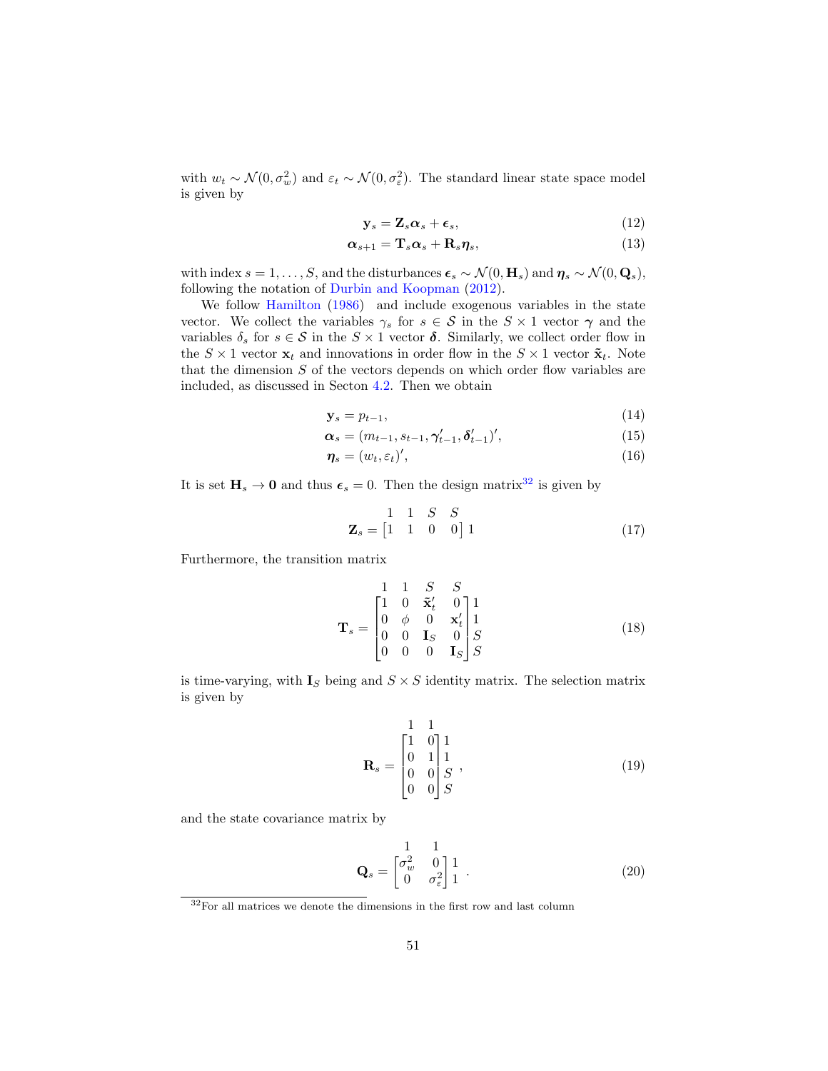with  $w_t \sim \mathcal{N}(0, \sigma_w^2)$  and  $\varepsilon_t \sim \mathcal{N}(0, \sigma_{\varepsilon}^2)$ . The standard linear state space model is given by

$$
\mathbf{y}_s = \mathbf{Z}_s \boldsymbol{\alpha}_s + \boldsymbol{\epsilon}_s,\tag{12}
$$

$$
\boldsymbol{\alpha}_{s+1} = \mathbf{T}_s \boldsymbol{\alpha}_s + \mathbf{R}_s \boldsymbol{\eta}_s,\tag{13}
$$

with index  $s = 1, ..., S$ , and the disturbances  $\epsilon_s \sim \mathcal{N}(0, \mathbf{H}_s)$  and  $\eta_s \sim \mathcal{N}(0, \mathbf{Q}_s)$ , following the notation of [Durbin and Koopman](#page-33-12) [\(2012\)](#page-33-12).

We follow [Hamilton](#page-34-16) [\(1986\)](#page-34-16) and include exogenous variables in the state vector. We collect the variables  $\gamma_s$  for  $s \in S$  in the  $S \times 1$  vector  $\gamma$  and the variables  $\delta_s$  for  $s \in S$  in the  $S \times 1$  vector  $\delta$ . Similarly, we collect order flow in the  $S \times 1$  vector  $\mathbf{x}_t$  and innovations in order flow in the  $S \times 1$  vector  $\tilde{\mathbf{x}}_t$ . Note that the dimension  $S$  of the vectors depends on which order flow variables are included, as discussed in Secton [4.2.](#page-11-3) Then we obtain

$$
\mathbf{y}_s = p_{t-1},\tag{14}
$$

$$
\alpha_s = (m_{t-1}, s_{t-1}, \gamma'_{t-1}, \delta'_{t-1})',\tag{15}
$$

$$
\eta_s = (w_t, \varepsilon_t)',\tag{16}
$$

It is set  $H_s \to 0$  and thus  $\epsilon_s = 0$ . Then the design matrix<sup>[32](#page-50-0)</sup> is given by

<span id="page-50-3"></span><span id="page-50-1"></span>
$$
\mathbf{Z}_s = \begin{bmatrix} 1 & 1 & S & S \\ 1 & 1 & 0 & 0 \end{bmatrix} 1 \tag{17}
$$

Furthermore, the transition matrix

$$
\mathbf{T}_s = \begin{bmatrix} 1 & 1 & S & S \\ 1 & 0 & \tilde{\mathbf{x}}'_t & 0 \\ 0 & \phi & 0 & \mathbf{x}'_t \\ 0 & 0 & \mathbf{I}_S & 0 \\ 0 & 0 & 0 & \mathbf{I}_S \end{bmatrix} \begin{bmatrix} 1 \\ 1 \\ S \end{bmatrix}
$$
(18)

is time-varying, with  $I_S$  being and  $S \times S$  identity matrix. The selection matrix is given by

$$
\mathbf{R}_s = \begin{bmatrix} 1 & 1 \\ 1 & 0 \\ 0 & 1 \\ 0 & 0 \\ 0 & 0 \end{bmatrix} \begin{matrix} 1 \\ 1 \\ S \\ S \end{matrix},
$$
(19)

and the state covariance matrix by

<span id="page-50-2"></span>
$$
\mathbf{Q}_s = \begin{bmatrix} 1 & 1 \\ \sigma_w^2 & 0 \\ 0 & \sigma_\varepsilon^2 \end{bmatrix} \begin{bmatrix} 1 \\ 1 \end{bmatrix} . \tag{20}
$$

<span id="page-50-0"></span> $^{32}\mathrm{For}$  all matrices we denote the dimensions in the first row and last column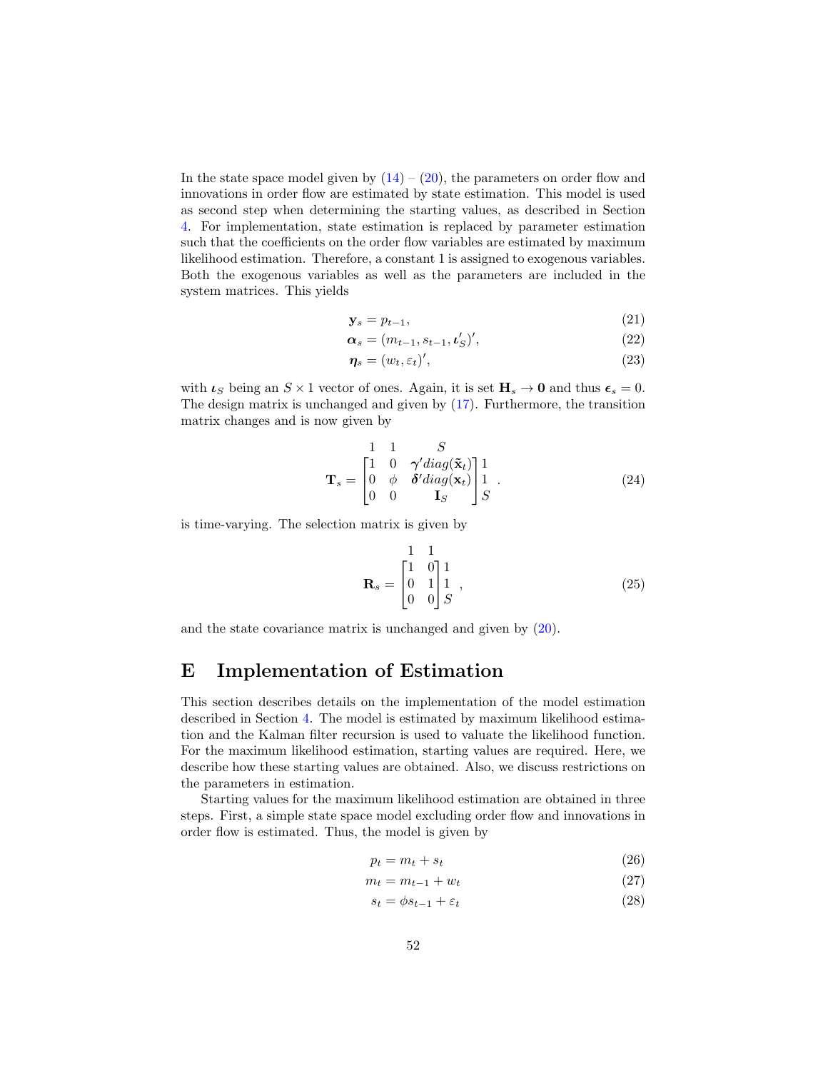In the state space model given by  $(14) - (20)$  $(14) - (20)$  $(14) - (20)$ , the parameters on order flow and innovations in order flow are estimated by state estimation. This model is used as second step when determining the starting values, as described in Section [4.](#page-10-0) For implementation, state estimation is replaced by parameter estimation such that the coefficients on the order flow variables are estimated by maximum likelihood estimation. Therefore, a constant 1 is assigned to exogenous variables. Both the exogenous variables as well as the parameters are included in the system matrices. This yields

$$
\mathbf{y}_s = p_{t-1},\tag{21}
$$

$$
\boldsymbol{\alpha}_s = (m_{t-1}, s_{t-1}, \boldsymbol{\iota}'_S)',\tag{22}
$$

$$
\eta_s = (w_t, \varepsilon_t)',\tag{23}
$$

with  $\iota_S$  being an  $S \times 1$  vector of ones. Again, it is set  $H_s \to 0$  and thus  $\epsilon_s = 0$ . The design matrix is unchanged and given by [\(17\)](#page-50-3). Furthermore, the transition matrix changes and is now given by

$$
\mathbf{T}_s = \begin{bmatrix} 1 & 1 & S \\ 1 & 0 & \gamma' diag(\tilde{\mathbf{x}}_t) \\ 0 & \phi & \delta' diag(\mathbf{x}_t) \\ 0 & 0 & \mathbf{I}_S \end{bmatrix} \begin{bmatrix} 1 \\ 1 \\ S \end{bmatrix} . \tag{24}
$$

is time-varying. The selection matrix is given by

$$
\mathbf{R}_s = \begin{bmatrix} 1 & 1 \\ 1 & 0 \\ 0 & 1 \\ 0 & 0 \end{bmatrix} \begin{bmatrix} 1 \\ 1 \\ S \end{bmatrix},
$$
 (25)

and the state covariance matrix is unchanged and given by [\(20\)](#page-50-2).

# <span id="page-51-0"></span>E Implementation of Estimation

This section describes details on the implementation of the model estimation described in Section [4.](#page-10-0) The model is estimated by maximum likelihood estimation and the Kalman filter recursion is used to valuate the likelihood function. For the maximum likelihood estimation, starting values are required. Here, we describe how these starting values are obtained. Also, we discuss restrictions on the parameters in estimation.

Starting values for the maximum likelihood estimation are obtained in three steps. First, a simple state space model excluding order flow and innovations in order flow is estimated. Thus, the model is given by

<span id="page-51-1"></span>
$$
p_t = m_t + s_t \tag{26}
$$

$$
m_t = m_{t-1} + w_t \tag{27}
$$

<span id="page-51-2"></span>
$$
s_t = \phi s_{t-1} + \varepsilon_t \tag{28}
$$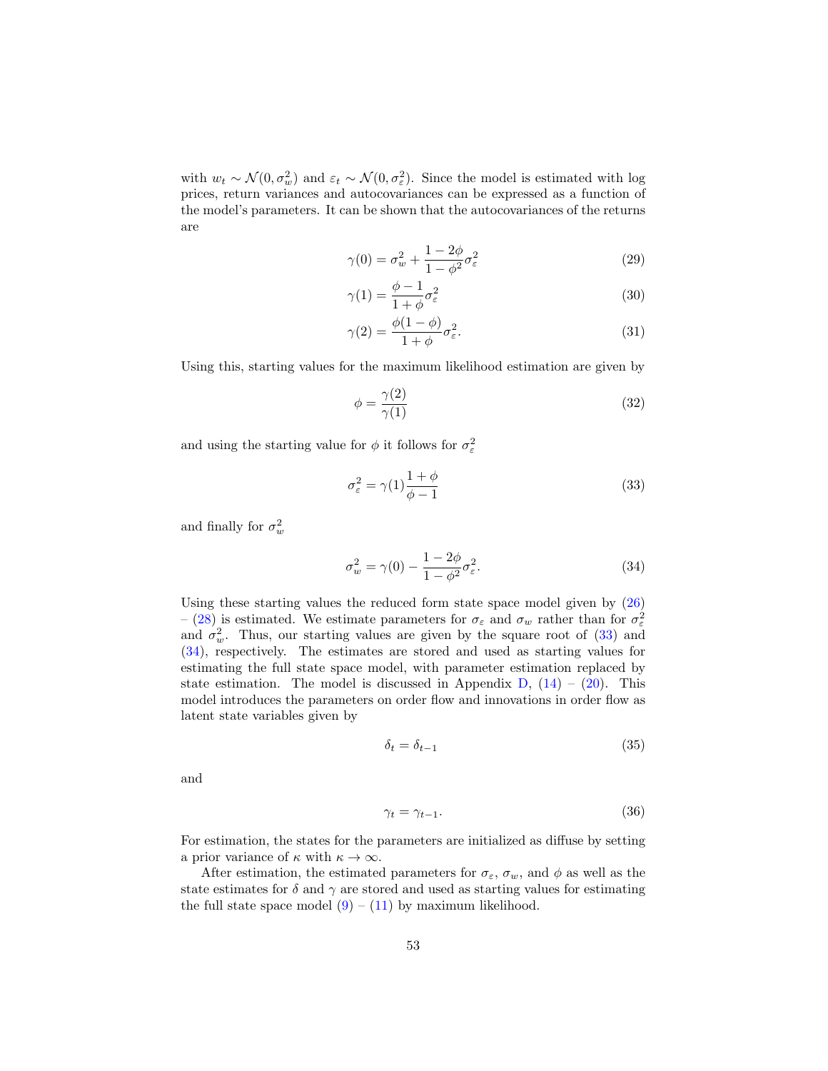with  $w_t \sim \mathcal{N}(0, \sigma_w^2)$  and  $\varepsilon_t \sim \mathcal{N}(0, \sigma_{\varepsilon}^2)$ . Since the model is estimated with log prices, return variances and autocovariances can be expressed as a function of the model's parameters. It can be shown that the autocovariances of the returns are

$$
\gamma(0) = \sigma_w^2 + \frac{1 - 2\phi}{1 - \phi^2} \sigma_\varepsilon^2 \tag{29}
$$

$$
\gamma(1) = \frac{\phi - 1}{1 + \phi} \sigma_{\varepsilon}^2 \tag{30}
$$

$$
\gamma(2) = \frac{\phi(1-\phi)}{1+\phi}\sigma_{\varepsilon}^2.
$$
\n(31)

Using this, starting values for the maximum likelihood estimation are given by

$$
\phi = \frac{\gamma(2)}{\gamma(1)}\tag{32}
$$

and using the starting value for  $\phi$  it follows for  $\sigma_{\varepsilon}^2$ 

<span id="page-52-0"></span>
$$
\sigma_{\varepsilon}^{2} = \gamma(1) \frac{1+\phi}{\phi-1}
$$
\n(33)

and finally for  $\sigma_w^2$ 

<span id="page-52-1"></span>
$$
\sigma_w^2 = \gamma(0) - \frac{1 - 2\phi}{1 - \phi^2} \sigma_\varepsilon^2.
$$
\n(34)

Using these starting values the reduced form state space model given by [\(26\)](#page-51-1) – [\(28\)](#page-51-2) is estimated. We estimate parameters for  $\sigma_{\varepsilon}$  and  $\sigma_{w}$  rather than for  $\sigma_{\varepsilon}^{2}$ and  $\sigma_w^2$ . Thus, our starting values are given by the square root of [\(33\)](#page-52-0) and [\(34\)](#page-52-1), respectively. The estimates are stored and used as starting values for estimating the full state space model, with parameter estimation replaced by state estimation. The model is discussed in Appendix  $D$ ,  $(14) - (20)$  $(14) - (20)$  $(14) - (20)$ . This model introduces the parameters on order flow and innovations in order flow as latent state variables given by

$$
\delta_t = \delta_{t-1} \tag{35}
$$

and

$$
\gamma_t = \gamma_{t-1}.\tag{36}
$$

For estimation, the states for the parameters are initialized as diffuse by setting a prior variance of  $\kappa$  with  $\kappa \to \infty$ .

After estimation, the estimated parameters for  $\sigma_{\varepsilon}$ ,  $\sigma_{w}$ , and  $\phi$  as well as the state estimates for  $\delta$  and  $\gamma$  are stored and used as starting values for estimating the full state space model  $(9) - (11)$  $(9) - (11)$  $(9) - (11)$  by maximum likelihood.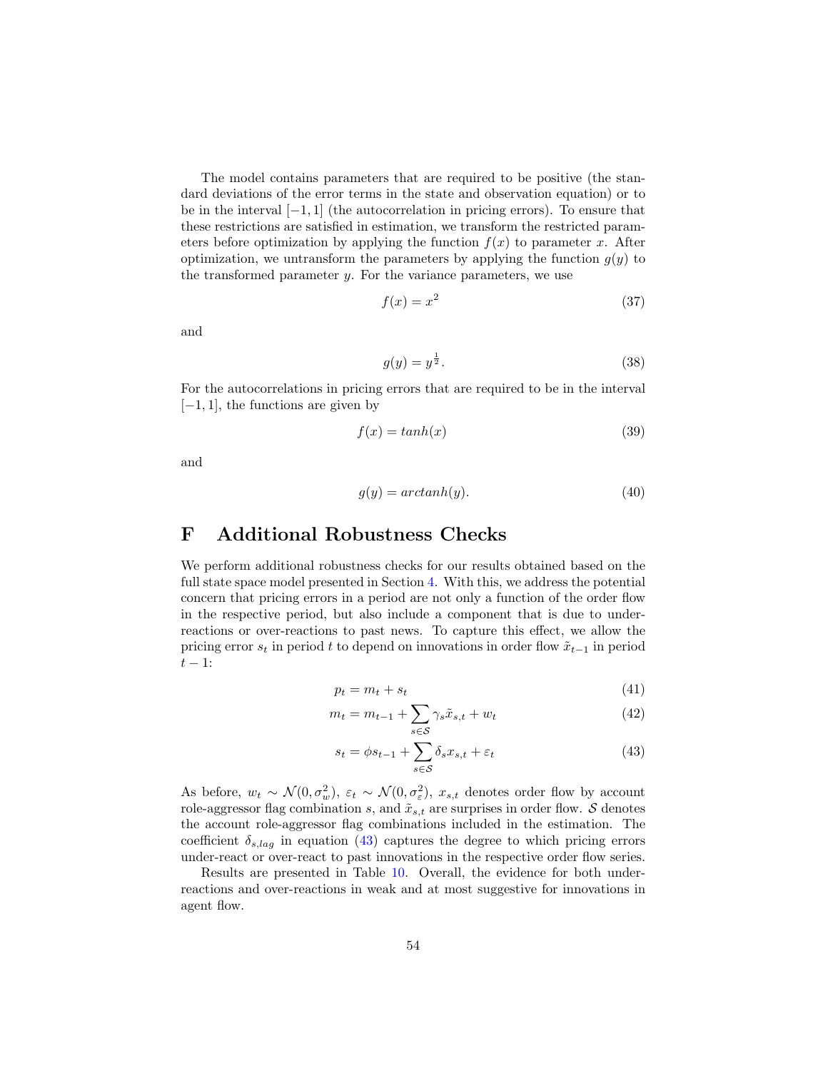The model contains parameters that are required to be positive (the standard deviations of the error terms in the state and observation equation) or to be in the interval  $[-1, 1]$  (the autocorrelation in pricing errors). To ensure that these restrictions are satisfied in estimation, we transform the restricted parameters before optimization by applying the function  $f(x)$  to parameter x. After optimization, we untransform the parameters by applying the function  $g(y)$  to the transformed parameter  $y$ . For the variance parameters, we use

$$
f(x) = x^2 \tag{37}
$$

and

$$
g(y) = y^{\frac{1}{2}}.\tag{38}
$$

For the autocorrelations in pricing errors that are required to be in the interval  $[-1, 1]$ , the functions are given by

$$
f(x) = \tanh(x) \tag{39}
$$

and

$$
g(y) = arctanh(y). \tag{40}
$$

### <span id="page-53-0"></span>F Additional Robustness Checks

We perform additional robustness checks for our results obtained based on the full state space model presented in Section [4.](#page-10-0) With this, we address the potential concern that pricing errors in a period are not only a function of the order flow in the respective period, but also include a component that is due to underreactions or over-reactions to past news. To capture this effect, we allow the pricing error  $s_t$  in period t to depend on innovations in order flow  $\tilde{x}_{t-1}$  in period  $t-1$ :

$$
p_t = m_t + s_t \tag{41}
$$

$$
m_t = m_{t-1} + \sum_{s \in \mathcal{S}} \gamma_s \tilde{x}_{s,t} + w_t \tag{42}
$$

<span id="page-53-1"></span>
$$
s_t = \phi s_{t-1} + \sum_{s \in \mathcal{S}} \delta_s x_{s,t} + \varepsilon_t \tag{43}
$$

As before,  $w_t \sim \mathcal{N}(0, \sigma_w^2)$ ,  $\varepsilon_t \sim \mathcal{N}(0, \sigma_\varepsilon^2)$ ,  $x_{s,t}$  denotes order flow by account role-aggressor flag combination s, and  $\tilde{x}_{s,t}$  are surprises in order flow. S denotes the account role-aggressor flag combinations included in the estimation. The coefficient  $\delta_{s,lag}$  in equation [\(43\)](#page-53-1) captures the degree to which pricing errors under-react or over-react to past innovations in the respective order flow series.

Results are presented in Table [10.](#page-54-0) Overall, the evidence for both underreactions and over-reactions in weak and at most suggestive for innovations in agent flow.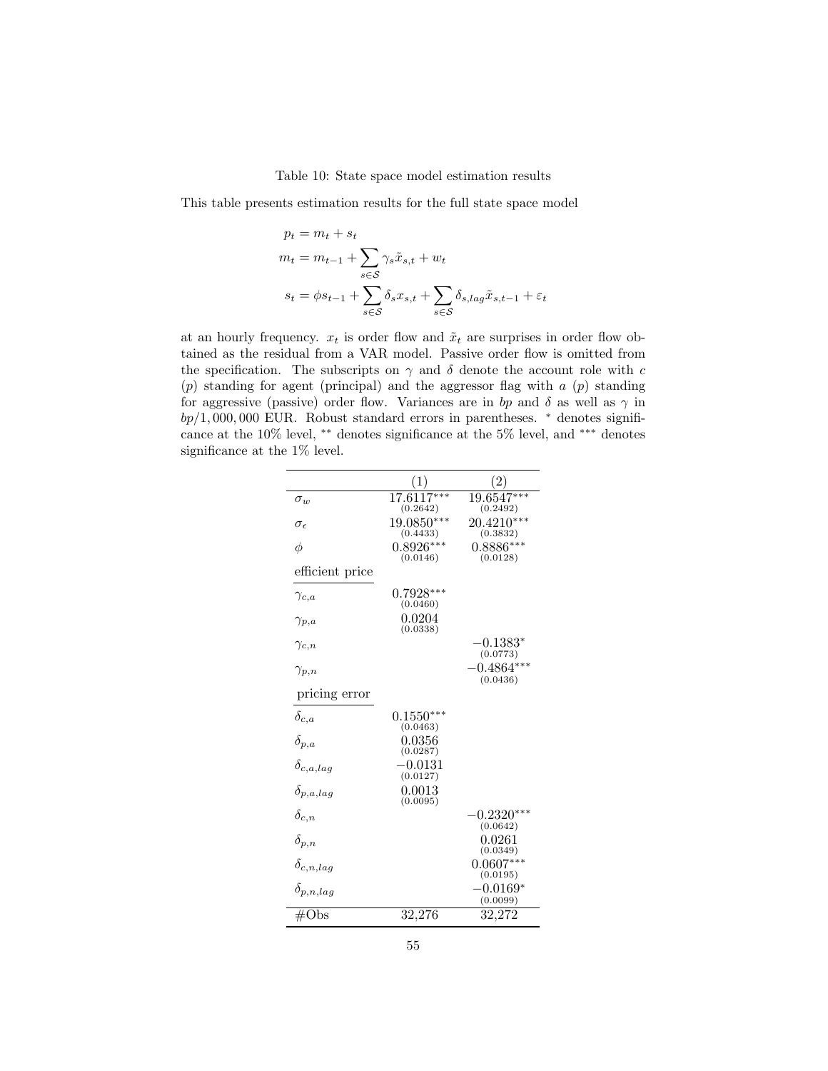Table 10: State space model estimation results

<span id="page-54-0"></span>This table presents estimation results for the full state space model

$$
p_t = m_t + s_t
$$
  
\n
$$
m_t = m_{t-1} + \sum_{s \in S} \gamma_s \tilde{x}_{s,t} + w_t
$$
  
\n
$$
s_t = \phi s_{t-1} + \sum_{s \in S} \delta_s x_{s,t} + \sum_{s \in S} \delta_{s,lag} \tilde{x}_{s,t-1} + \varepsilon_t
$$

at an hourly frequency.  $x_t$  is order flow and  $\tilde{x}_t$  are surprises in order flow obtained as the residual from a VAR model. Passive order flow is omitted from the specification. The subscripts on  $\gamma$  and  $\delta$  denote the account role with c  $(p)$  standing for agent (principal) and the aggressor flag with  $a$   $(p)$  standing for aggressive (passive) order flow. Variances are in bp and  $\delta$  as well as  $\gamma$  in  $bp/1,000,000$  EUR. Robust standard errors in parentheses.  $*$  denotes significance at the 10% level, ∗∗ denotes significance at the 5% level, and ∗∗∗ denotes significance at the 1% level.

|                     | (1)                      | $^{'}2)$                                    |
|---------------------|--------------------------|---------------------------------------------|
| $\sigma_w$          | $17.6117***$<br>(0.2642) | $19.6547***$<br>(0.2492)                    |
| $\sigma_{\epsilon}$ | 19.0850***<br>(0.4433)   | $20.4210***$<br>(0.3832)                    |
| φ                   | $0.8926***$<br>(0.0146)  | $0.8886***$<br>(0.0128)                     |
| efficient price     |                          |                                             |
| $\gamma_{c,a}$      | $0.7928***$<br>(0.0460)  |                                             |
| $\gamma_{p,a}$      | 0.0204<br>(0.0338)       |                                             |
| $\gamma_{c,n}$      |                          | $\textnormal{-}0.1383^*$<br>(0.0773)        |
| $\gamma_{p,n}$      |                          | $-0.4864***$<br>(0.0436)                    |
| pricing error       |                          |                                             |
| $\delta_{c,a}$      | $0.1550***$<br>(0.0463)  |                                             |
| $\delta_{p,a}$      | $\,0.0356\,$<br>(0.0287) |                                             |
| $\delta_{c,a,lag}$  | $-0.0131$<br>(0.0127)    |                                             |
| $\delta_{p,a,lag}$  | 0.0013<br>(0.0095)       |                                             |
| $\delta_{c,n}$      |                          | $\text{-}0.2320^{\ast\ast\ast}$<br>(0.0642) |
| $\delta_{p,n}$      |                          | $\,0.0261\,$<br>(0.0349)                    |
| $\delta_{c,n,lag}$  |                          | $0.0607***$                                 |
| $\delta_{p,n,lag}$  |                          | (0.0195)<br>$-0.0169*$<br>(0.0099)          |
| $\#\mathrm{Obs}$    | 32,276                   | 32,272                                      |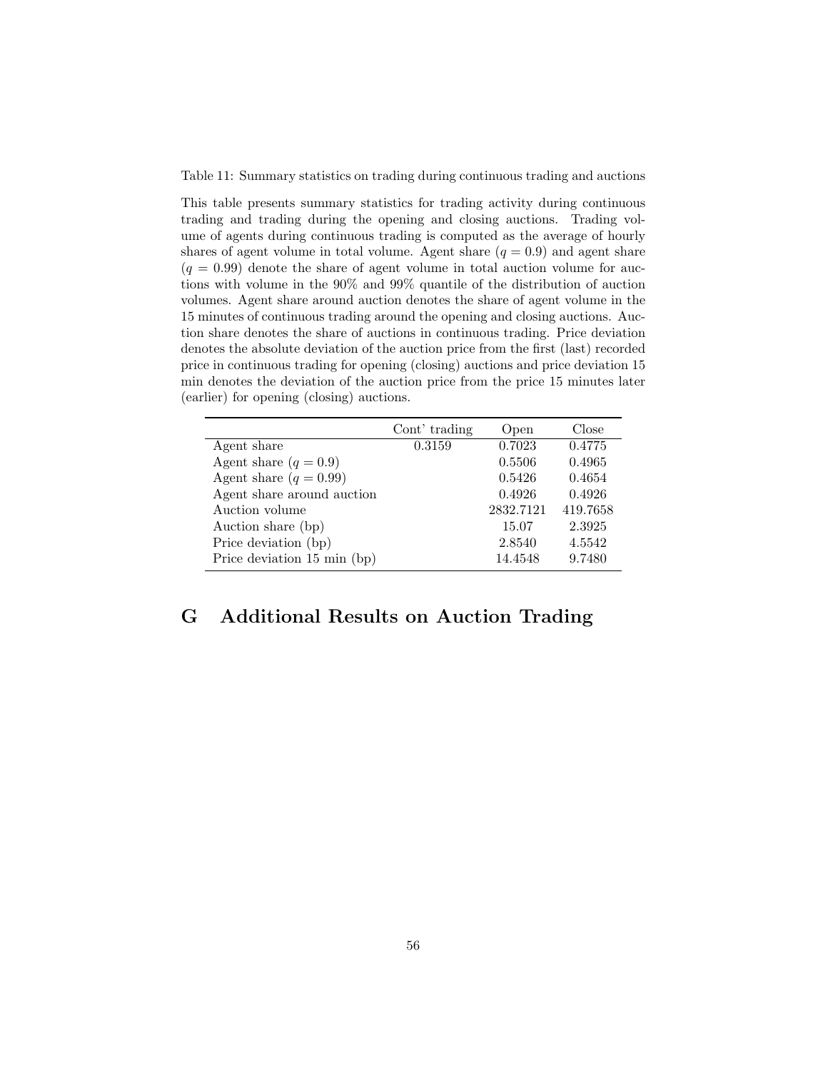Table 11: Summary statistics on trading during continuous trading and auctions

This table presents summary statistics for trading activity during continuous trading and trading during the opening and closing auctions. Trading volume of agents during continuous trading is computed as the average of hourly shares of agent volume in total volume. Agent share  $(q = 0.9)$  and agent share  $(q = 0.99)$  denote the share of agent volume in total auction volume for auctions with volume in the 90% and 99% quantile of the distribution of auction volumes. Agent share around auction denotes the share of agent volume in the 15 minutes of continuous trading around the opening and closing auctions. Auction share denotes the share of auctions in continuous trading. Price deviation denotes the absolute deviation of the auction price from the first (last) recorded price in continuous trading for opening (closing) auctions and price deviation 15 min denotes the deviation of the auction price from the price 15 minutes later (earlier) for opening (closing) auctions.

|                             | Cont' trading | Open      | Close    |
|-----------------------------|---------------|-----------|----------|
| Agent share                 | 0.3159        | 0.7023    | 0.4775   |
| Agent share $(q = 0.9)$     |               | 0.5506    | 0.4965   |
| Agent share $(q = 0.99)$    |               | 0.5426    | 0.4654   |
| Agent share around auction  |               | 0.4926    | 0.4926   |
| Auction volume              |               | 2832.7121 | 419.7658 |
| Auction share (bp)          |               | 15.07     | 2.3925   |
| Price deviation (bp)        |               | 2.8540    | 4.5542   |
| Price deviation 15 min (bp) |               | 14.4548   | 9.7480   |

# <span id="page-55-0"></span>G Additional Results on Auction Trading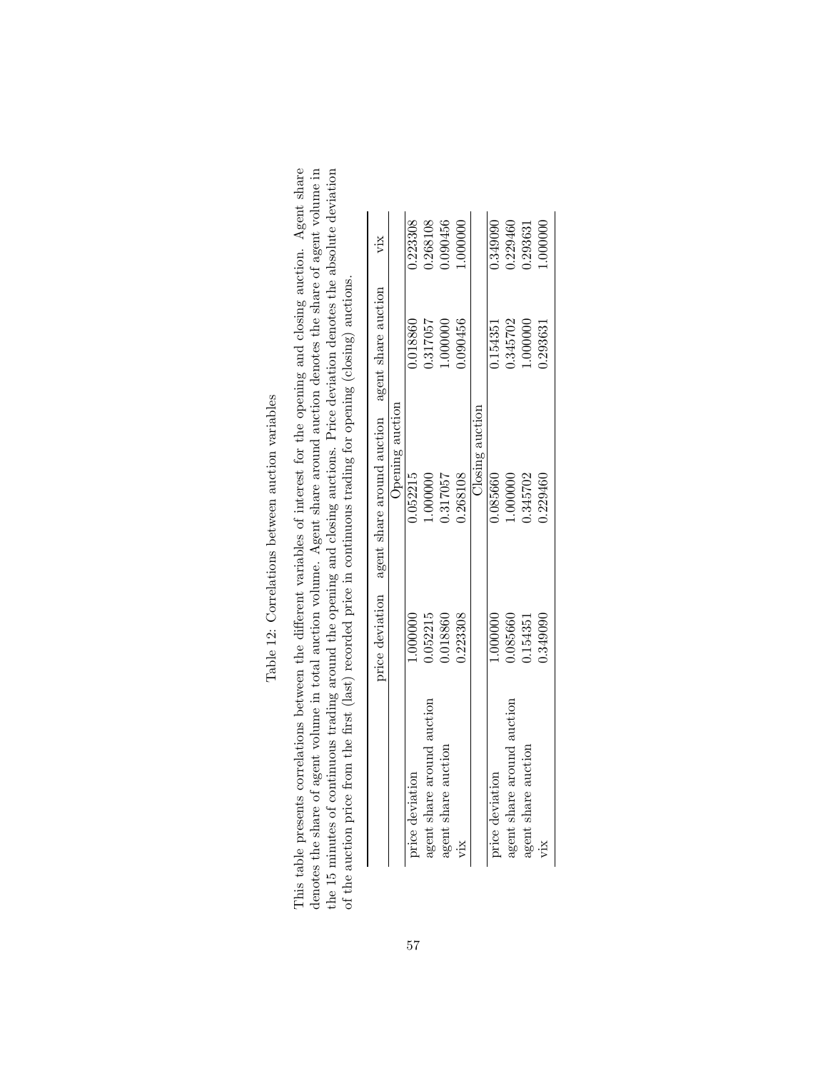| i<br>1<br>;<br>ı                                                                                              |
|---------------------------------------------------------------------------------------------------------------|
| l<br>١<br>ı                                                                                                   |
| へんしょう<br>ı                                                                                                    |
| していくしょ<br>i<br>ı<br>$\frac{1}{2}$<br>֧֧֧֧ׅ֧ׅ֧ׅ֧ׅ֧ׅ֧ׅ֧֛ׅ֧ׅ֧֚֚֚֚֚֚֚֚֚֚֚֚֚֚֚֚֚֚֚֚֚֚֚֚֚֚֚֚֝֝֝֜֝֜֜֜֜֜֝֜֜<br>I<br>l |
|                                                                                                               |
| l<br>j<br>ï                                                                                                   |

This table presents correlations between the different variables of interest for the opening and closing auction. Agent share denotes the share of agent volume in total auction volume. Agent share around auction denotes th the 15 minutes of continuous trading around the opening and closing auctions. Price deviation denotes the absolute deviation This table presents correlations between the different variables of interest for the opening and closing auction. Agent share denotes the share of agent volume in total auction volume. Agent share around auction denotes the share of agent volume in the 15 minutes of continuous trading around the opening and closing auctions. Price deviation denotes the absolute deviation of the auction price from the first (last) recorded price in continuous trading for opening (closing) auctions. of the auction price from the first (last) recorded price in continuous trading for opening (closing) auctions.

|                            |          | price deviation agent share around auction agent share auction |          | vіх      |
|----------------------------|----------|----------------------------------------------------------------|----------|----------|
|                            |          | Opening auction                                                |          |          |
| price deviation            | .000000  | 0.522215                                                       | 0.018860 | 0.223308 |
| agent share around auction | 0.52215  | .000000                                                        | 1.317057 | 1.268108 |
| agent share auction        | 0.018860 | 1.317057                                                       | .000000  | .090456  |
| š                          | 0.223308 | 0.268108                                                       | 1.090456 | .000000. |
|                            |          | Closing auction                                                |          |          |
| price deviation            | .000000. | 0355660                                                        | 0.154351 | 0.349090 |
| agent share around auction | 1.085660 | .000000                                                        | 1.345702 | 1.229460 |
| agent share auction        | 154351   | 1.345702                                                       | .000000  | 1.293631 |
| š                          | 1.349090 | 0.229460                                                       | 1.29363  | .000000  |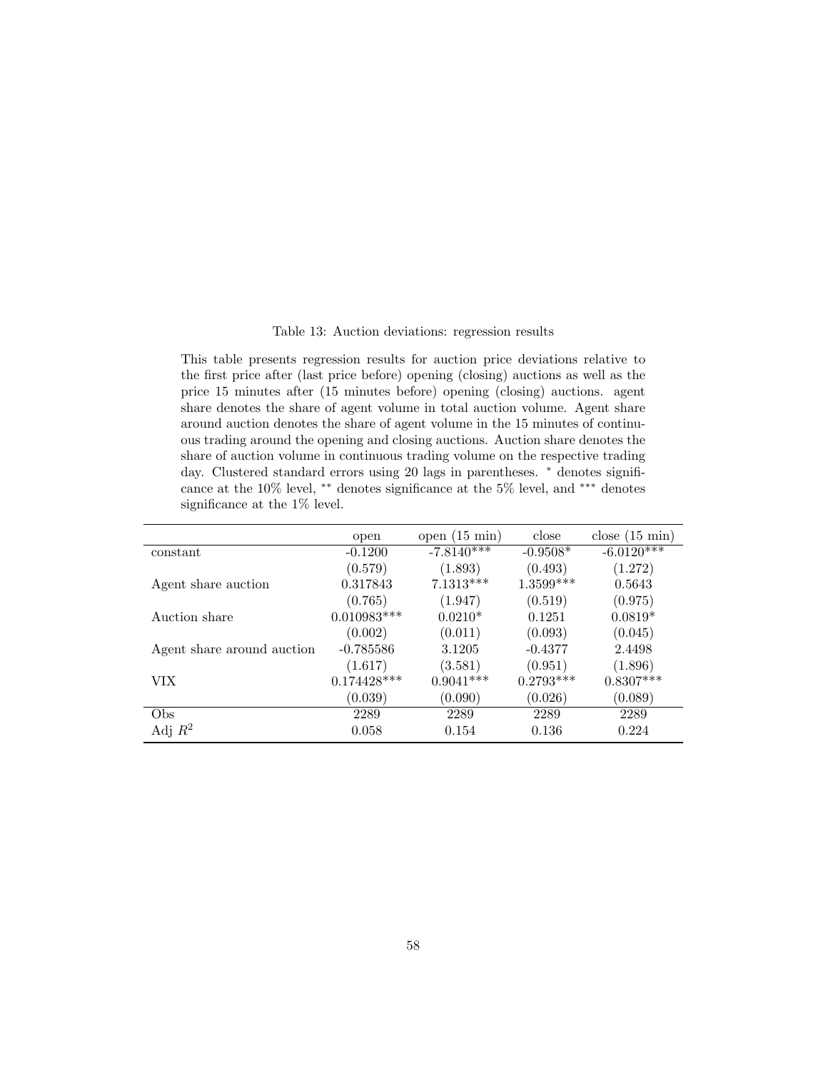#### Table 13: Auction deviations: regression results

<span id="page-57-0"></span>This table presents regression results for auction price deviations relative to the first price after (last price before) opening (closing) auctions as well as the price 15 minutes after (15 minutes before) opening (closing) auctions. agent share denotes the share of agent volume in total auction volume. Agent share around auction denotes the share of agent volume in the 15 minutes of continuous trading around the opening and closing auctions. Auction share denotes the share of auction volume in continuous trading volume on the respective trading day. Clustered standard errors using 20 lags in parentheses. <sup>\*</sup> denotes significance at the 10% level, ∗∗ denotes significance at the 5% level, and ∗∗∗ denotes significance at the 1% level.

|                            | open          | open $(15 \text{ min})$ | close       | close $(15 \text{ min})$ |
|----------------------------|---------------|-------------------------|-------------|--------------------------|
| constant                   | $-0.1200$     | $-7.8140***$            | $-0.9508*$  | $-6.0120***$             |
|                            | (0.579)       | (1.893)                 | (0.493)     | (1.272)                  |
| Agent share auction        | 0.317843      | $7.1313***$             | 1.3599***   | 0.5643                   |
|                            | (0.765)       | (1.947)                 | (0.519)     | (0.975)                  |
| Auction share              | $0.010983***$ | $0.0210*$               | 0.1251      | $0.0819*$                |
|                            | (0.002)       | (0.011)                 | (0.093)     | (0.045)                  |
| Agent share around auction | $-0.785586$   | 3.1205                  | $-0.4377$   | 2.4498                   |
|                            | (1.617)       | (3.581)                 | (0.951)     | (1.896)                  |
| VIX.                       | $0.174428***$ | $0.9041***$             | $0.2793***$ | $0.8307***$              |
|                            | (0.039)       | (0.090)                 | (0.026)     | (0.089)                  |
| Obs                        | 2289          | 2289                    | 2289        | 2289                     |
| Adj $R^2$                  | 0.058         | 0.154                   | 0.136       | 0.224                    |